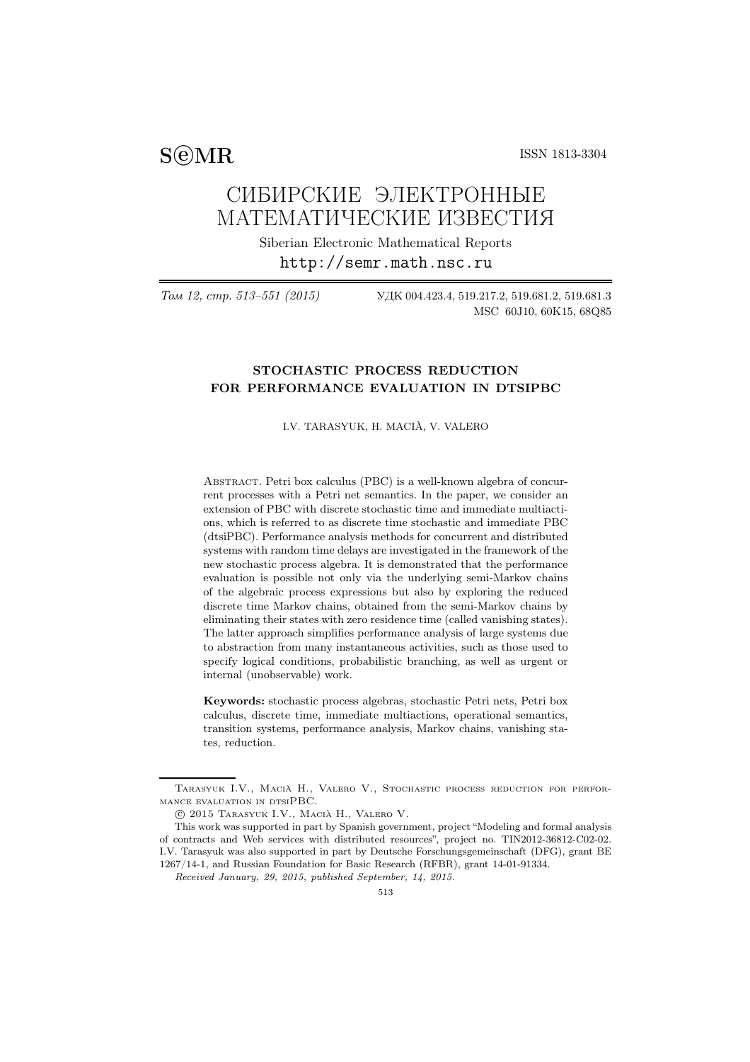SCMR ISSN 1813-3304

# СИБИРСКИЕ ЭЛЕКТРОННЫЕ МАТЕМАТИЧЕСКИЕ ИЗВЕСТИЯ

Siberian Electronic Mathematical Reports http://semr.math.nsc.ru

Том 12, стр. 513–551 (2015) УДК 004.423.4, 519.217.2, 519.681.2, 519.681.3 MSC 60J10, 60K15, 68Q85

# STOCHASTIC PROCESS REDUCTION FOR PERFORMANCE EVALUATION IN DTSIPBC

I.V. TARASYUK, H. MACIA, V. VALERO `

ABSTRACT. Petri box calculus (PBC) is a well-known algebra of concurrent processes with a Petri net semantics. In the paper, we consider an extension of PBC with discrete stochastic time and immediate multiactions, which is referred to as discrete time stochastic and immediate PBC (dtsiPBC). Performance analysis methods for concurrent and distributed systems with random time delays are investigated in the framework of the new stochastic process algebra. It is demonstrated that the performance evaluation is possible not only via the underlying semi-Markov chains of the algebraic process expressions but also by exploring the reduced discrete time Markov chains, obtained from the semi-Markov chains by eliminating their states with zero residence time (called vanishing states). The latter approach simplifies performance analysis of large systems due to abstraction from many instantaneous activities, such as those used to specify logical conditions, probabilistic branching, as well as urgent or internal (unobservable) work.

Keywords: stochastic process algebras, stochastic Petri nets, Petri box calculus, discrete time, immediate multiactions, operational semantics, transition systems, performance analysis, Markov chains, vanishing states, reduction.

Tarasyuk I.V., Macia H., Valero V., Stochastic process reduction for perfor- `  $\textsc{maq}$  evaluation in  $\textsc{d}\textsc{b}\textsc{B}C.$ 

 $C$  2015 Tarasyuk I.V., Macia H., Valero V.

This work was supported in part by Spanish government, project "Modeling and formal analysis of contracts and Web services with distributed resources", project no. TIN2012-36812-C02-02. I.V. Tarasyuk was also supported in part by Deutsche Forschungsgemeinschaft (DFG), grant BE 1267/14-1, and Russian Foundation for Basic Research (RFBR), grant 14-01-91334.

*Received January, 29, 2015, published September, 14, 2015.*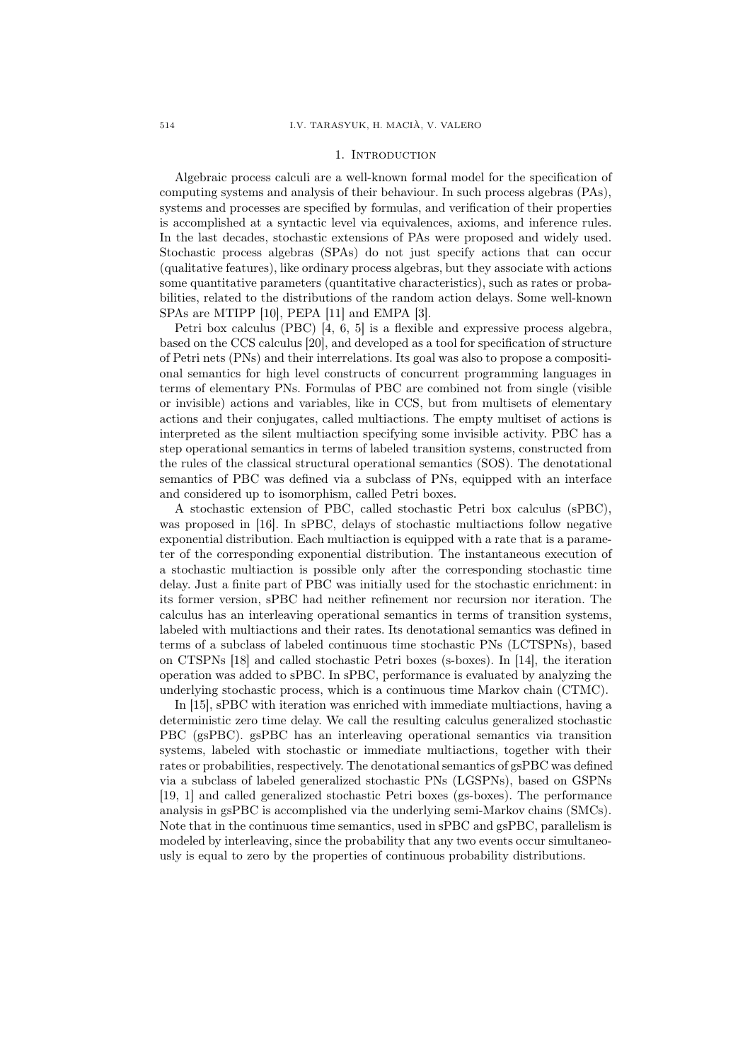#### 1. INTRODUCTION

Algebraic process calculi are a well-known formal model for the specification of computing systems and analysis of their behaviour. In such process algebras (PAs), systems and processes are specified by formulas, and verification of their properties is accomplished at a syntactic level via equivalences, axioms, and inference rules. In the last decades, stochastic extensions of PAs were proposed and widely used. Stochastic process algebras (SPAs) do not just specify actions that can occur (qualitative features), like ordinary process algebras, but they associate with actions some quantitative parameters (quantitative characteristics), such as rates or probabilities, related to the distributions of the random action delays. Some well-known SPAs are MTIPP [10], PEPA [11] and EMPA [3].

Petri box calculus (PBC) [4, 6, 5] is a flexible and expressive process algebra, based on the CCS calculus [20], and developed as a tool for specification of structure of Petri nets (PNs) and their interrelations. Its goal was also to propose a compositional semantics for high level constructs of concurrent programming languages in terms of elementary PNs. Formulas of PBC are combined not from single (visible or invisible) actions and variables, like in CCS, but from multisets of elementary actions and their conjugates, called multiactions. The empty multiset of actions is interpreted as the silent multiaction specifying some invisible activity. PBC has a step operational semantics in terms of labeled transition systems, constructed from the rules of the classical structural operational semantics (SOS). The denotational semantics of PBC was defined via a subclass of PNs, equipped with an interface and considered up to isomorphism, called Petri boxes.

A stochastic extension of PBC, called stochastic Petri box calculus (sPBC), was proposed in [16]. In sPBC, delays of stochastic multiactions follow negative exponential distribution. Each multiaction is equipped with a rate that is a parameter of the corresponding exponential distribution. The instantaneous execution of a stochastic multiaction is possible only after the corresponding stochastic time delay. Just a finite part of PBC was initially used for the stochastic enrichment: in its former version, sPBC had neither refinement nor recursion nor iteration. The calculus has an interleaving operational semantics in terms of transition systems, labeled with multiactions and their rates. Its denotational semantics was defined in terms of a subclass of labeled continuous time stochastic PNs (LCTSPNs), based on CTSPNs [18] and called stochastic Petri boxes (s-boxes). In [14], the iteration operation was added to sPBC. In sPBC, performance is evaluated by analyzing the underlying stochastic process, which is a continuous time Markov chain (CTMC).

In [15], sPBC with iteration was enriched with immediate multiactions, having a deterministic zero time delay. We call the resulting calculus generalized stochastic PBC (gsPBC). gsPBC has an interleaving operational semantics via transition systems, labeled with stochastic or immediate multiactions, together with their rates or probabilities, respectively. The denotational semantics of gsPBC was defined via a subclass of labeled generalized stochastic PNs (LGSPNs), based on GSPNs [19, 1] and called generalized stochastic Petri boxes (gs-boxes). The performance analysis in gsPBC is accomplished via the underlying semi-Markov chains (SMCs). Note that in the continuous time semantics, used in sPBC and gsPBC, parallelism is modeled by interleaving, since the probability that any two events occur simultaneously is equal to zero by the properties of continuous probability distributions.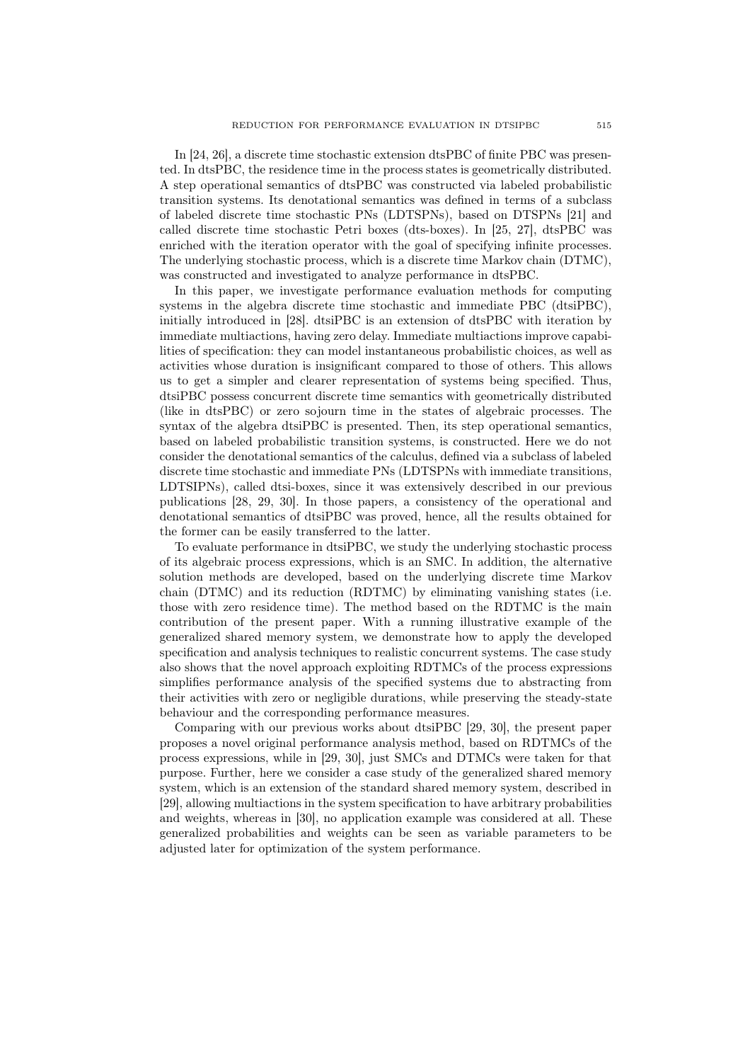In [24, 26], a discrete time stochastic extension dtsPBC of finite PBC was presented. In dtsPBC, the residence time in the process states is geometrically distributed. A step operational semantics of dtsPBC was constructed via labeled probabilistic transition systems. Its denotational semantics was defined in terms of a subclass of labeled discrete time stochastic PNs (LDTSPNs), based on DTSPNs [21] and called discrete time stochastic Petri boxes (dts-boxes). In [25, 27], dtsPBC was enriched with the iteration operator with the goal of specifying infinite processes. The underlying stochastic process, which is a discrete time Markov chain (DTMC), was constructed and investigated to analyze performance in dtsPBC.

In this paper, we investigate performance evaluation methods for computing systems in the algebra discrete time stochastic and immediate PBC (dtsiPBC), initially introduced in [28]. dtsiPBC is an extension of dtsPBC with iteration by immediate multiactions, having zero delay. Immediate multiactions improve capabilities of specification: they can model instantaneous probabilistic choices, as well as activities whose duration is insignificant compared to those of others. This allows us to get a simpler and clearer representation of systems being specified. Thus, dtsiPBC possess concurrent discrete time semantics with geometrically distributed (like in dtsPBC) or zero sojourn time in the states of algebraic processes. The syntax of the algebra dtsiPBC is presented. Then, its step operational semantics, based on labeled probabilistic transition systems, is constructed. Here we do not consider the denotational semantics of the calculus, defined via a subclass of labeled discrete time stochastic and immediate PNs (LDTSPNs with immediate transitions, LDTSIPNs), called dtsi-boxes, since it was extensively described in our previous publications [28, 29, 30]. In those papers, a consistency of the operational and denotational semantics of dtsiPBC was proved, hence, all the results obtained for the former can be easily transferred to the latter.

To evaluate performance in dtsiPBC, we study the underlying stochastic process of its algebraic process expressions, which is an SMC. In addition, the alternative solution methods are developed, based on the underlying discrete time Markov chain (DTMC) and its reduction (RDTMC) by eliminating vanishing states (i.e. those with zero residence time). The method based on the RDTMC is the main contribution of the present paper. With a running illustrative example of the generalized shared memory system, we demonstrate how to apply the developed specification and analysis techniques to realistic concurrent systems. The case study also shows that the novel approach exploiting RDTMCs of the process expressions simplifies performance analysis of the specified systems due to abstracting from their activities with zero or negligible durations, while preserving the steady-state behaviour and the corresponding performance measures.

Comparing with our previous works about dtsiPBC [29, 30], the present paper proposes a novel original performance analysis method, based on RDTMCs of the process expressions, while in [29, 30], just SMCs and DTMCs were taken for that purpose. Further, here we consider a case study of the generalized shared memory system, which is an extension of the standard shared memory system, described in [29], allowing multiactions in the system specification to have arbitrary probabilities and weights, whereas in [30], no application example was considered at all. These generalized probabilities and weights can be seen as variable parameters to be adjusted later for optimization of the system performance.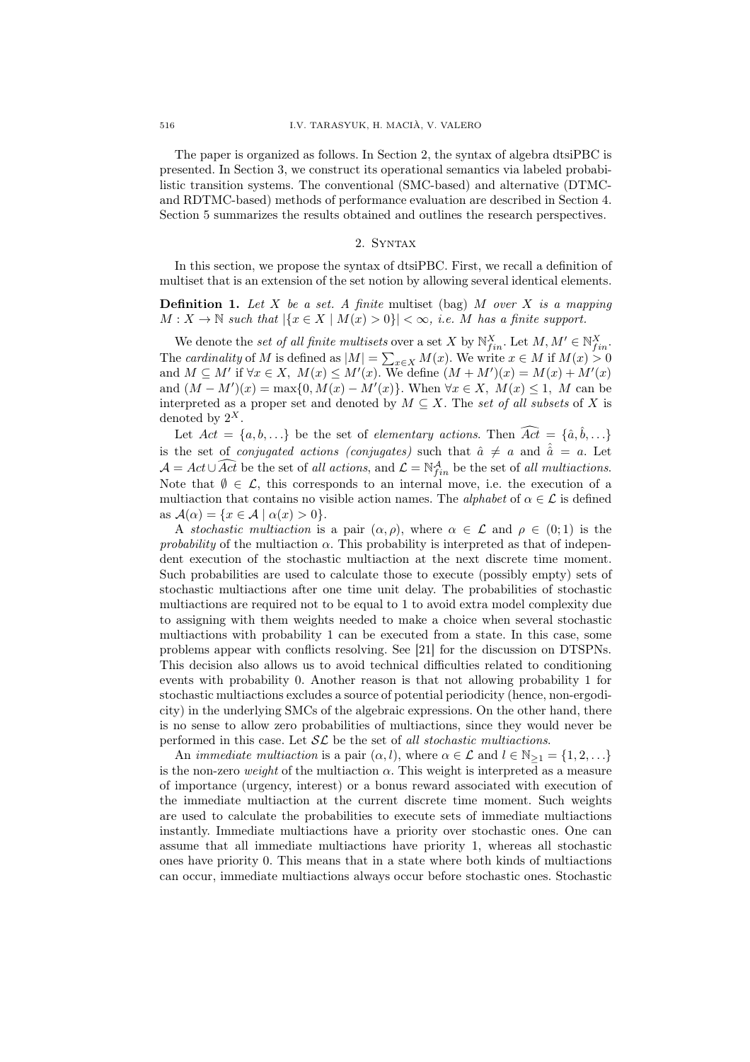The paper is organized as follows. In Section 2, the syntax of algebra dtsiPBC is presented. In Section 3, we construct its operational semantics via labeled probabilistic transition systems. The conventional (SMC-based) and alternative (DTMCand RDTMC-based) methods of performance evaluation are described in Section 4. Section 5 summarizes the results obtained and outlines the research perspectives.

## 2. Syntax

In this section, we propose the syntax of dtsiPBC. First, we recall a definition of multiset that is an extension of the set notion by allowing several identical elements.

**Definition 1.** Let X be a set. A finite multiset (bag) M over X is a mapping  $M: X \to \mathbb{N}$  such that  $|\{x \in X \mid M(x) > 0\}| < \infty$ , i.e. M has a finite support.

We denote the set of all finite multisets over a set X by  $\mathbb{N}_{fin}^X$ . Let  $M, M' \in \mathbb{N}_{fin}^X$ . The cardinality of M is defined as  $|M| = \sum_{x \in X} M(x)$ . We write  $x \in M$  if  $M(x) > 0$ and  $M \subseteq M'$  if  $\forall x \in X$ ,  $M(x) \leq M'(x)$ . We define  $(M + M')(x) = M(x) + M'(x)$ and  $(M - M')(x) = \max\{0, M(x) - M'(x)\}\)$ . When  $\forall x \in X$ ,  $M(x) \leq 1$ , M can be interpreted as a proper set and denoted by  $M \subseteq X$ . The set of all subsets of X is denoted by  $2^X$ .

Let  $Act = \{a, b, ...\}$  be the set of *elementary actions*. Then  $\widehat{Act} = \{\hat{a}, \hat{b}, ...\}$ is the set of *conjugated actions (conjugates)* such that  $\hat{a} \neq a$  and  $\hat{a} = a$ . Let  $\mathcal{A} = Act \cup \widehat{Act}$  be the set of all actions, and  $\mathcal{L} = \mathbb{N}_{fin}^{\mathcal{A}}$  be the set of all multiactions. Note that  $\emptyset \in \mathcal{L}$ , this corresponds to an internal move, i.e. the execution of a multiaction that contains no visible action names. The *alphabet* of  $\alpha \in \mathcal{L}$  is defined as  $\mathcal{A}(\alpha) = \{x \in \mathcal{A} \mid \alpha(x) > 0\}.$ 

A stochastic multiaction is a pair  $(\alpha, \rho)$ , where  $\alpha \in \mathcal{L}$  and  $\rho \in (0, 1)$  is the probability of the multiaction  $\alpha$ . This probability is interpreted as that of independent execution of the stochastic multiaction at the next discrete time moment. Such probabilities are used to calculate those to execute (possibly empty) sets of stochastic multiactions after one time unit delay. The probabilities of stochastic multiactions are required not to be equal to 1 to avoid extra model complexity due to assigning with them weights needed to make a choice when several stochastic multiactions with probability 1 can be executed from a state. In this case, some problems appear with conflicts resolving. See [21] for the discussion on DTSPNs. This decision also allows us to avoid technical difficulties related to conditioning events with probability 0. Another reason is that not allowing probability 1 for stochastic multiactions excludes a source of potential periodicity (hence, non-ergodicity) in the underlying SMCs of the algebraic expressions. On the other hand, there is no sense to allow zero probabilities of multiactions, since they would never be performed in this case. Let  $\mathcal{SL}$  be the set of all stochastic multiactions.

An *immediate multiaction* is a pair  $(\alpha, l)$ , where  $\alpha \in \mathcal{L}$  and  $l \in \mathbb{N}_{\geq 1} = \{1, 2, ...\}$ is the non-zero weight of the multiaction  $\alpha$ . This weight is interpreted as a measure of importance (urgency, interest) or a bonus reward associated with execution of the immediate multiaction at the current discrete time moment. Such weights are used to calculate the probabilities to execute sets of immediate multiactions instantly. Immediate multiactions have a priority over stochastic ones. One can assume that all immediate multiactions have priority 1, whereas all stochastic ones have priority 0. This means that in a state where both kinds of multiactions can occur, immediate multiactions always occur before stochastic ones. Stochastic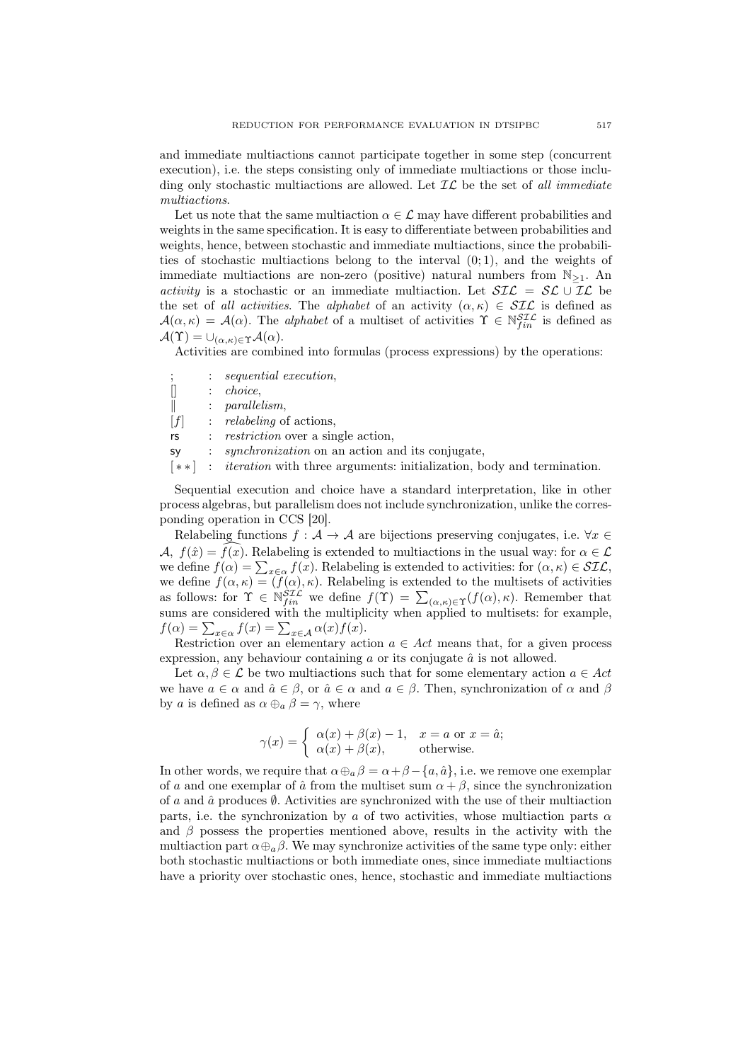and immediate multiactions cannot participate together in some step (concurrent execution), i.e. the steps consisting only of immediate multiactions or those including only stochastic multiactions are allowed. Let  $IL$  be the set of all immediate multiactions.

Let us note that the same multiaction  $\alpha \in \mathcal{L}$  may have different probabilities and weights in the same specification. It is easy to differentiate between probabilities and weights, hence, between stochastic and immediate multiactions, since the probabilities of stochastic multiactions belong to the interval  $(0, 1)$ , and the weights of immediate multiactions are non-zero (positive) natural numbers from  $\mathbb{N}_{\geq 1}$ . An activity is a stochastic or an immediate multiaction. Let  $\mathcal{SIL} = \mathcal{SL} \cup \mathcal{IL}$  be the set of all activities. The alphabet of an activity  $(\alpha, \kappa) \in \mathcal{SIL}$  is defined as  $\mathcal{A}(\alpha,\kappa) = \mathcal{A}(\alpha)$ . The *alphabet* of a multiset of activities  $\Upsilon \in \mathbb{N}_{fin}^{STL}$  is defined as  $\mathcal{A}(\Upsilon) = \bigcup_{(\alpha,\kappa)\in\Upsilon} \mathcal{A}(\alpha).$ 

Activities are combined into formulas (process expressions) by the operations:

|                   | $: \; sequential \; execution.$                        |
|-------------------|--------------------------------------------------------|
|                   | <i>choice.</i>                                         |
|                   | $: \quad parallelism,$                                 |
| $\lceil f \rceil$ | $:$ relabeling of actions.                             |
| rs                | : <i>restriction</i> over a single action,             |
| <b>SV</b>         | <i>synchronization</i> on an action and its conjugate, |
|                   | .                                                      |

[ ∗ ∗ ] : iteration with three arguments: initialization, body and termination.

Sequential execution and choice have a standard interpretation, like in other process algebras, but parallelism does not include synchronization, unlike the corresponding operation in CCS [20].

Relabeling functions  $f : \mathcal{A} \to \mathcal{A}$  are bijections preserving conjugates, i.e.  $\forall x \in \mathcal{A}$  $\mathcal{A}, f(\hat{x}) = f(x)$ . Relabeling is extended to multiactions in the usual way: for  $\alpha \in \mathcal{L}$ we define  $f(\alpha) = \sum_{x \in \alpha} f(x)$ . Relabeling is extended to activities: for  $(\alpha, \kappa) \in \mathcal{SIL}$ , we define  $f(\alpha, \kappa) = (f(\alpha), \kappa)$ . Relabeling is extended to the multisets of activities as follows: for  $\Upsilon \in \tilde{N}_{fin}^{STL}$  we define  $f(\Upsilon) = \sum_{(\alpha,\kappa) \in \Upsilon} (f(\alpha), \kappa)$ . Remember that sums are considered with the multiplicity when applied to multisets: for example,  $f(\alpha) = \sum_{x \in \alpha} f(x) = \sum_{x \in \mathcal{A}} \alpha(x) f(x).$ 

Restriction over an elementary action  $a \in Act$  means that, for a given process expression, any behaviour containing  $\alpha$  or its conjugate  $\hat{\alpha}$  is not allowed.

Let  $\alpha, \beta \in \mathcal{L}$  be two multiactions such that for some elementary action  $a \in Act$ we have  $a \in \alpha$  and  $\hat{a} \in \beta$ , or  $\hat{a} \in \alpha$  and  $a \in \beta$ . Then, synchronization of  $\alpha$  and  $\beta$ by a is defined as  $\alpha \oplus_{a} \beta = \gamma$ , where

$$
\gamma(x) = \begin{cases} \alpha(x) + \beta(x) - 1, & x = a \text{ or } x = \hat{a}; \\ \alpha(x) + \beta(x), & \text{otherwise.} \end{cases}
$$

In other words, we require that  $\alpha \oplus_{a} \beta = \alpha + \beta - \{a, \hat{a}\}\)$ , i.e. we remove one exemplar of a and one exemplar of  $\hat{a}$  from the multiset sum  $\alpha + \beta$ , since the synchronization of a and  $\hat{a}$  produces  $\emptyset$ . Activities are synchronized with the use of their multiaction parts, i.e. the synchronization by a of two activities, whose multiaction parts  $\alpha$ and  $\beta$  possess the properties mentioned above, results in the activity with the multiaction part  $\alpha \oplus_{a} \beta$ . We may synchronize activities of the same type only: either both stochastic multiactions or both immediate ones, since immediate multiactions have a priority over stochastic ones, hence, stochastic and immediate multiactions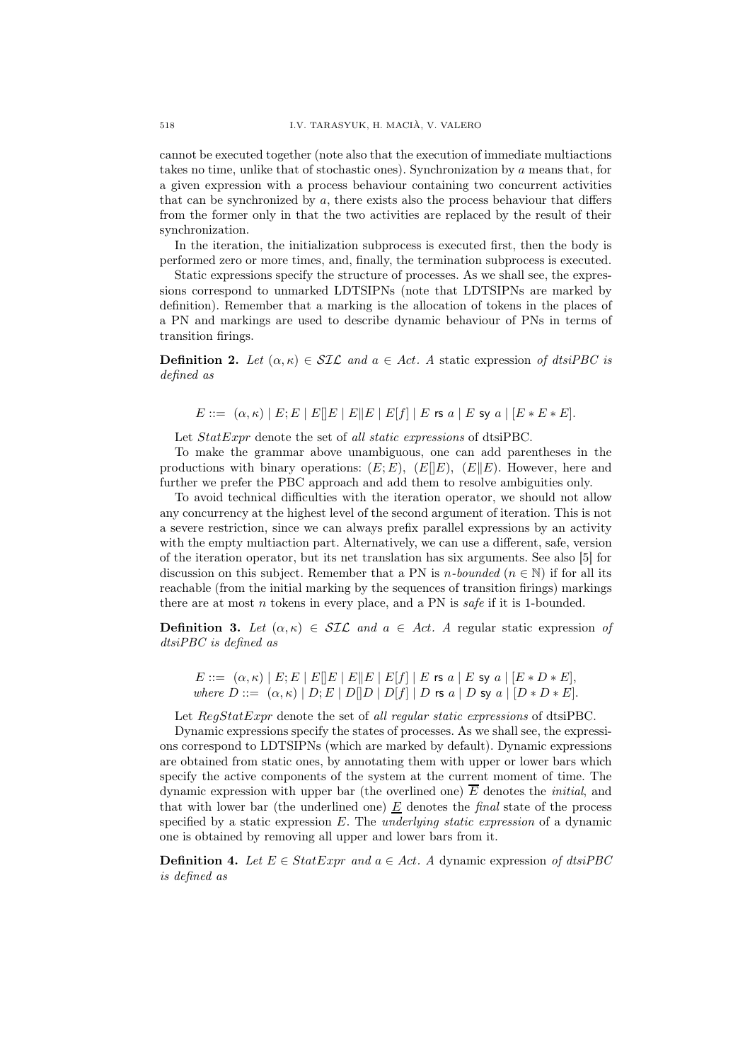cannot be executed together (note also that the execution of immediate multiactions takes no time, unlike that of stochastic ones). Synchronization by a means that, for a given expression with a process behaviour containing two concurrent activities that can be synchronized by  $a$ , there exists also the process behaviour that differs from the former only in that the two activities are replaced by the result of their synchronization.

In the iteration, the initialization subprocess is executed first, then the body is performed zero or more times, and, finally, the termination subprocess is executed.

Static expressions specify the structure of processes. As we shall see, the expressions correspond to unmarked LDTSIPNs (note that LDTSIPNs are marked by definition). Remember that a marking is the allocation of tokens in the places of a PN and markings are used to describe dynamic behaviour of PNs in terms of transition firings.

**Definition 2.** Let  $(\alpha, \kappa) \in \mathcal{SIL}$  and  $a \in Act$ . A static expression of dtsiPBC is defined as

 $E ::= (\alpha, \kappa) | E; E | E | E | E | E | E | E | f | E \text{ is a } | E \text{ sy a } | [E * E * E].$ 

Let  $StatExpr$  denote the set of all static expressions of dtsiPBC.

To make the grammar above unambiguous, one can add parentheses in the productions with binary operations:  $(E; E)$ ,  $(E||E)$ ,  $(E||E)$ . However, here and further we prefer the PBC approach and add them to resolve ambiguities only.

To avoid technical difficulties with the iteration operator, we should not allow any concurrency at the highest level of the second argument of iteration. This is not a severe restriction, since we can always prefix parallel expressions by an activity with the empty multiaction part. Alternatively, we can use a different, safe, version of the iteration operator, but its net translation has six arguments. See also [5] for discussion on this subject. Remember that a PN is *n*-bounded ( $n \in \mathbb{N}$ ) if for all its reachable (from the initial marking by the sequences of transition firings) markings there are at most  $n$  tokens in every place, and a PN is safe if it is 1-bounded.

**Definition 3.** Let  $(\alpha, \kappa) \in \mathcal{SIL}$  and  $\alpha \in Act$ . A regular static expression of dtsiPBC is defined as

 $E ::= (\alpha, \kappa) | E; E | E | E | E | E | E | E | f | | E \text{ is a } | E \text{ s y a } | [E * D * E],$ where  $D ::= (\alpha, \kappa) | D; E | D[]D | D[f] | D$  rs  $a | D$  sy  $a | [D * D * E].$ 

Let  $RegStatExpr$  denote the set of all regular static expressions of dtsiPBC.

Dynamic expressions specify the states of processes. As we shall see, the expressions correspond to LDTSIPNs (which are marked by default). Dynamic expressions are obtained from static ones, by annotating them with upper or lower bars which specify the active components of the system at the current moment of time. The dynamic expression with upper bar (the overlined one)  $\overline{E}$  denotes the *initial*, and that with lower bar (the underlined one)  $E$  denotes the *final* state of the process specified by a static expression  $E$ . The *underlying static expression* of a dynamic one is obtained by removing all upper and lower bars from it.

**Definition 4.** Let  $E \in StatExpr$  and  $a \in Act$ . A dynamic expression of dtsiPBC is defined as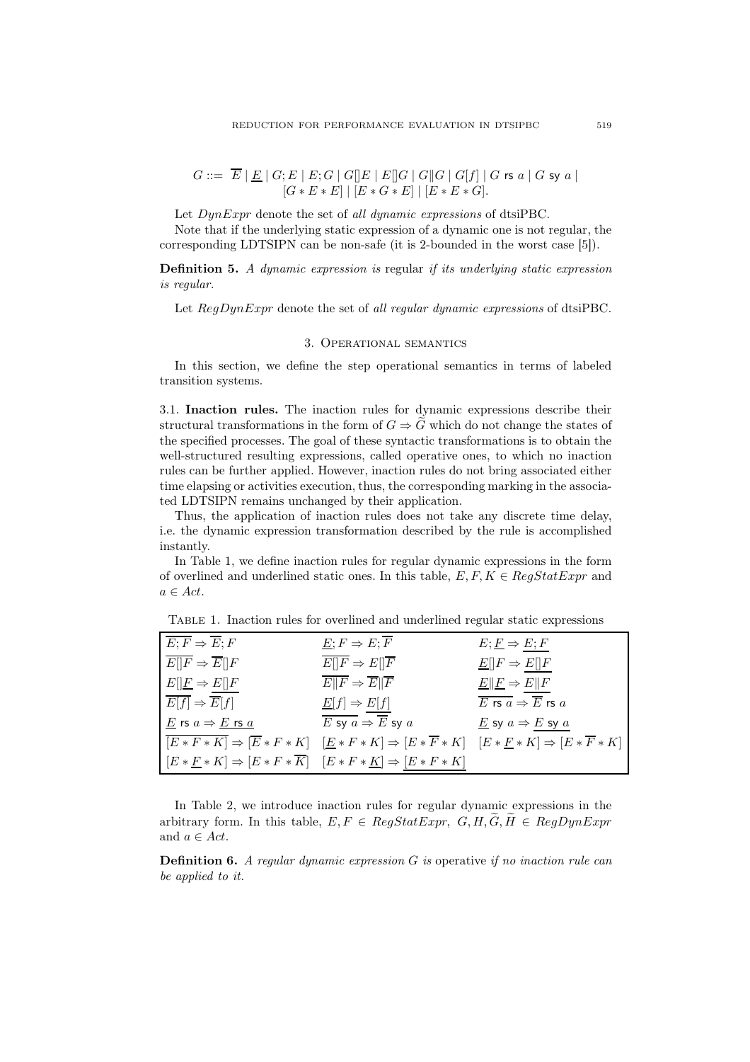$$
G ::= \overline{E} | \underline{E} | G; E | E; G | G[]E | E[]G | G[]G | G[f] | G \text{ rs } a | G \text{ sy } a |
$$
  

$$
[G * E * E] | [E * G * E] | [E * E * G].
$$

Let  $DynExpr$  denote the set of all dynamic expressions of dtsiPBC.

Note that if the underlying static expression of a dynamic one is not regular, the corresponding LDTSIPN can be non-safe (it is 2-bounded in the worst case [5]).

Definition 5. A dynamic expression is regular if its underlying static expression is regular.

Let  $RegDynExpr$  denote the set of all regular dynamic expressions of dtsiPBC.

#### 3. Operational semantics

In this section, we define the step operational semantics in terms of labeled transition systems.

3.1. Inaction rules. The inaction rules for dynamic expressions describe their structural transformations in the form of  $G \Rightarrow \widetilde{G}$  which do not change the states of the specified processes. The goal of these syntactic transformations is to obtain the well-structured resulting expressions, called operative ones, to which no inaction rules can be further applied. However, inaction rules do not bring associated either time elapsing or activities execution, thus, the corresponding marking in the associated LDTSIPN remains unchanged by their application.

Thus, the application of inaction rules does not take any discrete time delay, i.e. the dynamic expression transformation described by the rule is accomplished instantly.

In Table 1, we define inaction rules for regular dynamic expressions in the form of overlined and underlined static ones. In this table,  $E, F, K \in \text{Reaf} t \in \text{Tr} m$  and  $a \in Act.$ 

| $\overline{E;F} \Rightarrow \overline{E};F$                          | $E; F \Rightarrow E; \overline{F}$                                                                                                                                    | $E; E \Rightarrow E; F$                                                     |
|----------------------------------------------------------------------|-----------------------------------------------------------------------------------------------------------------------------------------------------------------------|-----------------------------------------------------------------------------|
| $\overline{E}$    $\overline{F}$ $\Rightarrow$ $\overline{E}$    $F$ | $E  F \Rightarrow E  \overline{F}$                                                                                                                                    | $\underline{E}[[F \Rightarrow E][F$                                         |
| $E[\underline{F} \Rightarrow E[\underline{F}]$                       | $E  F \Rightarrow E  F$                                                                                                                                               | $E  E \Rightarrow E  F$                                                     |
| $\overline{E[f]} \Rightarrow \overline{E}[f]$                        | $\underline{E}[f] \Rightarrow E[f]$                                                                                                                                   | $\overline{E}$ rs $\overline{a} \Rightarrow \overline{E}$ rs $\overline{a}$ |
| $\underline{E}$ rs $a \Rightarrow \underline{E}$ rs $\underline{a}$  | E sy $a \Rightarrow E$ sy $a$                                                                                                                                         | $\underline{E}$ sy $a \Rightarrow E$ sy $a$                                 |
|                                                                      | $\overline{[E*F*K]} \Rightarrow [\overline{E}*F*K] \quad [\underline{E}*F*K] \Rightarrow [E*\overline{F}*K] \quad [E*\underline{F}*K] \Rightarrow [E*\overline{F}*K]$ |                                                                             |
|                                                                      | $[E * F * K] \Rightarrow [E * F * \overline{K}] \quad [E * F * K] \Rightarrow [E * F * K]$                                                                            |                                                                             |

Table 1. Inaction rules for overlined and underlined regular static expressions

In Table 2, we introduce inaction rules for regular dynamic expressions in the arbitrary form. In this table,  $E, F \in RegStatexpr$ ,  $G, H, \widetilde{G}, \widetilde{H} \in RegDynExpr$ and  $a \in Act$ .

**Definition 6.** A regular dynamic expression  $G$  is operative if no inaction rule can be applied to it.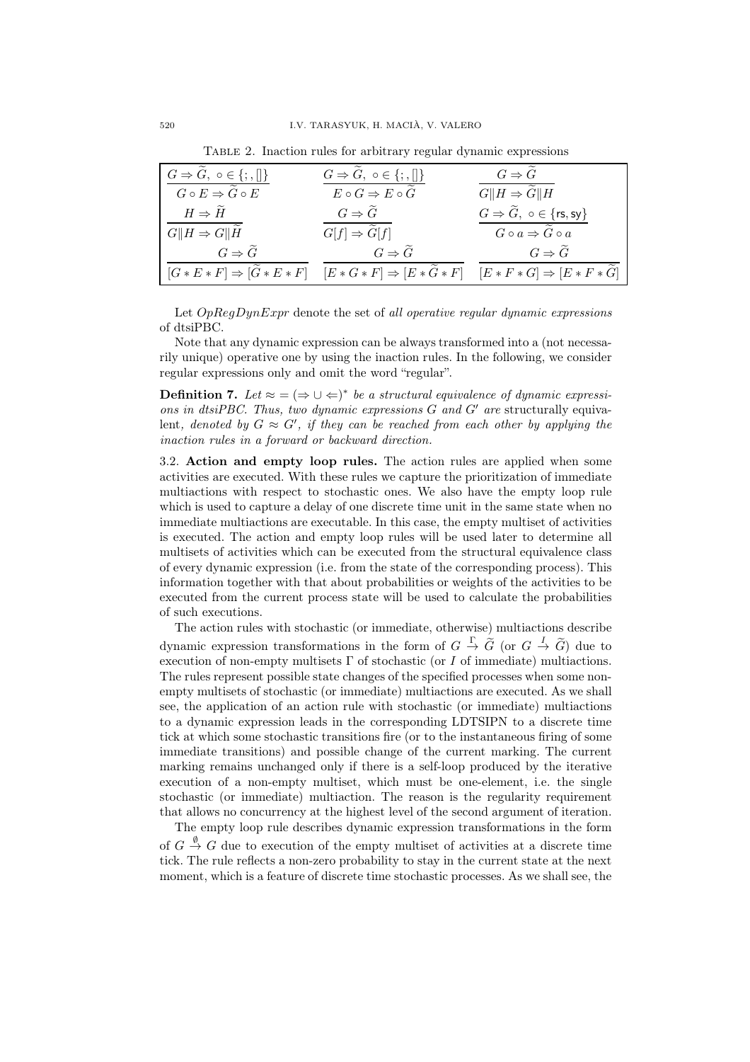Table 2. Inaction rules for arbitrary regular dynamic expressions

| $G \Rightarrow \widetilde{G}, \circ \in \{;\Pi\}$ | $G \Rightarrow \tilde{G}, \circ \in \{; , \llbracket \}$                                                                                              | $G \Rightarrow \tilde{G}$                                          |
|---------------------------------------------------|-------------------------------------------------------------------------------------------------------------------------------------------------------|--------------------------------------------------------------------|
| $G \circ E \Rightarrow \widetilde{G} \circ E$     | $E \circ G \Rightarrow E \circ \widetilde{G}$                                                                                                         | $G  H \Rightarrow \overline{\widetilde{G}  H}$                     |
| $H \Rightarrow H$                                 | $G \Rightarrow G$                                                                                                                                     | $G \Rightarrow \widetilde{G}, \ o \in \{\mathsf{rs},\mathsf{sy}\}$ |
| $G  H \Rightarrow G  \overline{H}$                | $G[f] \Rightarrow \overline{\widetilde{G}[f]}$                                                                                                        | $G \circ a \Rightarrow \widetilde{G} \circ a$                      |
| $G \Rightarrow \widetilde{G}$                     | $G \Rightarrow \widetilde{G}$                                                                                                                         | $G \Rightarrow \tilde{G}$                                          |
|                                                   | $[G * E * F] \Rightarrow [\widetilde{G} * E * F]$ $[E * G * F] \Rightarrow [E * \widetilde{G} * F]$ $[E * F * G] \Rightarrow [E * F * \widetilde{G}]$ |                                                                    |

Let  $OpRegDynExpr$  denote the set of all operative regular dynamic expressions of dtsiPBC.

Note that any dynamic expression can be always transformed into a (not necessarily unique) operative one by using the inaction rules. In the following, we consider regular expressions only and omit the word "regular".

**Definition 7.** Let  $\approx$  =  $(\Rightarrow \cup \Leftarrow)^*$  be a structural equivalence of dynamic expressions in dtsiPBC. Thus, two dynamic expressions  $G$  and  $G'$  are structurally equivalent, denoted by  $G \approx G'$ , if they can be reached from each other by applying the inaction rules in a forward or backward direction.

3.2. Action and empty loop rules. The action rules are applied when some activities are executed. With these rules we capture the prioritization of immediate multiactions with respect to stochastic ones. We also have the empty loop rule which is used to capture a delay of one discrete time unit in the same state when no immediate multiactions are executable. In this case, the empty multiset of activities is executed. The action and empty loop rules will be used later to determine all multisets of activities which can be executed from the structural equivalence class of every dynamic expression (i.e. from the state of the corresponding process). This information together with that about probabilities or weights of the activities to be executed from the current process state will be used to calculate the probabilities of such executions.

The action rules with stochastic (or immediate, otherwise) multiactions describe dynamic expression transformations in the form of  $G \stackrel{\Gamma}{\to} \tilde{G}$  (or  $G \stackrel{I}{\to} \tilde{G}$ ) due to execution of non-empty multisets  $\Gamma$  of stochastic (or I of immediate) multiactions. The rules represent possible state changes of the specified processes when some nonempty multisets of stochastic (or immediate) multiactions are executed. As we shall see, the application of an action rule with stochastic (or immediate) multiactions to a dynamic expression leads in the corresponding LDTSIPN to a discrete time tick at which some stochastic transitions fire (or to the instantaneous firing of some immediate transitions) and possible change of the current marking. The current marking remains unchanged only if there is a self-loop produced by the iterative execution of a non-empty multiset, which must be one-element, i.e. the single stochastic (or immediate) multiaction. The reason is the regularity requirement that allows no concurrency at the highest level of the second argument of iteration.

The empty loop rule describes dynamic expression transformations in the form of  $G \stackrel{\emptyset}{\rightarrow} G$  due to execution of the empty multiset of activities at a discrete time tick. The rule reflects a non-zero probability to stay in the current state at the next moment, which is a feature of discrete time stochastic processes. As we shall see, the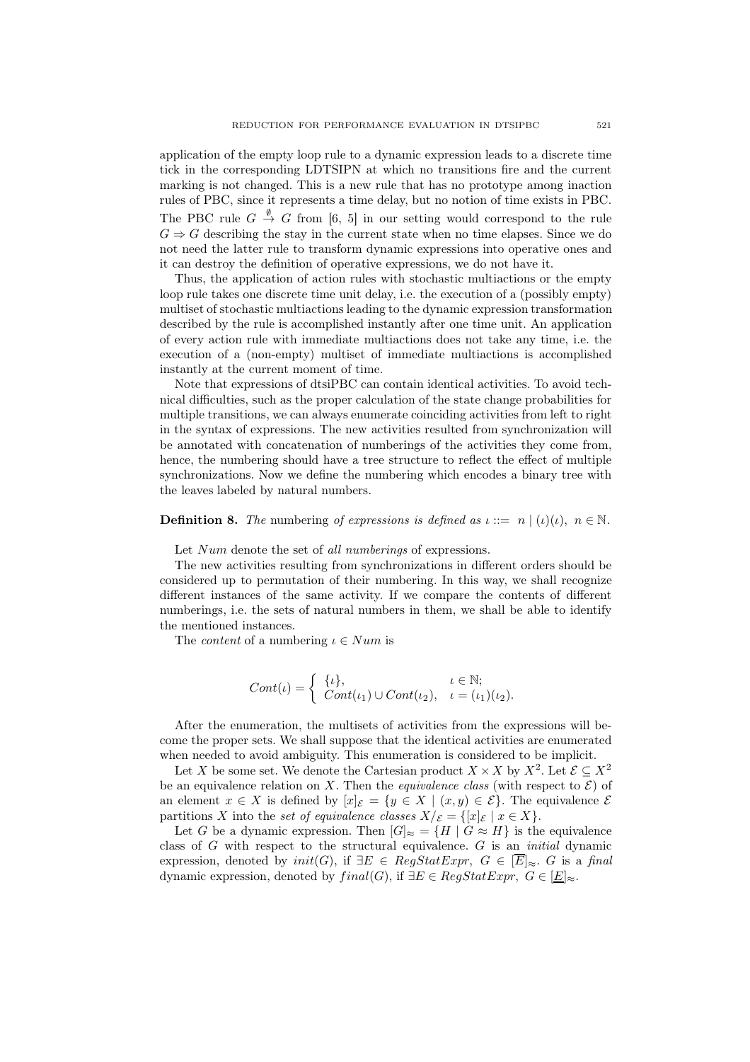application of the empty loop rule to a dynamic expression leads to a discrete time tick in the corresponding LDTSIPN at which no transitions fire and the current marking is not changed. This is a new rule that has no prototype among inaction rules of PBC, since it represents a time delay, but no notion of time exists in PBC. The PBC rule  $G \stackrel{\emptyset}{\rightarrow} G$  from [6, 5] in our setting would correspond to the rule  $G \Rightarrow G$  describing the stay in the current state when no time elapses. Since we do not need the latter rule to transform dynamic expressions into operative ones and it can destroy the definition of operative expressions, we do not have it.

Thus, the application of action rules with stochastic multiactions or the empty loop rule takes one discrete time unit delay, i.e. the execution of a (possibly empty) multiset of stochastic multiactions leading to the dynamic expression transformation described by the rule is accomplished instantly after one time unit. An application of every action rule with immediate multiactions does not take any time, i.e. the execution of a (non-empty) multiset of immediate multiactions is accomplished instantly at the current moment of time.

Note that expressions of dtsiPBC can contain identical activities. To avoid technical difficulties, such as the proper calculation of the state change probabilities for multiple transitions, we can always enumerate coinciding activities from left to right in the syntax of expressions. The new activities resulted from synchronization will be annotated with concatenation of numberings of the activities they come from, hence, the numbering should have a tree structure to reflect the effect of multiple synchronizations. Now we define the numbering which encodes a binary tree with the leaves labeled by natural numbers.

## **Definition 8.** The numbering of expressions is defined as  $\iota ::= n | (\iota)(\iota), n \in \mathbb{N}$ .

Let Num denote the set of all numberings of expressions.

The new activities resulting from synchronizations in different orders should be considered up to permutation of their numbering. In this way, we shall recognize different instances of the same activity. If we compare the contents of different numberings, i.e. the sets of natural numbers in them, we shall be able to identify the mentioned instances.

The *content* of a numbering  $\iota \in Num$  is

$$
Cont(\iota) = \begin{cases} {\{\iota\}}, & \iota \in \mathbb{N}; \\ Cont(\iota_1) \cup Cont(\iota_2), & \iota = (\iota_1)(\iota_2). \end{cases}
$$

After the enumeration, the multisets of activities from the expressions will become the proper sets. We shall suppose that the identical activities are enumerated when needed to avoid ambiguity. This enumeration is considered to be implicit.

Let X be some set. We denote the Cartesian product  $X \times X$  by  $X^2$ . Let  $\mathcal{E} \subseteq X^2$ be an equivalence relation on X. Then the *equivalence class* (with respect to  $\mathcal{E}$ ) of an element  $x \in X$  is defined by  $[x]_{\mathcal{E}} = \{y \in X \mid (x, y) \in \mathcal{E}\}\)$ . The equivalence  $\mathcal{E}$ partitions X into the set of equivalence classes  $X/\varepsilon = \{ [x]_{\varepsilon} \mid x \in X \}.$ 

Let G be a dynamic expression. Then  $[G]_{\approx} = \{H \mid G \approx H\}$  is the equivalence class of  $G$  with respect to the structural equivalence.  $G$  is an *initial* dynamic expression, denoted by  $init(G)$ , if  $\exists E \in RegStatExpr, G \in \overline{E}|_{\approx} G$  is a final dynamic expression, denoted by  $final(G)$ , if  $\exists E \in RegStatExpr, G \in [E]_{\approx}$ .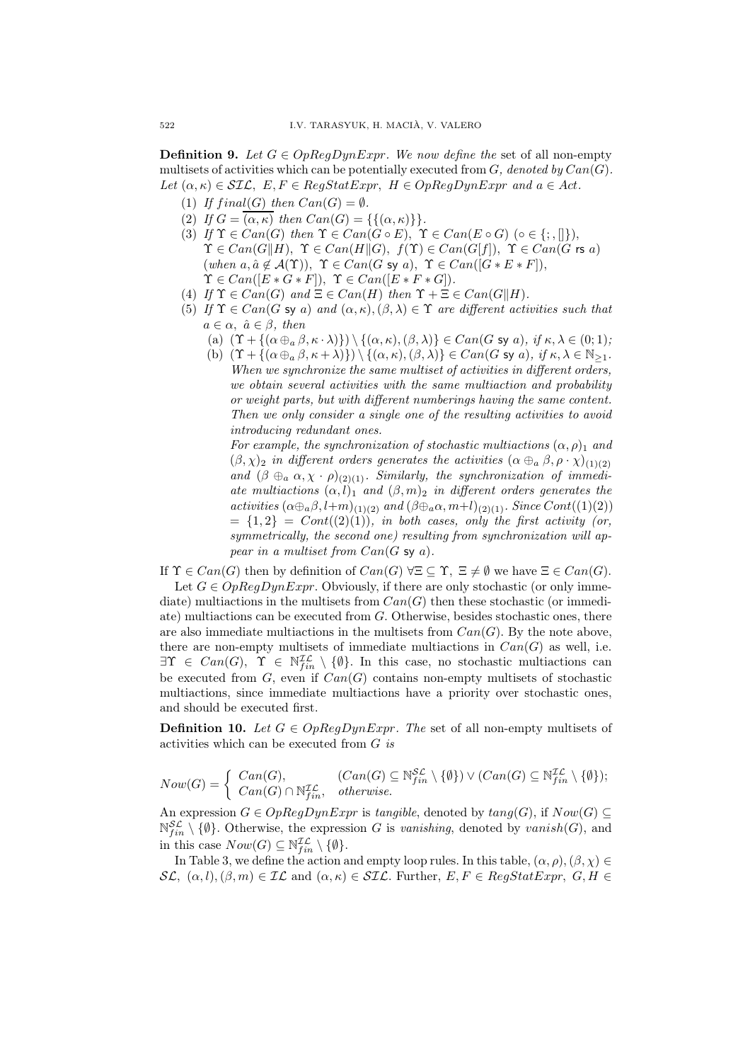**Definition 9.** Let  $G \in OpRegDynExpr$ . We now define the set of all non-empty multisets of activities which can be potentially executed from  $G$ , denoted by  $Can(G)$ . Let  $(\alpha, \kappa) \in \mathcal{SIL}$ ,  $E, F \in RegStatexpr$ ,  $H \in OpRegDynExpr$  and  $a \in Act$ .

- (1) If final(G) then  $Can(G) = \emptyset$ .
- (2) If  $G = \overline{(\alpha, \kappa)}$  then  $Can(G) = \{\{(\alpha, \kappa)\}\}.$
- (3) If  $\Upsilon \in Can(G)$  then  $\Upsilon \in Can(G \circ E)$ ,  $\Upsilon \in Can(E \circ G)$  ( $\circ \in \{\cdot, \cdot\}$ ),  $\Upsilon \in Can(G||H), \Upsilon \in Can(H||G), f(\Upsilon) \in Can(G|f]), \Upsilon \in Can(G \text{ rs } a)$ (when  $a, \hat{a} \notin \mathcal{A}(\Upsilon)$ ),  $\Upsilon \in Can(G \text{ sy } a)$ ,  $\Upsilon \in Can([G * E * F])$ ,  $\Upsilon \in Can([E * G * F]), \ \Upsilon \in Can([E * F * G]).$
- (4) If  $\Upsilon \in Can(G)$  and  $\Xi \in Can(H)$  then  $\Upsilon + \Xi \in Can(G||H)$ .
- (5) If  $\Upsilon \in Can(G \text{ sy } a)$  and  $(\alpha, \kappa), (\beta, \lambda) \in \Upsilon$  are different activities such that  $a \in \alpha$ ,  $\hat{a} \in \beta$ , then
	- (a)  $(\Upsilon + {\{\alpha \oplus_{a} \beta, \kappa \cdot \lambda\}} \setminus {\{\alpha, \kappa\}, \beta, \lambda\}} \in Can(G \text{ sy } a), \text{ if } \kappa, \lambda \in (0,1);$
	- (b)  $(\Upsilon + {\alpha \oplus_{a} \beta, \kappa + \lambda}) \ \ \} \ ( {\alpha, \kappa), (\beta, \lambda) } \in Can(G \text{ sy } a), \text{ if } \kappa, \lambda \in \mathbb{N}_{\geq 1}.$ When we synchronize the same multiset of activities in different orders, we obtain several activities with the same multiaction and probability or weight parts, but with different numberings having the same content. Then we only consider a single one of the resulting activities to avoid introducing redundant ones.

For example, the synchronization of stochastic multiactions  $(\alpha, \rho)_1$  and  $(\beta, \chi)_2$  in different orders generates the activities  $(\alpha \oplus_{\alpha} \beta, \rho \cdot \chi)_{(1)(2)}$ and  $(\beta \oplus_a \alpha, \chi \cdot \rho)_{(2)(1)}$ . Similarly, the synchronization of immediate multiactions  $(\alpha, l)_1$  and  $(\beta, m)_2$  in different orders generates the activities  $(\alpha \oplus_{a} \beta, l+m)_{(1)(2)}$  and  $(\beta \oplus_{a} \alpha, m+l)_{(2)(1)}$ . Since Cont((1)(2))  $= \{1,2\} = Cont((2)(1)),$  in both cases, only the first activity (or, symmetrically, the second one) resulting from synchronization will appear in a multiset from  $Can(G \text{ sy } a)$ .

If  $\Upsilon \in Can(G)$  then by definition of  $Can(G) \,\forall \Xi \subseteq \Upsilon$ ,  $\Xi \neq \emptyset$  we have  $\Xi \in Can(G)$ .

Let  $G \in OpRegDynExpr$ . Obviously, if there are only stochastic (or only immediate) multiactions in the multisets from  $Can(G)$  then these stochastic (or immediate) multiactions can be executed from G. Otherwise, besides stochastic ones, there are also immediate multiactions in the multisets from  $Can(G)$ . By the note above, there are non-empty multisets of immediate multiactions in  $Can(G)$  as well, i.e.  $\exists \Upsilon \in \text{Can}(G), \ \Upsilon \in \mathbb{N}_{fin}^{\mathcal{IL}} \setminus \{\emptyset\}.$  In this case, no stochastic multiactions can be executed from  $G$ , even if  $Can(G)$  contains non-empty multisets of stochastic multiactions, since immediate multiactions have a priority over stochastic ones, and should be executed first.

**Definition 10.** Let  $G \in OpRegDynExpr$ . The set of all non-empty multisets of activities which can be executed from G is

$$
Now(G) = \begin{cases} Can(G), & (Can(G) \subseteq \mathbb{N}_{fin}^{\mathcal{SL}} \setminus \{\emptyset\}) \vee (Can(G) \subseteq \mathbb{N}_{fin}^{\mathcal{IL}} \setminus \{\emptyset\}); \\ Can(G) \cap \mathbb{N}_{fin}^{\mathcal{IL}}, & otherwise. \end{cases}
$$

An expression  $G \in OpRegDynExpr$  is tangible, denoted by  $tang(G)$ , if  $Now(G) \subseteq$  $\mathbb{N}_{fin}^{\mathcal{SL}} \setminus \{\emptyset\}.$  Otherwise, the expression G is vanishing, denoted by vanish(G), and in this case  $Now(G) \subseteq \mathbb{N}_{fin}^{\mathcal{IL}} \setminus \{\emptyset\}.$ 

In Table 3, we define the action and empty loop rules. In this table,  $(\alpha, \rho), (\beta, \chi) \in$  $\mathcal{SL}, (\alpha, l), (\beta, m) \in \mathcal{IL}$  and  $(\alpha, \kappa) \in \mathcal{SIL}$ . Further,  $E, F \in \text{RegStatexpr}, G, H \in$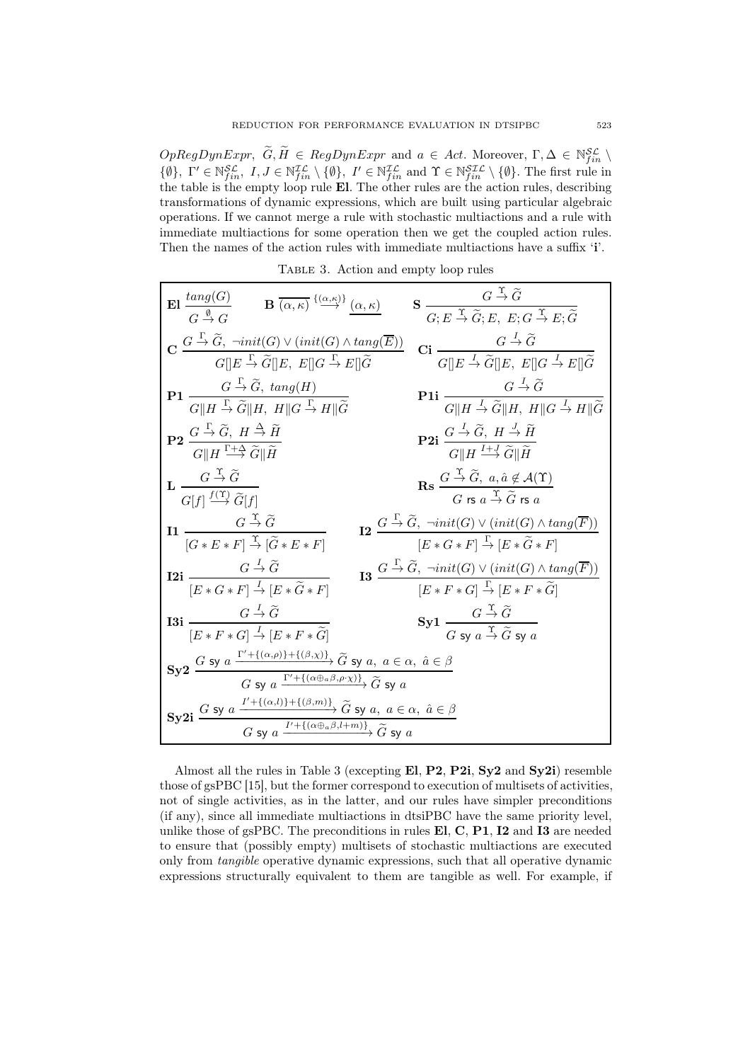$OpRegDynExpr, \ \widetilde{G}, \widetilde{H} \in RegDynExpr \text{ and } a \in Act.$  Moreover,  $\Gamma, \Delta \in \mathbb{N}_{fin}^{\mathcal{SL}} \setminus$  $\{\emptyset\},\ \Gamma' \in \mathbb{N}_{fin}^{\mathcal{SL}},\ I,J \in \mathbb{N}_{fin}^{\mathcal{IL}} \setminus \{\emptyset\},\ I' \in \mathbb{N}_{fin}^{\mathcal{IL}}\ \text{and}\ \Upsilon \in \mathbb{N}_{fin}^{\mathcal{SLL}} \setminus \{\emptyset\}.$  The first rule in the table is the empty loop rule El. The other rules are the action rules, describing transformations of dynamic expressions, which are built using particular algebraic operations. If we cannot merge a rule with stochastic multiactions and a rule with immediate multiactions for some operation then we get the coupled action rules. Then the names of the action rules with immediate multiactions have a suffix 'i'.

| TABLE 3. Action and empty loop rules |  |  |  |  |  |
|--------------------------------------|--|--|--|--|--|
|--------------------------------------|--|--|--|--|--|

| $\mathbf{El} \frac{tang(G)}{G \stackrel{\emptyset}{\rightarrow} G}$<br>$\mathbf{B} \xrightarrow{\alpha,\kappa} \xrightarrow{\{\alpha,\kappa\}} (\alpha,\kappa)$                                                                                                   | $\mathbf{S} \xrightarrow[G:E \xrightarrow{\Upsilon} \widetilde{G}; E, E; G \xrightarrow{\Upsilon} E; \widetilde{G}$                                                                                                     |
|-------------------------------------------------------------------------------------------------------------------------------------------------------------------------------------------------------------------------------------------------------------------|-------------------------------------------------------------------------------------------------------------------------------------------------------------------------------------------------------------------------|
| $\mathbf{C}\xrightarrow{G\overset{\Gamma}{\to}\widetilde{G},\ \neg init(G)\vee (init(G)\wedge tang(\overline{E}))}{G  E\overset{\Gamma}{\to}\widetilde{G}  E,\ E  G\overset{\Gamma}{\to}E  \widetilde{G}}$                                                        | Ci $\frac{G \stackrel{I}{\rightarrow} \widetilde{G}}{G    E \stackrel{I}{\rightarrow} \widetilde{G}    E, E    G \stackrel{I}{\rightarrow} E    \widetilde{G}}$                                                         |
| <b>P1</b> $\frac{G \overset{\Gamma}{\rightarrow} \widetilde{G}, \; \text{tang}(H)}{G \parallel H \overset{\Gamma}{\rightarrow} \widetilde{G} \parallel H, \; H \parallel G \overset{\Gamma}{\rightarrow} H \parallel \widetilde{G}}$                              | <b>P1i</b> $\frac{G \stackrel{I}{\rightarrow} \widetilde{G}}{G  H \stackrel{I}{\rightarrow} \widetilde{G}  H, H  G \stackrel{I}{\rightarrow} H  \widetilde{G}}$                                                         |
| $\mathbf{P2}\xrightarrow[G\mathrel{H}\overline{G},\ H\xrightarrow{\Gamma}\widetilde{G}\mathrel{H}\overline{H}$<br>$\overline{G}\mathrel{H}\overline{H}\xrightarrow{\Gamma+\Delta}\widetilde{G}\mathrel{H}\overline{H}$                                            | <b>P2i</b> $\frac{G \stackrel{I}{\rightarrow} \widetilde{G}, H \stackrel{J}{\rightarrow} \widetilde{H}}{G \parallel H \stackrel{I+J}{\rightarrow} \widetilde{G} \parallel \widetilde{H}}$                               |
| $\mathbf{L} \frac{G \stackrel{\mathrm{T}}{\rightarrow} \widetilde{G}}{G[f] \stackrel{f(\mathrm{T})}{\rightarrow} \widetilde{G}[f]}$                                                                                                                               | $\mathbf{Rs} \xrightarrow[G \xrightarrow{\Upsilon} \widetilde{G}, a, \hat{a} \notin \mathcal{A}(\Upsilon)]{}$<br>$G \mathop{\text{rs}} \nolimits a \xrightarrow{\Upsilon} \widetilde{G} \mathop{\text{rs}} \nolimits a$ |
| $\label{eqn:2} \mathbf{I1} \ \frac{G \stackrel{\gamma}{\rightarrow} \widetilde{G}}{[G * E * F] \stackrel{\gamma}{\rightarrow} [\widetilde{G} * E * F]}$                                                                                                           | $\sum_{i=1}^n G_i \rightarrow \widetilde{G}, \ \neg init(G) \vee (init(G) \wedge tang(F))$<br>$[E * G * F] \stackrel{\Gamma}{\rightarrow} [E * \widetilde{G} * F]$                                                      |
| $G \stackrel{I}{\rightarrow} \widetilde{G}$<br>$I2i$ —<br>$[E * G * F] \stackrel{I}{\rightarrow} [E * \widetilde{G} * F]$                                                                                                                                         | <b>13</b> $\frac{G \overset{\Gamma}{\rightarrow} \widetilde{G}, \ \neg init(G) \vee (init(G) \wedge tang(\overline{F}))}{[E * F * G] \overset{\Gamma}{\rightarrow} [E * F * \widetilde{G}]}$                            |
| $G \stackrel{I}{\rightarrow} \widetilde{G}$<br>$13i$ —<br>$[E * F * G] \stackrel{I}{\rightarrow} [E * F * \tilde{G}]$                                                                                                                                             | Sy1 $\frac{G \stackrel{1}{\rightarrow} \tilde{G}}{G \text{ sv } a \stackrel{\Upsilon}{\rightarrow} \tilde{G} \text{ sv } a}$                                                                                            |
| Sy2 $\frac{G \text{ sy } a \xrightarrow{\Gamma'+\{(\alpha,\rho)\}+\{(\beta,\chi)\}} \widetilde{G} \text{ sy } a, a \in \alpha, \hat{a} \in \beta}{G \text{ sy } a \xrightarrow{\Gamma'+\{(\alpha \oplus_a \beta,\rho \cdot \chi)\}} \widetilde{G} \text{ sy } a}$ |                                                                                                                                                                                                                         |
| $\textbf{Sy2i}\xrightarrow{G\text{ sy }a\xrightarrow{I'+\{(\alpha,l)\}+\{(\beta,m)\}}\widetilde{G}\text{ sy }a,\ a\in\alpha,\ \hat{a}\in\beta}{G\text{ sy }a\xrightarrow{I'+\{(\alpha\oplus_a\beta,l+m)\}}\widetilde{G}\text{ sy }a}$                             |                                                                                                                                                                                                                         |

Almost all the rules in Table 3 (excepting El, P2, P2i, Sy2 and Sy2i) resemble those of gsPBC [15], but the former correspond to execution of multisets of activities, not of single activities, as in the latter, and our rules have simpler preconditions (if any), since all immediate multiactions in dtsiPBC have the same priority level, unlike those of gsPBC. The preconditions in rules  $E1, C, P1, I2$  and  $I3$  are needed to ensure that (possibly empty) multisets of stochastic multiactions are executed only from tangible operative dynamic expressions, such that all operative dynamic expressions structurally equivalent to them are tangible as well. For example, if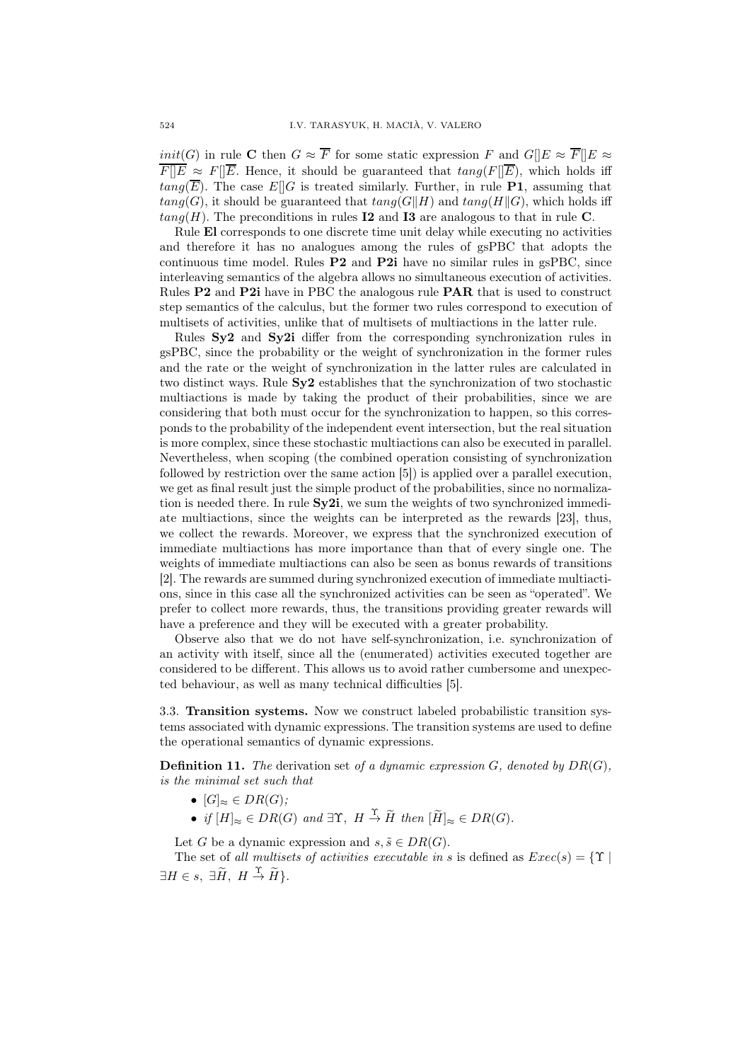*init*(G) in rule C then  $G \approx \overline{F}$  for some static expression F and  $G||E \approx \overline{F}||E \approx$  $\overline{F||E} \approx F||\overline{E}$ . Hence, it should be guaranteed that  $tang(F||\overline{E})$ , which holds iff  $tang(\overline{E})$ . The case  $E[[G]$  is treated similarly. Further, in rule **P1**, assuming that  $tang(G)$ , it should be guaranteed that  $tang(G||H)$  and  $tang(H||G)$ , which holds iff  $tang(H)$ . The preconditions in rules I2 and I3 are analogous to that in rule C.

Rule El corresponds to one discrete time unit delay while executing no activities and therefore it has no analogues among the rules of gsPBC that adopts the continuous time model. Rules  $P2$  and  $P2i$  have no similar rules in gsPBC, since interleaving semantics of the algebra allows no simultaneous execution of activities. Rules P2 and P2i have in PBC the analogous rule PAR that is used to construct step semantics of the calculus, but the former two rules correspond to execution of multisets of activities, unlike that of multisets of multiactions in the latter rule.

Rules Sy2 and Sy2i differ from the corresponding synchronization rules in gsPBC, since the probability or the weight of synchronization in the former rules and the rate or the weight of synchronization in the latter rules are calculated in two distinct ways. Rule  $S_{\rm V2}$  establishes that the synchronization of two stochastic multiactions is made by taking the product of their probabilities, since we are considering that both must occur for the synchronization to happen, so this corresponds to the probability of the independent event intersection, but the real situation is more complex, since these stochastic multiactions can also be executed in parallel. Nevertheless, when scoping (the combined operation consisting of synchronization followed by restriction over the same action [5]) is applied over a parallel execution, we get as final result just the simple product of the probabilities, since no normalization is needed there. In rule Sy2i, we sum the weights of two synchronized immediate multiactions, since the weights can be interpreted as the rewards [23], thus, we collect the rewards. Moreover, we express that the synchronized execution of immediate multiactions has more importance than that of every single one. The weights of immediate multiactions can also be seen as bonus rewards of transitions [2]. The rewards are summed during synchronized execution of immediate multiactions, since in this case all the synchronized activities can be seen as "operated". We prefer to collect more rewards, thus, the transitions providing greater rewards will have a preference and they will be executed with a greater probability.

Observe also that we do not have self-synchronization, i.e. synchronization of an activity with itself, since all the (enumerated) activities executed together are considered to be different. This allows us to avoid rather cumbersome and unexpected behaviour, as well as many technical difficulties [5].

3.3. Transition systems. Now we construct labeled probabilistic transition systems associated with dynamic expressions. The transition systems are used to define the operational semantics of dynamic expressions.

**Definition 11.** The derivation set of a dynamic expression  $G$ , denoted by  $DR(G)$ , is the minimal set such that

- $[G]_{\approx} \in DR(G);$
- if  $[H]_{\approx} \in DR(G)$  and  $\exists \Upsilon$ ,  $H \stackrel{\Upsilon}{\rightarrow} \widetilde{H}$  then  $[\widetilde{H}]_{\approx} \in DR(G)$ .

Let G be a dynamic expression and  $s, \tilde{s} \in DR(G)$ .

The set of all multisets of activities executable in s is defined as  $Exec(s) = \{\Upsilon \mid$  $\exists H \in s, \ \exists \widetilde{H}, \ H \stackrel{\Upsilon}{\rightarrow} \widetilde{H} \}.$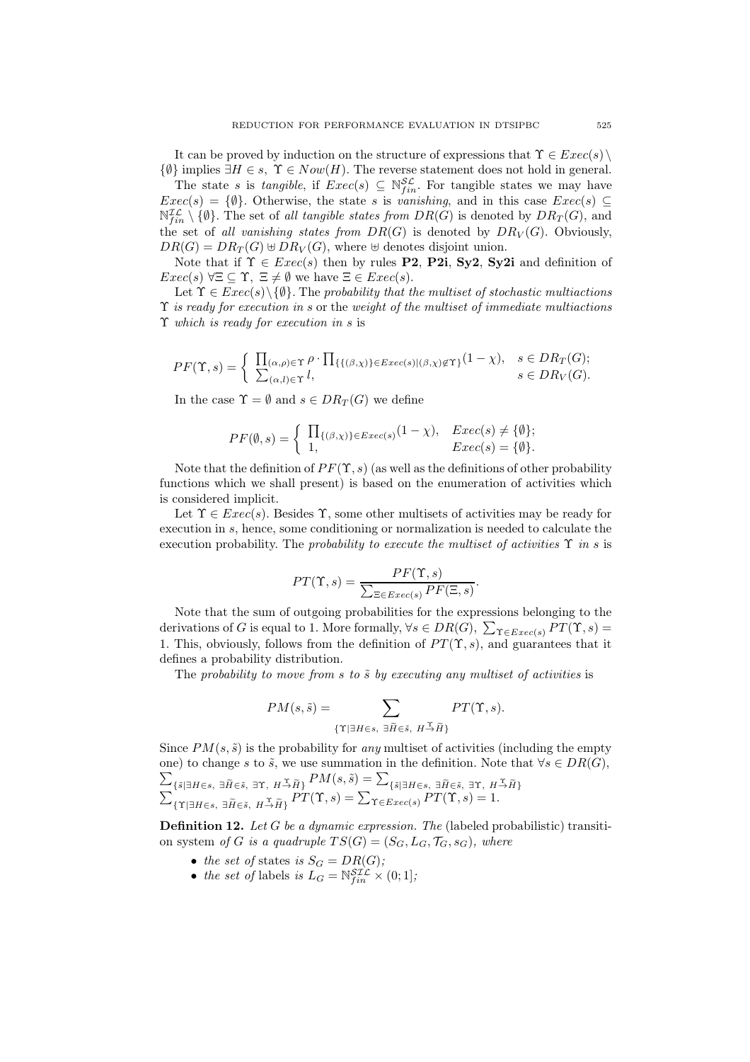It can be proved by induction on the structure of expressions that  $\Upsilon \in \mathit{Exec}(s) \setminus \mathcal{L}$  $\{\emptyset\}$  implies  $\exists H \in s$ ,  $\Upsilon \in Now(H)$ . The reverse statement does not hold in general.

The state s is tangible, if  $Exec(s) \subseteq \mathbb{N}_{fin}^{\mathcal{SL}}$ . For tangible states we may have  $Exec(s) = \{\emptyset\}$ . Otherwise, the state s is vanishing, and in this case  $Exec(s) \subseteq$  $\mathbb{N}_{fin}^{\mathcal{IL}} \setminus \{\emptyset\}.$  The set of all tangible states from  $DR(\tilde{G})$  is denoted by  $DR_T(G)$ , and the set of all vanishing states from  $DR(G)$  is denoted by  $DR_V(G)$ . Obviously,  $DR(G) = DR_T(G) \oplus DR_V(G)$ , where  $\oplus$  denotes disjoint union.

Note that if  $\Upsilon \in \text{Exec}(s)$  then by rules **P2**, **P2i**, **Sy2**, **Sy2i** and definition of  $Exec(s) \,\forall \Xi \subseteq \Upsilon, \, \Xi \neq \emptyset$  we have  $\Xi \in Excel(s)$ .

Let  $\Upsilon \in \mathit{Exec}(s) \setminus \{\emptyset\}$ . The probability that the multiset of stochastic multiactions  $\Upsilon$  is ready for execution in s or the weight of the multiset of immediate multiactions Υ which is ready for execution in s is

$$
PF(\Upsilon, s) = \begin{cases} \prod_{(\alpha, \rho) \in \Upsilon} \rho \cdot \prod_{\{ \{ (\beta, \chi) \} \in E \text{vec}(s) \mid (\beta, \chi) \notin \Upsilon \}} (1 - \chi), & s \in DR_T(G); \\ \sum_{(\alpha, l) \in \Upsilon} l, & s \in DR_V(G). \end{cases}
$$

In the case  $\Upsilon = \emptyset$  and  $s \in DR_T(G)$  we define

$$
PF(\emptyset, s) = \begin{cases} \prod_{\{(\beta, \chi)\}\in \text{Exec}(s)} (1 - \chi), & \text{Exec}(s) \neq \{\emptyset\}; \\ 1, & \text{Exec}(s) = \{\emptyset\}. \end{cases}
$$

Note that the definition of  $PF(\Upsilon, s)$  (as well as the definitions of other probability functions which we shall present) is based on the enumeration of activities which is considered implicit.

Let  $\Upsilon \in \text{Exec}(s)$ . Besides  $\Upsilon$ , some other multisets of activities may be ready for execution in s, hence, some conditioning or normalization is needed to calculate the execution probability. The probability to execute the multiset of activities  $\Upsilon$  in s is

$$
PT(\Upsilon, s) = \frac{PF(\Upsilon, s)}{\sum_{\Xi \in \text{Exec}(s)} PF(\Xi, s)}.
$$

Note that the sum of outgoing probabilities for the expressions belonging to the derivations of G is equal to 1. More formally,  $\forall s \in DR(G), \sum_{\Upsilon \in Excel(s)} PT(\Upsilon, s) =$ 1. This, obviously, follows from the definition of  $PT(\Upsilon, s)$ , and guarantees that it defines a probability distribution.

The probability to move from s to  $\tilde{s}$  by executing any multiset of activities is

$$
PM(s, \tilde{s}) = \sum_{\{\Upsilon \mid \exists H \in s, \ \exists \tilde{H} \in \tilde{s}, \ H \stackrel{\Upsilon}{\rightarrow} \tilde{H}\}} PT(\Upsilon, s).
$$

Since  $PM(s, \tilde{s})$  is the probability for any multiset of activities (including the empty one) to change s to  $\tilde{s}$ , we use summation in the definition. Note that  $\forall s \in DR(G)$ ,  $\sum_{\{\tilde{s}|\exists H\in s,\ \exists \tilde{H}\in \tilde{s},\ H\to \tilde{H}\}}PM(s,\tilde{s}) = \sum_{\{\tilde{s}|\exists H\in s,\ \exists \tilde{H}\in \tilde{s},\ H\to \tilde{H}\}}PM(s,\tilde{s}) = \sum_{\{\tilde{s}|\exists H\in s,\ \exists \tilde{H}\in \tilde{s},\ H\to \tilde{H}\}}PM(s,\tilde{s}) = \sum_{\{\tilde{s}|\exists H\in s,\ \exists \tilde{H}\in \tilde{s},\ H\to \tilde{H}\}}PM(s,\tilde{s}) = \sum_{\{\tilde{s}|\exists H\in s,\ \exists \tilde{H}\$ 

**Definition 12.** Let G be a dynamic expression. The (labeled probabilistic) transition system of G is a quadruple  $TS(G) = (S_G, L_G, \mathcal{T}_G, s_G)$ , where

- the set of states is  $S_G = DR(G);$
- the set of labels is  $L_G = \mathbb{N}_{fin}^{\mathcal{SLL}} \times (0,1];$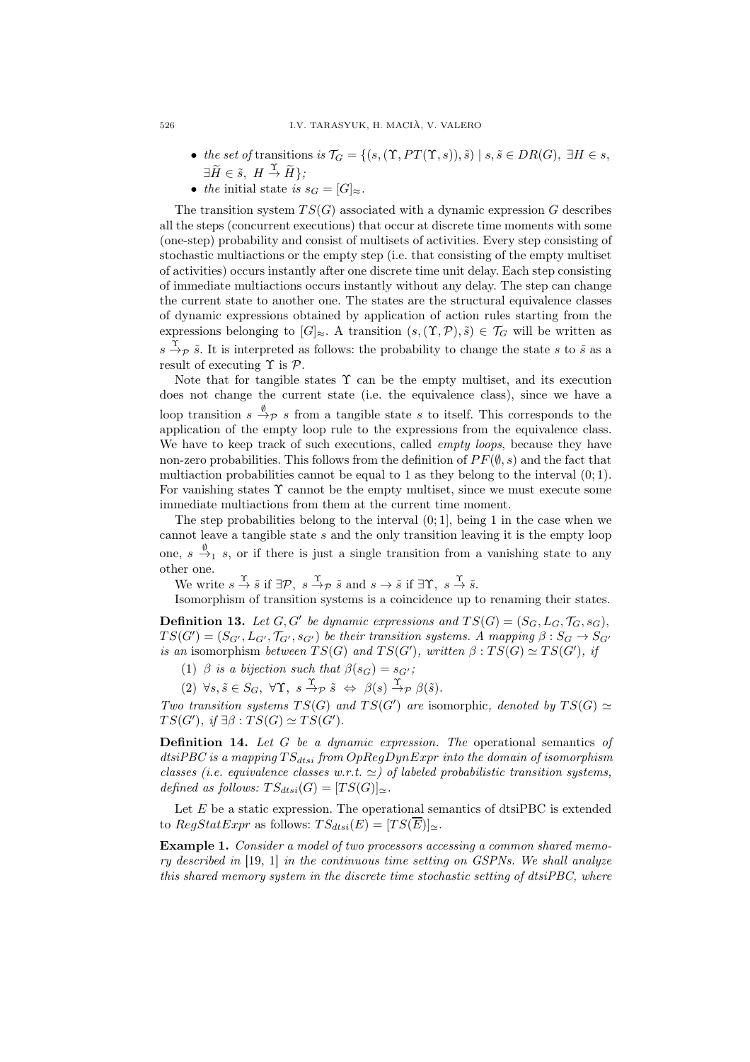- the set of transitions is  $\mathcal{T}_G = \{ (s, (\Upsilon, PT(\Upsilon, s)), \tilde{s}) \mid s, \tilde{s} \in DR(G), \exists H \in s,$  $\exists \widetilde{H} \in \widetilde{s}, H \stackrel{\Upsilon}{\rightarrow} \widetilde{H} \};$
- the initial state is  $s_G = [G]_{\approx}$ .

The transition system  $TS(G)$  associated with a dynamic expression G describes all the steps (concurrent executions) that occur at discrete time moments with some (one-step) probability and consist of multisets of activities. Every step consisting of stochastic multiactions or the empty step (i.e. that consisting of the empty multiset of activities) occurs instantly after one discrete time unit delay. Each step consisting of immediate multiactions occurs instantly without any delay. The step can change the current state to another one. The states are the structural equivalence classes of dynamic expressions obtained by application of action rules starting from the expressions belonging to  $[G]_{\approx}$ . A transition  $(s,(\Upsilon,\mathcal{P}),\tilde{s}) \in \mathcal{T}_G$  will be written as  $s \stackrel{\Upsilon}{\rightarrow} p \tilde{s}$ . It is interpreted as follows: the probability to change the state s to  $\tilde{s}$  as a result of executing  $\Upsilon$  is  $\mathcal{P}$ .

Note that for tangible states  $\Upsilon$  can be the empty multiset, and its execution does not change the current state (i.e. the equivalence class), since we have a loop transition  $s \xrightarrow{\emptyset} s$  from a tangible state s to itself. This corresponds to the application of the empty loop rule to the expressions from the equivalence class. We have to keep track of such executions, called *empty loops*, because they have non-zero probabilities. This follows from the definition of  $PF(\emptyset, s)$  and the fact that multiaction probabilities cannot be equal to 1 as they belong to the interval  $(0, 1)$ . For vanishing states  $\Upsilon$  cannot be the empty multiset, since we must execute some immediate multiactions from them at the current time moment.

The step probabilities belong to the interval  $(0, 1]$ , being 1 in the case when we cannot leave a tangible state  $s$  and the only transition leaving it is the empty loop one,  $s \stackrel{\emptyset}{\rightarrow}_1 s$ , or if there is just a single transition from a vanishing state to any other one.

We write  $s \stackrel{\Upsilon}{\rightarrow} \tilde{s}$  if  $\exists \mathcal{P}, s \stackrel{\Upsilon}{\rightarrow} \tilde{s}$  and  $s \rightarrow \tilde{s}$  if  $\exists \Upsilon, s \stackrel{\Upsilon}{\rightarrow} \tilde{s}$ .

Isomorphism of transition systems is a coincidence up to renaming their states.

**Definition 13.** Let  $G, G'$  be dynamic expressions and  $TS(G) = (S_G, L_G, \mathcal{T}_G, s_G)$ ,  $TS(G') = (S_{G'}, L_{G'}, \mathcal{T}_{G'}, s_{G'})$  be their transition systems. A mapping  $\beta : S_G \rightarrow S_{G'}$ is an isomorphism between  $TS(G)$  and  $TS(G')$ , written  $\beta: TS(G) \simeq TS(G')$ , if

(1)  $\beta$  is a bijection such that  $\beta(s_G) = s_{G'}$ ;

(2)  $\forall s, \tilde{s} \in S_G$ ,  $\forall \Upsilon$ ,  $s \stackrel{\Upsilon}{\rightarrow} p \tilde{s} \Leftrightarrow \beta(s) \stackrel{\Upsilon}{\rightarrow} p \beta(\tilde{s})$ .

Two transition systems  $TS(G)$  and  $TS(G')$  are isomorphic, denoted by  $TS(G) \simeq$  $TS(G')$ , if  $\exists \beta : TS(G) \simeq TS(G')$ .

**Definition 14.** Let  $G$  be a dynamic expression. The operational semantics of dtsiPBC is a mapping  $TS_{dtsi}$  from  $OpRegDynExpr$  into the domain of isomorphism classes (i.e. equivalence classes w.r.t.  $\approx$ ) of labeled probabilistic transition systems, defined as follows:  $TS_{dtsi}(G) = [TS(G)]_{\simeq}$ .

Let  $E$  be a static expression. The operational semantics of dtsiPBC is extended to  $RegStatexpr$  as follows:  $TS_{dtsi}(E) = [TS(\overline{E})]_{\sim}$ .

Example 1. Consider a model of two processors accessing a common shared memory described in [19, 1] in the continuous time setting on GSPNs. We shall analyze this shared memory system in the discrete time stochastic setting of dtsiPBC, where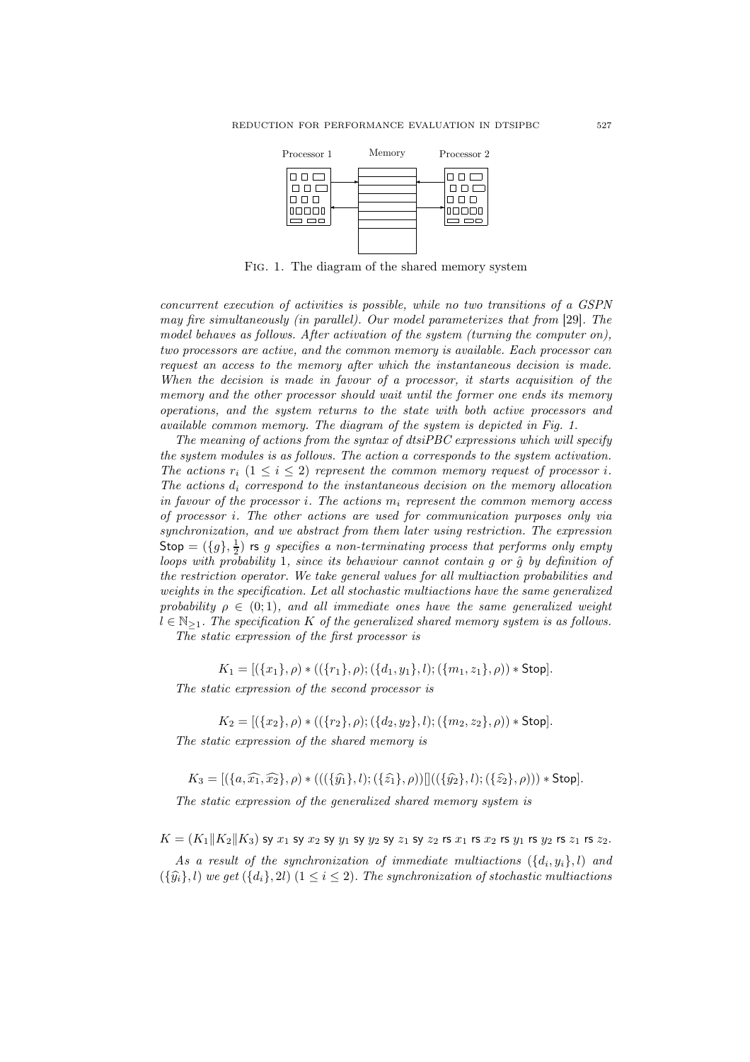

Fig. 1. The diagram of the shared memory system

concurrent execution of activities is possible, while no two transitions of a GSPN may fire simultaneously (in parallel). Our model parameterizes that from [29]. The model behaves as follows. After activation of the system (turning the computer on), two processors are active, and the common memory is available. Each processor can request an access to the memory after which the instantaneous decision is made. When the decision is made in favour of a processor, it starts acquisition of the memory and the other processor should wait until the former one ends its memory operations, and the system returns to the state with both active processors and available common memory. The diagram of the system is depicted in Fig. 1.

The meaning of actions from the syntax of dtsiPBC expressions which will specify the system modules is as follows. The action a corresponds to the system activation. The actions  $r_i$   $(1 \leq i \leq 2)$  represent the common memory request of processor i. The actions  $d_i$  correspond to the instantaneous decision on the memory allocation in favour of the processor i. The actions  $m_i$  represent the common memory access of processor i. The other actions are used for communication purposes only via synchronization, and we abstract from them later using restriction. The expression Stop =  $(\lbrace g \rbrace, \frac{1}{2})$  rs g specifies a non-terminating process that performs only empty loops with probability 1, since its behaviour cannot contain g or  $\hat{q}$  by definition of the restriction operator. We take general values for all multiaction probabilities and weights in the specification. Let all stochastic multiactions have the same generalized probability  $\rho \in (0,1)$ , and all immediate ones have the same generalized weight  $l \in \mathbb{N}_{\geq 1}$ . The specification K of the generalized shared memory system is as follows.

The static expression of the first processor is

 $K_1 = [(\{x_1\}, \rho) * ((\{r_1\}, \rho); (\{d_1, y_1\}, l); (\{m_1, z_1\}, \rho)) * Stop].$ 

The static expression of the second processor is

 $K_2 = [(\{x_2\}, \rho) * ((\{r_2\}, \rho); (\{d_2, y_2\}, l); (\{m_2, z_2\}, \rho)) * Stop].$ 

The static expression of the shared memory is

 $K_3 = [(\{a,\widehat{x_1},\widehat{x_2}\},\rho) * (((\{\widehat{y_1}\},l);(\{\widehat{z_1}\},\rho))|)((\{\widehat{y_2}\},l);(\{\widehat{z_2}\},\rho))) * Stop].$ 

The static expression of the generalized shared memory system is

 $K = (K_1||K_2||K_3)$  sy  $x_1$  sy  $x_2$  sy  $y_1$  sy  $y_2$  sy  $z_1$  sy  $z_2$  rs  $x_1$  rs  $x_2$  rs  $y_1$  rs  $y_2$  rs  $z_1$  rs  $z_2$ .

As a result of the synchronization of immediate multiactions  $({d_i,y_i},l)$  and  $({\{\hat{y}_i\}}, l)$  we get  $({d_i}, 2l)$   $(1 \leq i \leq 2)$ . The synchronization of stochastic multiactions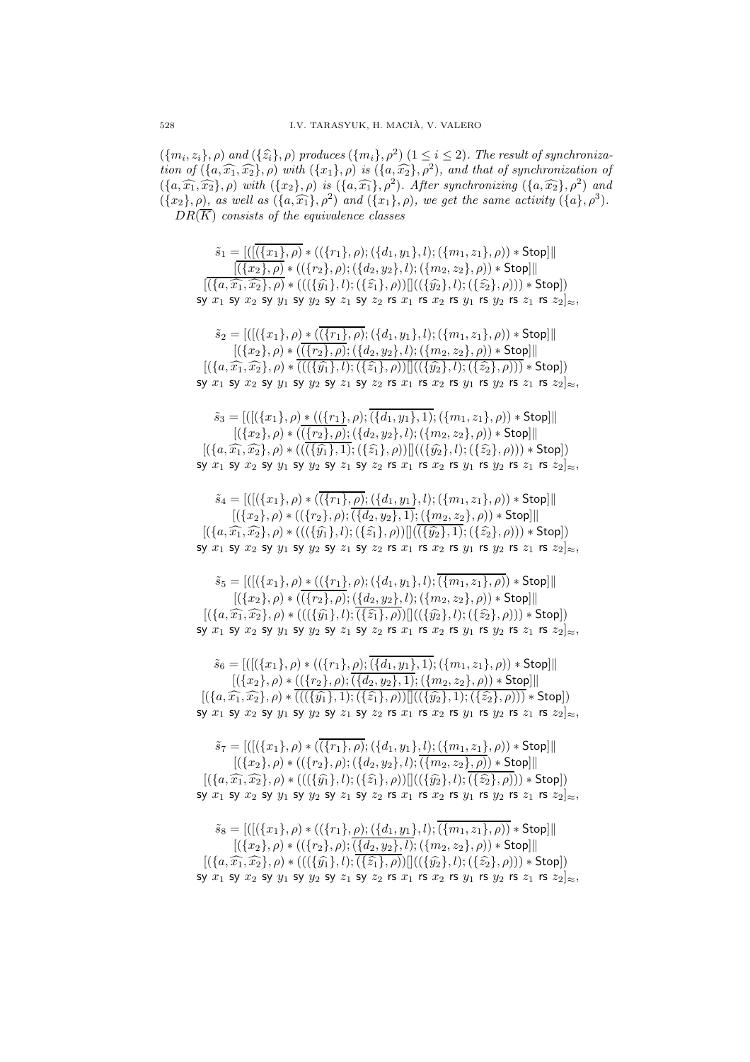$({m_i, z_i}, \rho)$  and  $({\hat{z_i}}, \rho)$  produces  $({m_i}, \rho^2)$   $(1 \leq i \leq 2)$ . The result of synchronization of  $(\{a, \widehat{x_1}, \widehat{x_2}\}, \rho)$  with  $(\{x_1\}, \rho)$  is  $(\{a, \widehat{x_2}\}, \rho^2)$ , and that of synchronization of  $(\{a,\widehat{x_1},\widehat{x_2}\},\rho)$  with  $(\{x_2\},\rho)$  is  $(\{a,\widehat{x_1}\},\rho^2)$ . After synchronizing  $(\{a,\widehat{x_2}\},\rho^2)$  and  $({x_2}, \rho)$ , as well as  $({a}, \widehat{x_1}, \rho^2)$  and  $({x_1}, \rho)$ , we get the same activity  $({a}, \rho^3)$ .  $DR(\overline{K})$  consists of the equivalence classes

 $\tilde{s}_1 = [([\overline{\{\{x_1\}, \rho\}} \ast ((\{r_1\}, \rho); (\{d_1, y_1\}, l); (\{m_1, z_1\}, \rho)) \ast \text{Stop}]]$  $[(\overline{\{x_2\}, \rho}) * ((\overline{\{r_2\}, \rho}); (\overline{\{d_2, y_2\}, l}); (\overline{\{m_2, z_2\}, \rho)}) * \text{Stop}$  $[(\{a,\widehat{x_1},\widehat{x_2}\},\rho) * (((\{\widehat{y_1}\},l);(\{\widehat{z_1}\},\rho))]]((\{\widehat{y_2}\},l);(\{\widehat{z_2}\},\rho))) * Stop]$ sy  $x_1$  sy  $x_2$  sy  $y_1$  sy  $y_2$  sy  $z_1$  sy  $z_2$  rs  $x_1$  rs  $x_2$  rs  $y_1$  rs  $y_2$  rs  $z_1$  rs  $z_2|_{\approx}$ ,  $\tilde{s}_2 = [([({x_1}, \rho) * (\overline({{r_1}, \rho});({d_1}, y_1), l); ({m_1}, z_1), \rho) * Stop]]$  $[(\{x_2\}, \rho) * (\overline{(\{r_2\}, \rho)}; (\{d_2, y_2\}, l); (\{m_2, z_2\}, \rho)) * \textsf{Stop}]]$  $[(\{a,\widehat{x_1},\widehat{x_2}\},\rho) * (((\{\widehat{y_1}\},l);(\{\widehat{z_1}\},\rho))|)((\{\widehat{y_2}\},l);(\{\widehat{z_2}\},\rho))) * Stop]$ sy  $x_1$  sy  $x_2$  sy  $y_1$  sy  $y_2$  sy  $z_1$  sy  $z_2$  rs  $x_1$  rs  $x_2$  rs  $y_1$  rs  $y_2$  rs  $z_1$  rs  $z_2|_{\approx}$ ,  $\tilde{s}_3 = [([({x_1}, \rho) * (({r_1}, \rho); \overline{({d_1}, y_1)}, 1); ({m_1}, z_1), \rho)) * Stop]]$  $[(\{x_2\}, \rho) * (\overline{(\{r_2\}, \rho)}; (\{d_2, y_2\}, l); (\{m_2, z_2\}, \rho)) * \text{Stop}]]$  $[(\{a,\widehat{x_1},\widehat{x_2}\},\rho) * ((\overline{(\{\hat{y_1}\},1)};(\{\hat{z_1}\},\rho))|)((\{\hat{y_2}\},l);(\{\hat{z_2}\},\rho))) * Stop]$ sy  $x_1$  sy  $x_2$  sy  $y_1$  sy  $y_2$  sy  $z_1$  sy  $z_2$  rs  $x_1$  rs  $x_2$  rs  $y_1$  rs  $y_2$  rs  $z_1$  rs  $z_2|_{\approx}$ ,  $\tilde{s}_4 = [([({x_1}, \rho) * (\overline{({r_1}, \rho)}; ({d_1}, y_1), l); ({m_1}, z_1), \rho)) * Stop]]$  $[(\{x_2\}, \rho) * ((\{r_2\}, \rho); \overline{(\{d_2, y_2\}, 1)}; (\{m_2, z_2\}, \rho)) * Stop]]$  $[(\{a,\widehat{x_1},\widehat{x_2}\},\rho) * (((\{\widehat{y_1}\},l);(\{\widehat{z_1}\},\rho))][(\overline{(\{\widehat{y_2}\},1)};(\{\widehat{z_2}\},\rho))) * Stop]$ sy  $x_1$  sy  $x_2$  sy  $y_1$  sy  $y_2$  sy  $z_1$  sy  $z_2$  rs  $x_1$  rs  $x_2$  rs  $y_1$  rs  $y_2$  rs  $z_1$  rs  $z_2|_{\approx}$ ,  $s_5 = [([({x_1}, \rho) * (({r_1}, \rho);({d_1}, y_1), l); \overline{({m_1}, z_1}, \rho) * Stop]]$  $[(\{x_2\}, \rho) * ((\{r_2\}, \rho); (\{d_2, y_2\}, l); (\{m_2, z_2\}, \rho)) * \text{Stop}]]$  $[(\{a,\widehat{x_1},\widehat{x_2}\},\rho) * (((\{\widehat{y_1}\},l);(\{\widehat{z_1}\},\rho))||((\{\widehat{y_2}\},l);(\{\widehat{z_2}\},\rho))) * Stop]$ sy  $x_1$  sy  $x_2$  sy  $y_1$  sy  $y_2$  sy  $z_1$  sy  $z_2$  rs  $x_1$  rs  $x_2$  rs  $y_1$  rs  $y_2$  rs  $z_1$  rs  $z_2|_{\approx}$ ,  $\tilde{s}_6 = [([({x_1}, \rho) * (({r_1}, \rho); \overline{({d_1}, y_1)}, 1); ({m_1}, z_1), \rho)) * Stop]]$  $[(\{x_2\}, \rho) * ((\{r_2\}, \rho); \overline{(\{d_2, y_2\}, 1)}; (\{m_2, z_2\}, \rho)) * \textsf{Stop}]\|$  $[(\{a,\widehat{x_1},\widehat{x_2}\},\rho) * (((\{\widehat{y_1}\},1);(\{\widehat{z_1}\},\rho))||((\{\widehat{y_2}\},1);(\{\widehat{z_2}\},\rho))) * Stop])$ sy  $x_1$  sy  $x_2$  sy  $y_1$  sy  $y_2$  sy  $z_1$  sy  $z_2$  rs  $x_1$  rs  $x_2$  rs  $y_1$  rs  $y_2$  rs  $z_1$  rs  $z_2|_{\approx}$ ,  $\tilde{s}_7 = [([({x_1}, \rho) * (\overline{({r_1}, \rho)}; ({a_1}, y_1), l); ({m_1}, z_1), \rho) * Stop]]$  $[(\{x_2\}, \rho) * ((\{r_2\}, \rho); (\{d_2, y_2\}, l); \overline{(\{m_2, z_2\}, \rho)}) * \text{Stop}]]$  $[(\{a,\widehat{x_1},\widehat{x_2}\},\rho) * (((\{\widehat{y_1}\},l);(\{\widehat{z_1}\},\rho))]]((\{\widehat{y_2}\},l);(\overline{\{\widehat{z_2}\},\rho)}]) * Stop]$ sy  $x_1$  sy  $x_2$  sy  $y_1$  sy  $y_2$  sy  $z_1$  sy  $z_2$  rs  $x_1$  rs  $x_2$  rs  $y_1$  rs  $y_2$  rs  $z_1$  rs  $z_2|_{\approx}$ ,  $\tilde{s}_8 = [([({x_1}, \rho) * (({r_1}, \rho);({d_1}, y_1), l); \overline{({m_1}, z_1}, \rho)) * Stop]]$  $[(\{x_2\}, \rho) * ((\{r_2\}, \rho); (\{d_2, y_2\}, l); (\{m_2, z_2\}, \rho)) * \text{Stop}]]$  $[(\{a,\widehat{x_1},\widehat{x_2}\},\rho) * (((\{\widehat{y_1}\},l);(\{\widehat{z_1}\},\rho))||((\{\widehat{y_2}\},l);(\{\widehat{z_2}\},\rho))) * Stop]$ sy  $x_1$  sy  $x_2$  sy  $y_1$  sy  $y_2$  sy  $z_1$  sy  $z_2$  rs  $x_1$  rs  $x_2$  rs  $y_1$  rs  $y_2$  rs  $z_1$  rs  $z_2|_{\infty}$ ,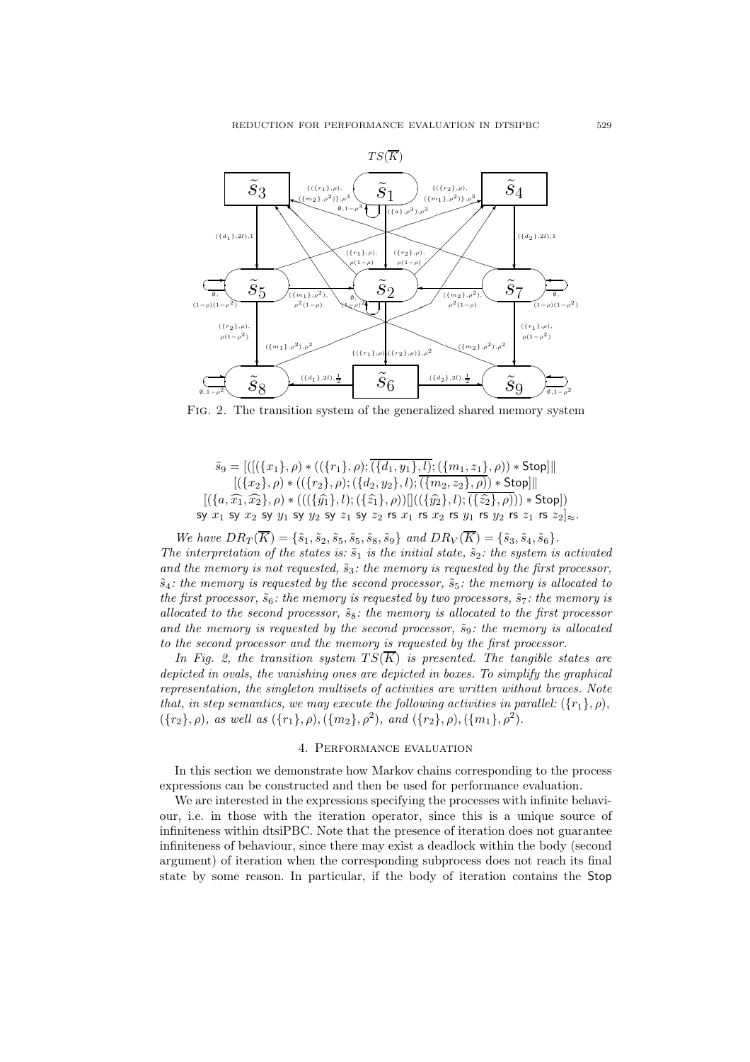

Fig. 2. The transition system of the generalized shared memory system

$$
\tilde{s}_9 = [([(\{(x_1\}, \rho) * ((\{r_1\}, \rho); \overline{(\{d_1, y_1\}, l); (\{m_1, z_1\}, \rho)) * \text{Stop}]]|
$$
  
\n
$$
[(\{x_2\}, \rho) * ((\{r_2\}, \rho); (\{d_2, y_2\}, l); \overline{(\{m_2, z_2\}, \rho)) * \text{Stop}]]|
$$
  
\n
$$
[(\{a, \widehat{x_1}, \widehat{x_2}\}, \rho) * (((\{\widehat{y_1}\}, l); (\{\widehat{z_1}\}, \rho))]]((\{\widehat{y_2}\}, l); \overline{(\{\widehat{z_2}\}, \rho))}) * \text{Stop}]
$$
  
\n
$$
\text{sy } x_1 \text{ sy } x_2 \text{ sy } y_1 \text{ sy } y_2 \text{ sy } z_1 \text{ sy } z_2 \text{ rs } x_1 \text{ rs } x_2 \text{ rs } y_1 \text{ rs } y_2 \text{ rs } z_1 \text{ rs } z_2 \text{ oz}
$$

We have  $DR_T(\overline{K}) = \{\tilde{s}_1, \tilde{s}_2, \tilde{s}_5, \tilde{s}_5, \tilde{s}_8, \tilde{s}_9\}$  and  $DR_V(\overline{K}) = \{\tilde{s}_3, \tilde{s}_4, \tilde{s}_6\}.$ The interpretation of the states is:  $\tilde{s}_1$  is the initial state,  $\tilde{s}_2$ : the system is activated and the memory is not requested,  $\tilde{s}_3$ : the memory is requested by the first processor,  $\tilde{s}_4$ : the memory is requested by the second processor,  $\tilde{s}_5$ : the memory is allocated to the first processor,  $\tilde{s}_6$ : the memory is requested by two processors,  $\tilde{s}_7$ : the memory is allocated to the second processor,  $\tilde{s}_8$ : the memory is allocated to the first processor and the memory is requested by the second processor,  $\tilde{s}_9$ : the memory is allocated to the second processor and the memory is requested by the first processor.

In Fig. 2, the transition system  $TS(\overline{K})$  is presented. The tangible states are depicted in ovals, the vanishing ones are depicted in boxes. To simplify the graphical representation, the singleton multisets of activities are written without braces. Note that, in step semantics, we may execute the following activities in parallel:  $({r_1}, \rho)$ ,  $({r_2}, \rho)$ , as well as  $({r_1}, \rho), ({m_2}, \rho^2)$ , and  $({r_2}, \rho), ({m_1}, \rho^2)$ .

#### 4. Performance evaluation

In this section we demonstrate how Markov chains corresponding to the process expressions can be constructed and then be used for performance evaluation.

We are interested in the expressions specifying the processes with infinite behaviour, i.e. in those with the iteration operator, since this is a unique source of infiniteness within dtsiPBC. Note that the presence of iteration does not guarantee infiniteness of behaviour, since there may exist a deadlock within the body (second argument) of iteration when the corresponding subprocess does not reach its final state by some reason. In particular, if the body of iteration contains the Stop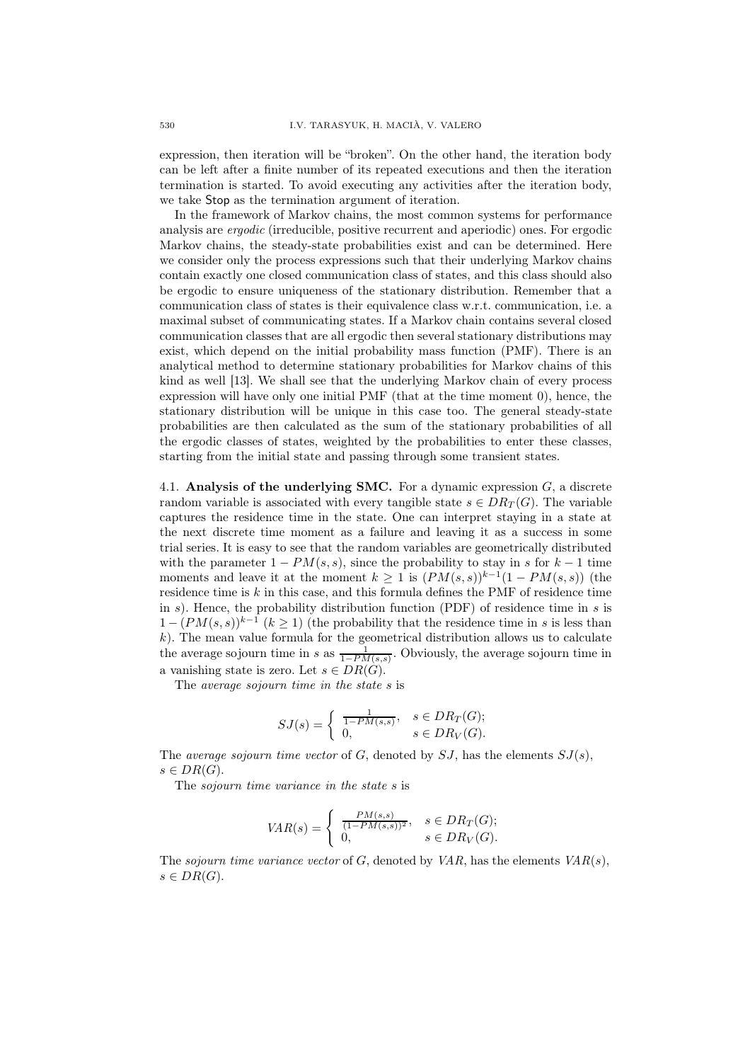expression, then iteration will be "broken". On the other hand, the iteration body can be left after a finite number of its repeated executions and then the iteration termination is started. To avoid executing any activities after the iteration body, we take Stop as the termination argument of iteration.

In the framework of Markov chains, the most common systems for performance analysis are ergodic (irreducible, positive recurrent and aperiodic) ones. For ergodic Markov chains, the steady-state probabilities exist and can be determined. Here we consider only the process expressions such that their underlying Markov chains contain exactly one closed communication class of states, and this class should also be ergodic to ensure uniqueness of the stationary distribution. Remember that a communication class of states is their equivalence class w.r.t. communication, i.e. a maximal subset of communicating states. If a Markov chain contains several closed communication classes that are all ergodic then several stationary distributions may exist, which depend on the initial probability mass function (PMF). There is an analytical method to determine stationary probabilities for Markov chains of this kind as well [13]. We shall see that the underlying Markov chain of every process expression will have only one initial PMF (that at the time moment 0), hence, the stationary distribution will be unique in this case too. The general steady-state probabilities are then calculated as the sum of the stationary probabilities of all the ergodic classes of states, weighted by the probabilities to enter these classes, starting from the initial state and passing through some transient states.

4.1. Analysis of the underlying SMC. For a dynamic expression  $G$ , a discrete random variable is associated with every tangible state  $s \in DR_T(G)$ . The variable captures the residence time in the state. One can interpret staying in a state at the next discrete time moment as a failure and leaving it as a success in some trial series. It is easy to see that the random variables are geometrically distributed with the parameter  $1 - PM(s, s)$ , since the probability to stay in s for  $k - 1$  time moments and leave it at the moment  $k \geq 1$  is  $(PM(s, s))^{k-1}(1 - PM(s, s))$  (the residence time is  $k$  in this case, and this formula defines the PMF of residence time in  $s$ ). Hence, the probability distribution function (PDF) of residence time in  $s$  is  $1 - (PM(s, s))^{k-1}$   $(k \ge 1)$  (the probability that the residence time in s is less than  $k$ ). The mean value formula for the geometrical distribution allows us to calculate the average sojourn time in s as  $\frac{1}{1-PM(s,s)}$ . Obviously, the average sojourn time in a vanishing state is zero. Let  $s \in DR(G)$ .

The average sojourn time in the state s is

$$
SJ(s) = \begin{cases} \frac{1}{1 - PM(s, s)}, & s \in DR_T(G); \\ 0, & s \in DR_V(G). \end{cases}
$$

The *average sojourn time vector* of  $G$ , denoted by  $SJ$ , has the elements  $SJ(s)$ ,  $s \in DR(G).$ 

The *sojourn* time variance in the state s is

$$
VAR(s) = \begin{cases} \frac{PM(s,s)}{(1 - PM(s,s))^2}, & s \in DR_T(G); \\ 0, & s \in DR_V(G). \end{cases}
$$

The sojourn time variance vector of  $G$ , denoted by  $VAR$ , has the elements  $VAR(s)$ ,  $s \in DR(G).$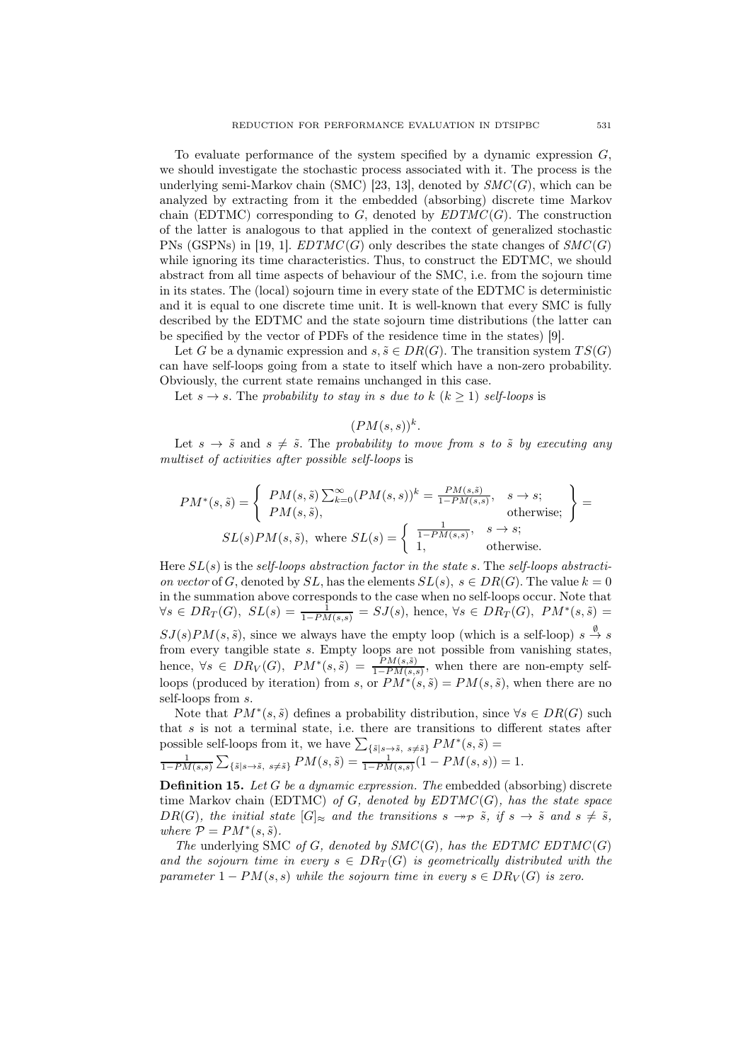To evaluate performance of the system specified by a dynamic expression  $G$ , we should investigate the stochastic process associated with it. The process is the underlying semi-Markov chain (SMC) [23, 13], denoted by  $SMC(G)$ , which can be analyzed by extracting from it the embedded (absorbing) discrete time Markov chain (EDTMC) corresponding to G, denoted by  $EDTMC(G)$ . The construction of the latter is analogous to that applied in the context of generalized stochastic PNs (GSPNs) in [19, 1].  $EDTMC(G)$  only describes the state changes of  $SMC(G)$ while ignoring its time characteristics. Thus, to construct the EDTMC, we should abstract from all time aspects of behaviour of the SMC, i.e. from the sojourn time in its states. The (local) sojourn time in every state of the EDTMC is deterministic and it is equal to one discrete time unit. It is well-known that every SMC is fully described by the EDTMC and the state sojourn time distributions (the latter can be specified by the vector of PDFs of the residence time in the states) [9].

Let G be a dynamic expression and  $s, \tilde{s} \in DR(G)$ . The transition system  $TS(G)$ can have self-loops going from a state to itself which have a non-zero probability. Obviously, the current state remains unchanged in this case.

Let  $s \rightarrow s$ . The probability to stay in s due to k  $(k > 1)$  self-loops is

 $(PM(s, s))^{k}.$ 

Let  $s \to \tilde{s}$  and  $s \neq \tilde{s}$ . The probability to move from s to  $\tilde{s}$  by executing any multiset of activities after possible self-loops is

$$
PM^*(s, \tilde{s}) = \begin{cases} PM(s, \tilde{s}) \sum_{k=0}^{\infty} (PM(s, s))^k = \frac{PM(s, \tilde{s})}{1 - PM(s, s)}, & s \to s; \\ PM(s, \tilde{s}), & \text{otherwise}; \end{cases} = \text{otherwise};
$$
  

$$
SL(s)PM(s, \tilde{s}), \text{ where } SL(s) = \begin{cases} \frac{1}{1 - PM(s, s)}, & s \to s; \\ 1, & \text{otherwise}. \end{cases}
$$

Here  $SL(s)$  is the self-loops abstraction factor in the state s. The self-loops abstraction vector of G, denoted by  $SL$ , has the elements  $SL(s)$ ,  $s \in DR(G)$ . The value  $k = 0$ in the summation above corresponds to the case when no self-loops occur. Note that  $\forall s \in DR_T(G), SL(s) = \frac{1}{1-PM(s,s)} = SJ(s)$ , hence,  $\forall s \in DR_T(G), PM^*(s,\tilde{s}) =$  $SJ(s)PM(s, \tilde{s})$ , since we always have the empty loop (which is a self-loop)  $s \stackrel{\emptyset}{\rightarrow} s$ from every tangible state s. Empty loops are not possible from vanishing states, hence,  $\forall s \in DR_V(G)$ ,  $PM^*(s, \tilde{s}) = \frac{PM(s, \tilde{s})}{1 - PM(s, s)}$ , when there are non-empty selfloops (produced by iteration) from s, or  $PM^*(s, \tilde{s}) = PM(s, \tilde{s})$ , when there are no self-loops from s.

Note that  $PM^*(s, \tilde{s})$  defines a probability distribution, since  $\forall s \in DR(G)$  such that  $s$  is not a terminal state, i.e. there are transitions to different states after possible self-loops from it, we have  $\sum_{\{\tilde{s}|s\rightarrow \tilde{s}, s\neq \tilde{s}\}} PM^*(s, \tilde{s}) =$ 1

$$
\frac{1}{1 - PM(s, s)} \sum_{\{\tilde{s}|s \to \tilde{s}, \ s \neq \tilde{s}\}} PM(s, \tilde{s}) = \frac{1}{1 - PM(s, s)} (1 - PM(s, s)) = 1.
$$

**Definition 15.** Let G be a dynamic expression. The embedded (absorbing) discrete time Markov chain (EDTMC) of G, denoted by  $EDTMC(G)$ , has the state space DR(G), the initial state  $[G]_{\approx}$  and the transitions  $s \rightarrow p \tilde{s}$ , if  $s \rightarrow \tilde{s}$  and  $s \neq \tilde{s}$ , where  $\mathcal{P} = PM^*(s, \tilde{s})$ .

The underlying SMC of G, denoted by  $SMC(G)$ , has the EDTMC EDTMC(G) and the sojourn time in every  $s \in DR_T(G)$  is geometrically distributed with the parameter  $1 - PM(s, s)$  while the sojourn time in every  $s \in DR_V(G)$  is zero.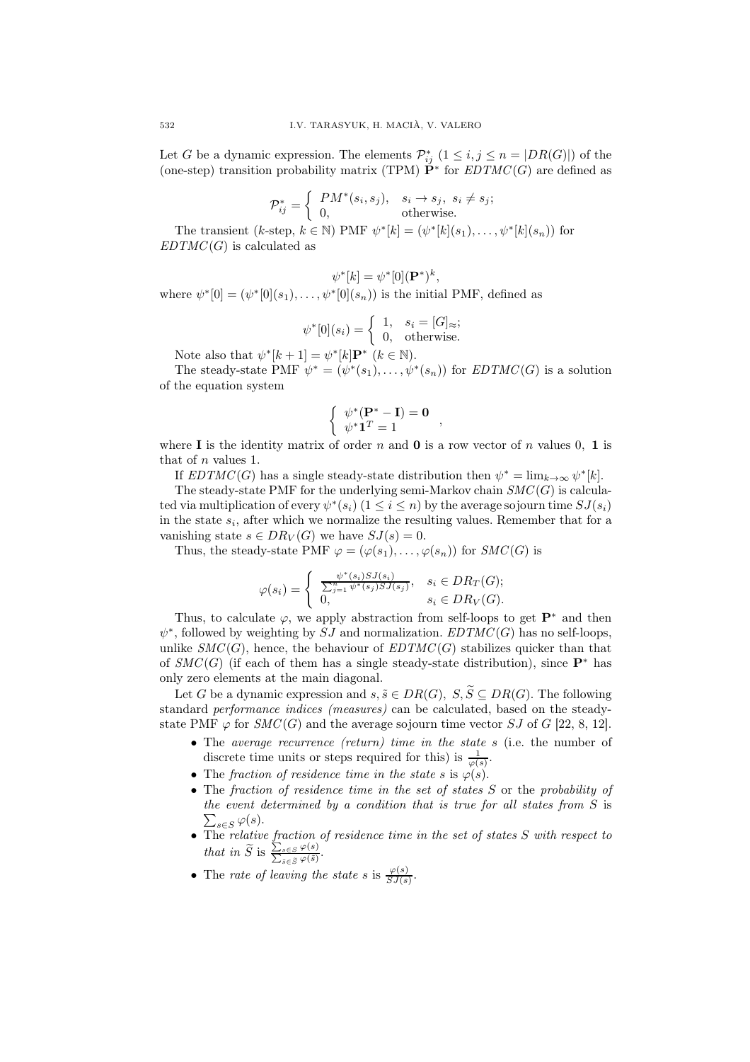Let G be a dynamic expression. The elements  $\mathcal{P}_{ij}^*$   $(1 \leq i, j \leq n = |DR(G)|)$  of the (one-step) transition probability matrix (TPM)  $\check{P}^*$  for  $EDTMC(G)$  are defined as

$$
\mathcal{P}_{ij}^* = \begin{cases} PM^*(s_i, s_j), & s_i \to s_j, \ s_i \neq s_j; \\ 0, & \text{otherwise.} \end{cases}
$$

The transient (k-step,  $k \in \mathbb{N}$ ) PMF  $\psi^*[k] = (\psi^*[k](s_1), \ldots, \psi^*[k](s_n))$  for  $EDTMC(G)$  is calculated as

$$
\psi^*[k] = \psi^*[0](\mathbf{P}^*)^k,
$$

where  $\psi^*[0] = (\psi^*[0](s_1), \ldots, \psi^*[0](s_n))$  is the initial PMF, defined as

$$
\psi^*[0](s_i) = \begin{cases} 1, & s_i = [G]_{\approx}; \\ 0, & \text{otherwise.} \end{cases}
$$

Note also that  $\psi^*[k+1] = \psi^*[k] \mathbf{P}^*$   $(k \in \mathbb{N})$ .

The steady-state PMF  $\psi^* = (\psi^*(s_1), \ldots, \psi^*(s_n))$  for  $EDTMC(G)$  is a solution of the equation system

$$
\begin{cases} \psi^*(\mathbf{P}^* - \mathbf{I}) = \mathbf{0} \\ \psi^* \mathbf{1}^T = 1 \end{cases}
$$

where I is the identity matrix of order n and 0 is a row vector of n values 0, 1 is that of n values 1.

If  $EDTMC(G)$  has a single steady-state distribution then  $\psi^* = \lim_{k \to \infty} \psi^*[k]$ .

The steady-state PMF for the underlying semi-Markov chain  $SMC(G)$  is calculated via multiplication of every  $\psi^*(s_i)$   $(1 \leq i \leq n)$  by the average sojourn time  $SJ(s_i)$ in the state  $s_i$ , after which we normalize the resulting values. Remember that for a vanishing state  $s \in DR_V(G)$  we have  $SJ(s) = 0$ .

Thus, the steady-state PMF  $\varphi = (\varphi(s_1), \ldots, \varphi(s_n))$  for  $SMC(G)$  is

$$
\varphi(s_i) = \begin{cases} \frac{\psi^*(s_i)SJ(s_i)}{\sum_{j=1}^n \psi^*(s_j)SJ(s_j)}, & s_i \in DR_T(G); \\ 0, & s_i \in DR_V(G). \end{cases}
$$

Thus, to calculate  $\varphi$ , we apply abstraction from self-loops to get  $\mathbf{P}^*$  and then  $\psi^*$ , followed by weighting by SJ and normalization.  $EDTMC(G)$  has no self-loops, unlike  $SMC(G)$ , hence, the behaviour of  $EDTMC(G)$  stabilizes quicker than that of  $SMC(G)$  (if each of them has a single steady-state distribution), since  $\mathbf{P}^*$  has only zero elements at the main diagonal.

Let G be a dynamic expression and  $s, \tilde{s} \in DR(G), S, \tilde{S} \subseteq DR(G)$ . The following standard performance indices (measures) can be calculated, based on the steadystate PMF  $\varphi$  for  $SMC(G)$  and the average sojourn time vector SJ of G [22, 8, 12].

- The *average recurrence (return)* time in the state  $s$  (i.e. the number of discrete time units or steps required for this) is  $\frac{1}{\varphi(s)}$ .
- The fraction of residence time in the state s is  $\varphi(s)$ .
- The fraction of residence time in the set of states S or the probability of  $\sum_{s\in S}\varphi(s).$ the event determined by a condition that is true for all states from S is
- The relative fraction of residence time in the set of states S with respect to that in  $\widetilde{S}$  is  $\frac{\sum_{s \in S} \varphi(s)}{\sum_{\tilde{s} \in \tilde{S}} \varphi(\tilde{s})}$ .
- The rate of leaving the state s is  $\frac{\varphi(s)}{SJ(s)}$ .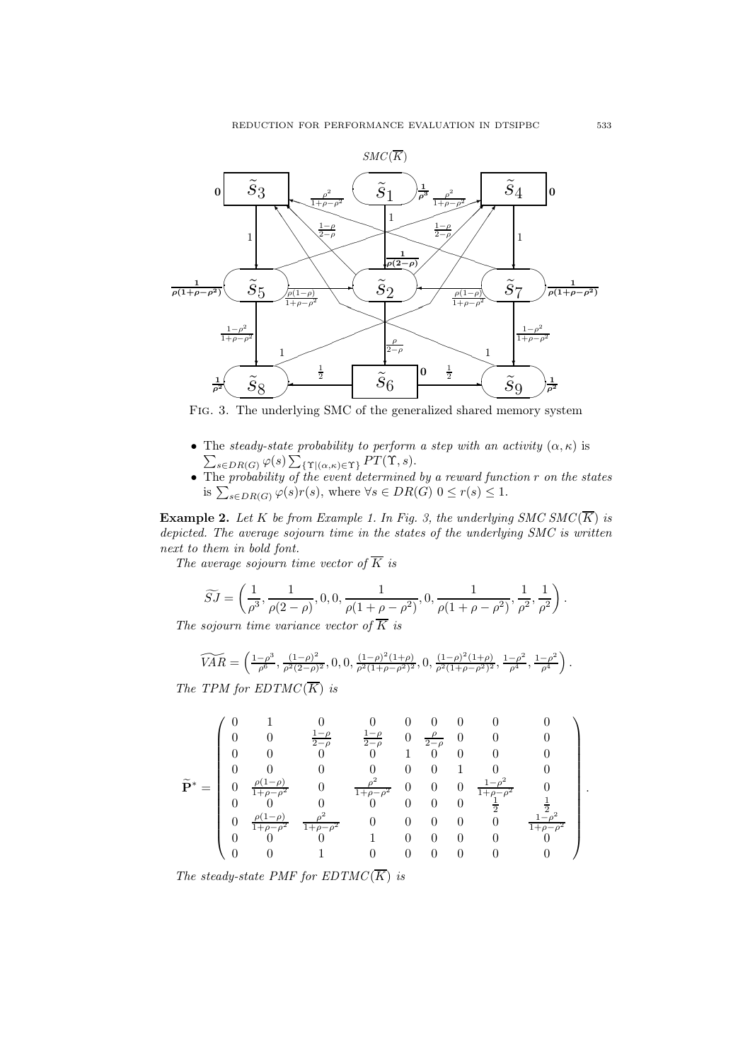

Fig. 3. The underlying SMC of the generalized shared memory system

- The steady-state probability to perform  $\sum_{s \in DR(G)} \varphi(s) \sum_{\{\Upsilon | (\alpha,\kappa) \in \Upsilon\}} PT(\Upsilon, s).$ • The steady-state probability to perform a step with an activity  $(\alpha, \kappa)$  is
- The probability of the event determined by a reward function r on the states is  $\sum_{s \in DR(G)} \varphi(s)r(s)$ , where  $\forall s \in DR(G)$   $0 \leq r(s) \leq 1$ .

**Example 2.** Let K be from Example 1. In Fig. 3, the underlying SMC SMC( $\overline{K}$ ) is depicted. The average sojourn time in the states of the underlying SMC is written next to them in bold font.

The average sojourn time vector of  $\overline{K}$  is

$$
\widetilde{SJ} = \left(\frac{1}{\rho^3}, \frac{1}{\rho(2-\rho)}, 0, 0, \frac{1}{\rho(1+\rho-\rho^2)}, 0, \frac{1}{\rho(1+\rho-\rho^2)}, \frac{1}{\rho^2}, \frac{1}{\rho^2}\right).
$$

The sojourn time variance vector of  $\overline{K}$  is

$$
\widetilde{VAR} = \left( \frac{1-\rho^3}{\rho^6}, \frac{(1-\rho)^2}{\rho^2(2-\rho)^2}, 0, 0, \frac{(1-\rho)^2(1+\rho)}{\rho^2(1+\rho-\rho^2)^2}, 0, \frac{(1-\rho)^2(1+\rho)}{\rho^2(1+\rho-\rho^2)^2}, \frac{1-\rho^2}{\rho^4}, \frac{1-\rho^2}{\rho^4} \right).
$$

The TPM for  $EDTMC(\overline{K})$  is

$$
\widetilde{\mathbf{P}}^* = \left( \begin{array}{ccccccccc} 0 & 1 & 0 & 0 & 0 & 0 & 0 & 0 & 0 \\ 0 & 0 & \frac{1-\rho}{2-\rho} & \frac{1-\rho}{2-\rho} & 0 & \frac{\rho}{2-\rho} & 0 & 0 & 0 \\ 0 & 0 & 0 & 0 & 1 & 0 & 0 & 0 & 0 \\ 0 & 0 & 0 & 0 & 0 & 0 & 1 & 0 & 0 \\ 0 & \frac{\rho(1-\rho)}{1+\rho-\rho^2} & 0 & \frac{\rho^2}{1+\rho-\rho^2} & 0 & 0 & 0 & \frac{1-\rho^2}{1+\rho-\rho^2} & 0 \\ 0 & 0 & 0 & 0 & 0 & 0 & 0 & \frac{1}{2} & \frac{1}{2} \\ 0 & \frac{\rho(1-\rho)}{1+\rho-\rho^2} & \frac{\rho^2}{1+\rho-\rho^2} & 0 & 0 & 0 & 0 & 0 & \frac{1-\rho^2}{1+\rho-\rho^2} \\ 0 & 0 & 0 & 1 & 0 & 0 & 0 & 0 & 0 \\ 0 & 0 & 1 & 0 & 0 & 0 & 0 & 0 & 0 \end{array} \right).
$$

The steady-state PMF for  $EDTMC(\overline{K})$  is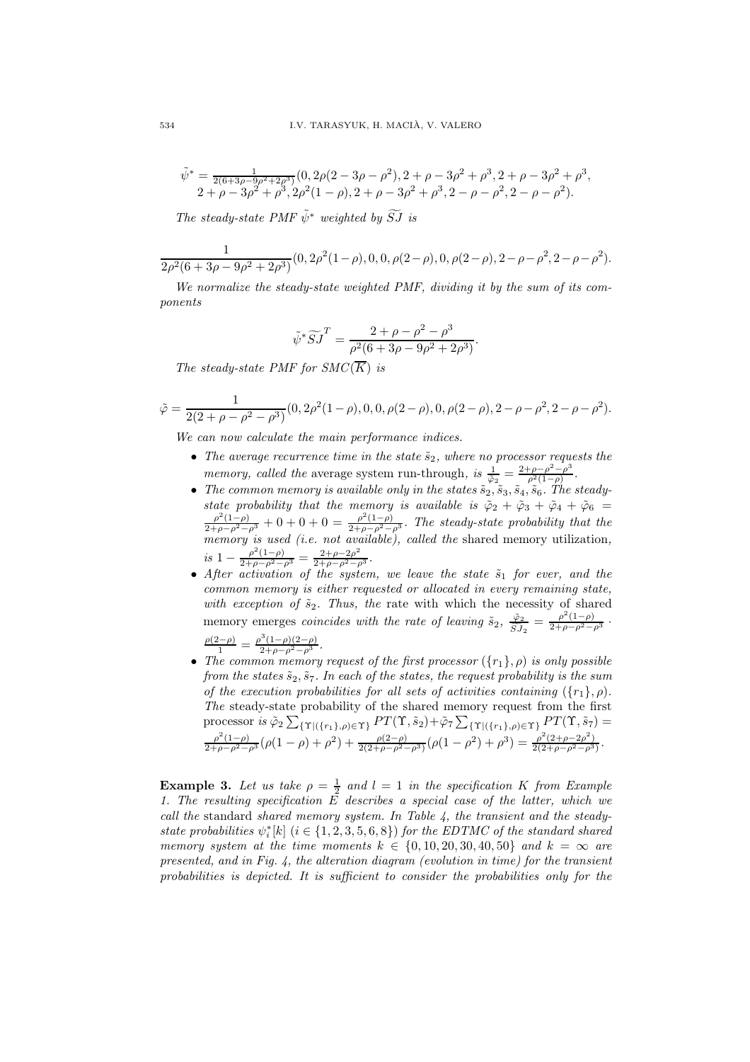$$
\tilde{\psi}^* = \frac{1}{2(6+3\rho-9\rho^2+2\rho^3)} (0, 2\rho(2-3\rho-\rho^2), 2+\rho-3\rho^2+\rho^3, 2+\rho-3\rho^2+\rho^3, 2+\rho-3\rho^2+\rho^3, 2+\rho-3\rho^2+\rho^3, 2\rho^2(1-\rho), 2+\rho-3\rho^2+\rho^3, 2-\rho-\rho^2, 2-\rho-\rho^2).
$$

The steady-state PMF  $\tilde{\psi}^*$  weighted by  $\widetilde{S}J$  is

$$
\frac{1}{2\rho^2(6+3\rho-9\rho^2+2\rho^3)}(0, 2\rho^2(1-\rho), 0, 0, \rho(2-\rho), 0, \rho(2-\rho), 2-\rho-\rho^2, 2-\rho-\rho^2).
$$

We normalize the steady-state weighted PMF, dividing it by the sum of its components

$$
\tilde{\psi}^* \widetilde{S} \widetilde{J}^T = \frac{2 + \rho - \rho^2 - \rho^3}{\rho^2 (6 + 3\rho - 9\rho^2 + 2\rho^3)}.
$$

The steady-state PMF for  $SMC(\overline{K})$  is

$$
\tilde{\varphi} = \frac{1}{2(2+\rho-\rho^2-\rho^3)}(0, 2\rho^2(1-\rho), 0, 0, \rho(2-\rho), 0, \rho(2-\rho), 2-\rho-\rho^2, 2-\rho-\rho^2).
$$

We can now calculate the main performance indices.

- The average recurrence time in the state  $\tilde{s}_2$ , where no processor requests the memory, called the average system run-through, is  $\frac{1}{\tilde{\varphi}_2} = \frac{2+\rho-\rho^2-\rho^3}{\rho^2(1-\rho)}$  $\frac{\rho-\rho^2-\rho^2}{\rho^2(1-\rho)}$ .
- The common memory is available only in the states  $\tilde{s}_2$ ,  $\tilde{s}_3$ ,  $\tilde{s}_4$ ,  $\tilde{s}_6$ . The steadystate probability that the memory is available is  $\tilde{\varphi}_2 + \tilde{\varphi}_3 + \tilde{\varphi}_4 + \tilde{\varphi}_6 = \frac{\rho^2(1-\rho)}{2+\rho-\rho^2-\rho^3} + 0 + 0 + 0 = \frac{\rho^2(1-\rho)}{2+\rho-\rho^2-\rho^3}$ . The steady-state probability that the memory is used (i.e. not available), called the shared memory utilization, is  $1 - \frac{\rho^2 (1-\rho)}{2+\rho-\rho^2-\rho^3} = \frac{2+\rho-2\rho^2}{2+\rho-\rho^2-\rho^3}$ .
- After activation of the system, we leave the state  $\tilde{s}_1$  for ever, and the common memory is either requested or allocated in every remaining state, with exception of  $\tilde{s}_2$ . Thus, the rate with which the necessity of shared memory emerges *coincides with the rate of leaving*  $\tilde{s}_2$ ,  $\frac{\tilde{\varphi}_2}{\tilde{\varphi}_1}$  $\frac{\tilde{\varphi}_2}{\tilde{S}J_2} = \frac{\rho^2(1-\rho)}{2+\rho-\rho^2-\rho^3}$ .  $\frac{\rho(2-\rho)}{1} = \frac{\rho^3(1-\rho)(2-\rho)}{2+\rho-\rho^2-\rho^3}.$
- The common memory request of the first processor  $(\{r_1\}, \rho)$  is only possible from the states  $\tilde{s}_2$ ,  $\tilde{s}_7$ . In each of the states, the request probability is the sum of the execution probabilities for all sets of activities containing  $({r_1}, \rho)$ . The steady-state probability of the shared memory request from the first processor is  $\tilde{\varphi}_2 \sum_{\{\Upsilon | (\{r_1\}, \rho) \in \Upsilon\}} PT(\Upsilon, \tilde{s}_2) + \tilde{\varphi}_7 \sum_{\{\Upsilon | (\{r_1\}, \rho) \in \Upsilon\}} PT(\Upsilon, \tilde{s}_7) =$  $\frac{\rho^2(1-\rho)}{2+\rho-\rho^2-\rho^3}(\rho(1-\rho)+\rho^2)+\frac{\rho(2-\rho)}{2(2+\rho-\rho^2-\rho^3)}(\rho(1-\rho^2)+\rho^3)=\frac{\rho^2(2+\rho-2\rho^2)}{2(2+\rho-\rho^2-\rho^3)}.$

**Example 3.** Let us take  $\rho = \frac{1}{2}$  and  $l = 1$  in the specification K from Example 1. The resulting specification E describes a special case of the latter, which we call the standard shared memory system. In Table  $\lambda$ , the transient and the steadystate probabilities  $\psi_i^*[k]$   $(i \in \{1, 2, 3, 5, 6, 8\})$  for the EDTMC of the standard shared memory system at the time moments  $k \in \{0, 10, 20, 30, 40, 50\}$  and  $k = \infty$  are presented, and in Fig. 4, the alteration diagram (evolution in time) for the transient probabilities is depicted. It is sufficient to consider the probabilities only for the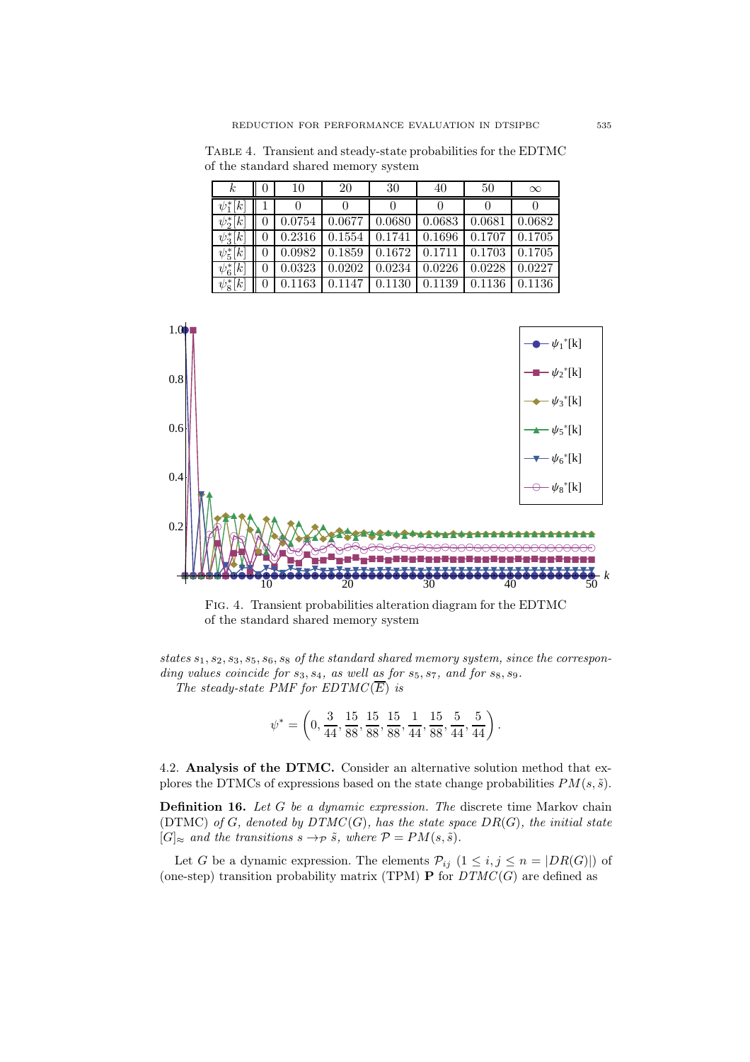| $\boldsymbol{k}$ | 0 | 10     | 20     | 30                             | 40     | 50     | $\infty$ |
|------------------|---|--------|--------|--------------------------------|--------|--------|----------|
| $\psi_1^*[k]$    |   |        |        |                                |        |        |          |
| $\psi_2^*[k]$    |   | 0.0754 |        | $0.0677$ 0.0680                | 0.0683 | 0.0681 | 0.0682   |
| $\psi_3^*[k]$    |   | 0.2316 |        | $0.1554 \mid 0.1741$           | 0.1696 | 0.1707 | 0.1705   |
| $\psi_5^*[k]$    |   | 0.0982 |        | $0.1859$   $0.1672$   $0.1711$ |        | 0.1703 | 0.1705   |
| $\psi_6^*[k]$    |   | 0.0323 | 0.0202 | 0.0234                         | 0.0226 | 0.0228 | 0.0227   |
| $\psi_8^*[k]$    |   | 0.1163 | 0.1147 | 0.1130                         | 0.1139 | 0.1136 | 0.1136   |

Table 4. Transient and steady-state probabilities for the EDTMC of the standard shared memory system



Fig. 4. Transient probabilities alteration diagram for the EDTMC of the standard shared memory system

states  $s_1, s_2, s_3, s_5, s_6, s_8$  of the standard shared memory system, since the corresponding values coincide for  $s_3, s_4$ , as well as for  $s_5, s_7$ , and for  $s_8, s_9$ . The steady-state PMF for  $EDTMC(\overline{E})$  is

$$
\psi^* = \left(0, \frac{3}{44}, \frac{15}{88}, \frac{15}{88}, \frac{15}{88}, \frac{1}{44}, \frac{15}{88}, \frac{5}{44}, \frac{5}{44}\right).
$$

4.2. Analysis of the DTMC. Consider an alternative solution method that explores the DTMCs of expressions based on the state change probabilities  $PM(s, \tilde{s})$ .

Definition 16. Let G be a dynamic expression. The discrete time Markov chain (DTMC) of G, denoted by  $DTMC(G)$ , has the state space  $DR(G)$ , the initial state  $[G]_{\approx}$  and the transitions  $s \to_{\mathcal{P}} \tilde{s}$ , where  $\mathcal{P} = PM(s, \tilde{s})$ .

Let G be a dynamic expression. The elements  $\mathcal{P}_{ij}$   $(1 \leq i, j \leq n = |DR(G)|)$  of (one-step) transition probability matrix (TPM) **P** for  $DTMC(G)$  are defined as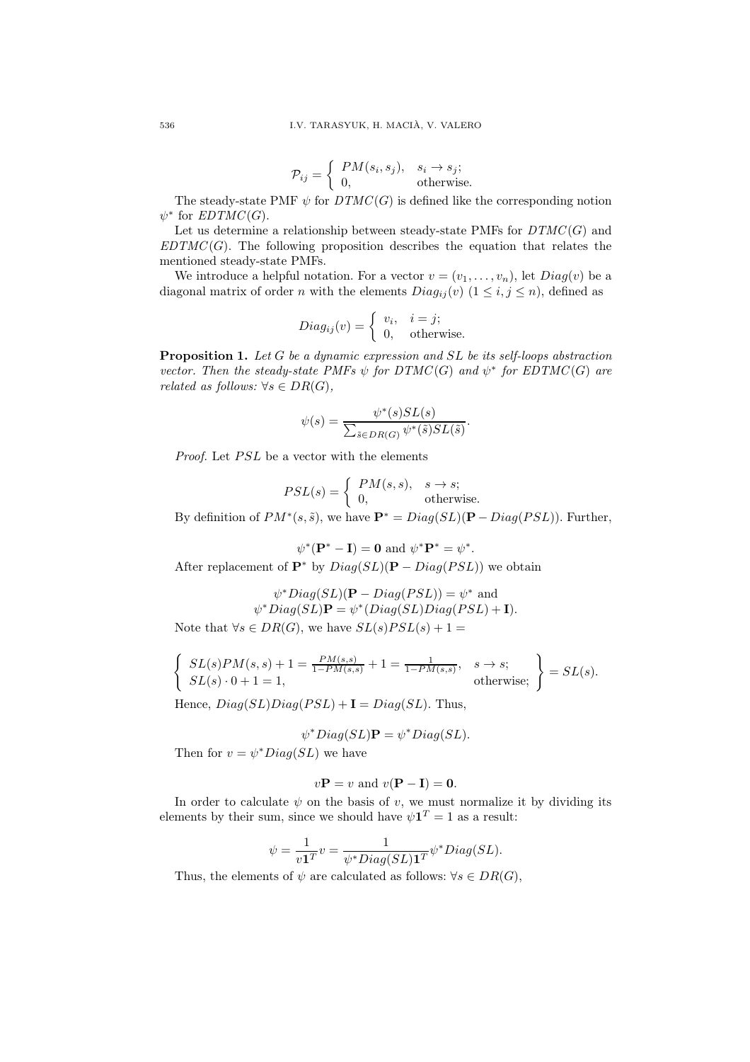$$
\mathcal{P}_{ij} = \begin{cases} PM(s_i, s_j), & s_i \to s_j; \\ 0, & \text{otherwise.} \end{cases}
$$

The steady-state PMF  $\psi$  for  $DTMC(G)$  is defined like the corresponding notion  $\psi^*$  for  $EDTMC(G)$ .

Let us determine a relationship between steady-state PMFs for  $DTMC(G)$  and  $EDTMC(G)$ . The following proposition describes the equation that relates the mentioned steady-state PMFs.

We introduce a helpful notation. For a vector  $v = (v_1, \ldots, v_n)$ , let  $Diag(v)$  be a diagonal matrix of order n with the elements  $Diag_{ij}(v)$   $(1 \le i, j \le n)$ , defined as

$$
Diag_{ij}(v) = \begin{cases} v_i, & i = j; \\ 0, & \text{otherwise.} \end{cases}
$$

**Proposition 1.** Let G be a dynamic expression and  $SL$  be its self-loops abstraction vector. Then the steady-state PMFs  $\psi$  for  $DTMC(G)$  and  $\psi^*$  for  $EDTMC(G)$  are related as follows:  $\forall s \in DR(G)$ ,

$$
\psi(s) = \frac{\psi^*(s)SL(s)}{\sum_{\tilde{s} \in DR(G)} \psi^*(\tilde{s})SL(\tilde{s})}.
$$

*Proof.* Let  $PSL$  be a vector with the elements

$$
PSL(s) = \begin{cases} PM(s, s), & s \to s; \\ 0, & \text{otherwise.} \end{cases}
$$

By definition of  $PM^*(s, \tilde{s})$ , we have  $\mathbf{P}^* = Diag(SL)(\mathbf{P} - Diag(PSL))$ . Further,

$$
\psi^*(\mathbf{P}^* - \mathbf{I}) = \mathbf{0} \text{ and } \psi^* \mathbf{P}^* = \psi^*.
$$

After replacement of  $\mathbf{P}^*$  by  $Diag(SL)(\mathbf{P} - Diag(PSL))$  we obtain

$$
\psi^*Diag(SL)(\mathbf{P} - Diag(PSL)) = \psi^* \text{ and}
$$

$$
\psi^*Diag(SL)\mathbf{P} = \psi^*(Diag(SL)Diag(PSL) + \mathbf{I}).
$$

Note that  $\forall s \in DR(G)$ , we have  $SL(s)PSL(s) + 1 =$ 

$$
\begin{cases}\nSL(s)PM(s,s) + 1 = \frac{PM(s,s)}{1 - PM(s,s)} + 1 = \frac{1}{1 - PM(s,s)}, & s \to s; \\
SL(s) \cdot 0 + 1 = 1, & \text{otherwise;}\n\end{cases}\n\bigg\} = SL(s).
$$

Hence,  $Diag(SL)Diag(PSL) + I = Diag(SL)$ . Thus,

$$
\psi^*Diag(SL)\mathbf{P}=\psi^*Diag(SL).
$$

Then for  $v = \psi^* Diag(SL)$  we have

$$
v\mathbf{P} = v
$$
 and  $v(\mathbf{P} - \mathbf{I}) = \mathbf{0}$ .

In order to calculate  $\psi$  on the basis of v, we must normalize it by dividing its elements by their sum, since we should have  $\psi \mathbf{1}^T = 1$  as a result:

$$
\psi = \frac{1}{v\mathbf{1}^T}v = \frac{1}{\psi^*Diag(SL)\mathbf{1}^T}\psi^*Diag(SL).
$$

Thus, the elements of  $\psi$  are calculated as follows:  $\forall s \in DR(G)$ ,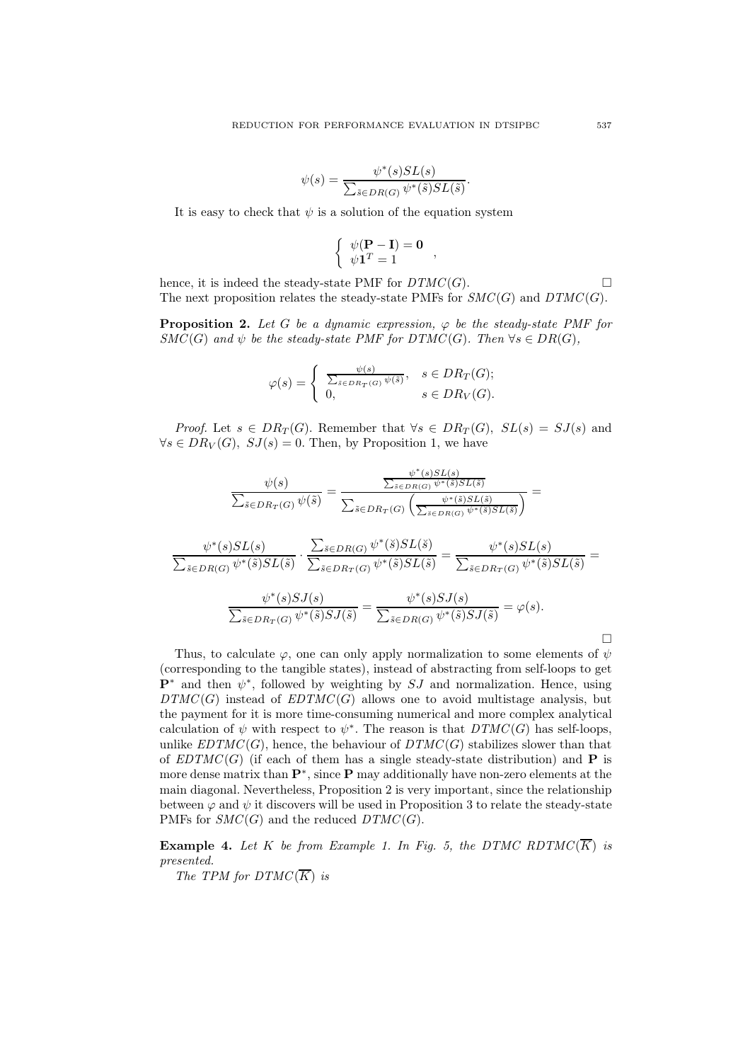$$
\psi(s) = \frac{\psi^*(s)SL(s)}{\sum_{\tilde{s} \in DR(G)} \psi^*(\tilde{s})SL(\tilde{s})}.
$$

It is easy to check that  $\psi$  is a solution of the equation system

$$
\left\{ \begin{array}{c} \psi(\mathbf{P} - \mathbf{I}) = \mathbf{0} \\ \psi \mathbf{1}^T = 1 \end{array} \right.,
$$

hence, it is indeed the steady-state PMF for  $DTMC(G)$ . The next proposition relates the steady-state PMFs for  $SMC(G)$  and  $DTMC(G)$ .

**Proposition 2.** Let G be a dynamic expression,  $\varphi$  be the steady-state PMF for  $SMC(G)$  and  $\psi$  be the steady-state PMF for DTMC(G). Then  $\forall s \in DR(G)$ .

$$
\varphi(s) = \begin{cases} \frac{\psi(s)}{\sum_{\tilde{s} \in DR_T(G)} \psi(\tilde{s})}, & s \in DR_T(G); \\ 0, & s \in DR_V(G). \end{cases}
$$

*Proof.* Let  $s \in DR_T(G)$ . Remember that  $\forall s \in DR_T(G)$ ,  $SL(s) = SJ(s)$  and  $\forall s \in DR_V(G), SJ(s) = 0.$  Then, by Proposition 1, we have

$$
\frac{\psi(s)}{\sum_{\tilde{s}\in DR_T(G)}\psi(\tilde{s})} = \frac{\frac{\psi^*(s)SL(s)}{\sum_{\tilde{s}\in DR_T(G)}\psi^*(\tilde{s})SL(\tilde{s})}}{\sum_{\tilde{s}\in DR_T(G)}\left(\frac{\psi^*(\tilde{s})SL(\tilde{s})}{\sum_{\tilde{s}\in DR_G(\tilde{s})}\psi^*(\tilde{s})SL(\tilde{s})}\right)} =
$$

$$
\frac{\psi^*(s)SL(s)}{\sum_{\tilde{s}\in DR(G)}\psi^*(\tilde{s})SL(\tilde{s})}\cdot\frac{\sum_{\tilde{s}\in DR(G)}\psi^*(\tilde{s})SL(\tilde{s})}{\sum_{\tilde{s}\in DR_T(G)}\psi^*(\tilde{s})SL(\tilde{s})}=\frac{\psi^*(s)SL(s)}{\sum_{\tilde{s}\in DR_T(G)}\psi^*(\tilde{s})SL(\tilde{s})}=\frac{\psi^*(s)SL(s)}{\sum_{\tilde{s}\in DR_T(G)}\psi^*(\tilde{s})SL(\tilde{s})}
$$

$$
\frac{\psi^*(s)SJ(s)}{\sum_{\tilde{s}\in DR_T(G)}\psi^*(\tilde{s})SJ(\tilde{s})}=\frac{\psi^*(s)SJ(s)}{\sum_{\tilde{s}\in DR(G)}\psi^*(\tilde{s})SJ(\tilde{s})}=\varphi(s).
$$

 $\Box$ 

Thus, to calculate  $\varphi$ , one can only apply normalization to some elements of  $\psi$ (corresponding to the tangible states), instead of abstracting from self-loops to get  $\mathbf{P}^*$  and then  $\psi^*$ , followed by weighting by  $SJ$  and normalization. Hence, using  $DTMC(G)$  instead of  $EDTMC(G)$  allows one to avoid multistage analysis, but the payment for it is more time-consuming numerical and more complex analytical calculation of  $\psi$  with respect to  $\psi^*$ . The reason is that  $DTMC(G)$  has self-loops, unlike  $EDTMC(G)$ , hence, the behaviour of  $DTMC(G)$  stabilizes slower than that of  $EDTMC(G)$  (if each of them has a single steady-state distribution) and **P** is more dense matrix than  $\mathbf{P}^*$ , since **P** may additionally have non-zero elements at the main diagonal. Nevertheless, Proposition 2 is very important, since the relationship between  $\varphi$  and  $\psi$  it discovers will be used in Proposition 3 to relate the steady-state PMFs for  $SMC(G)$  and the reduced  $DTMC(G)$ .

**Example 4.** Let K be from Example 1. In Fig. 5, the DTMC RDTMC( $\overline{K}$ ) is presented.

The TPM for  $DTMC(\overline{K})$  is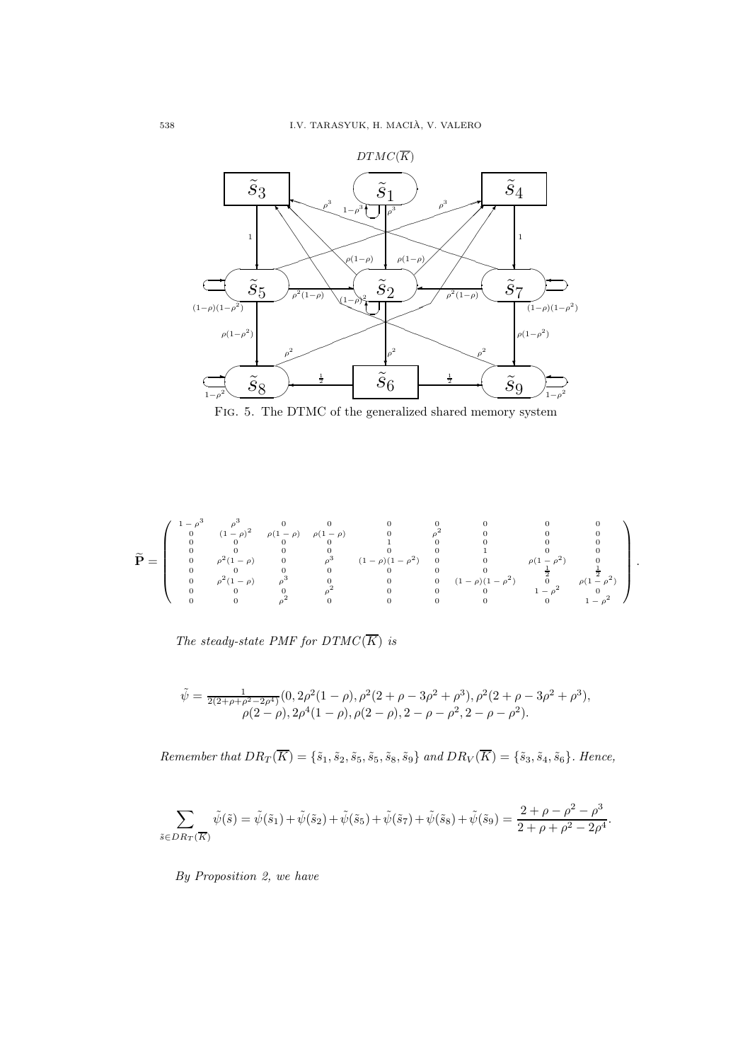

Fig. 5. The DTMC of the generalized shared memory system

$$
\widetilde{\mathbf{P}} = \left(\begin{array}{cccccccc} 1-\rho^3 & \rho^3 & 0 & 0 & 0 & 0 & 0 & 0 & 0 & 0 \\ 0 & (1-\rho)^2 & \rho(1-\rho) & \rho(1-\rho) & 0 & \rho^2 & 0 & 0 & 0 \\ 0 & 0 & 0 & 0 & 1 & 0 & 0 & 0 & 0 \\ 0 & 0 & 0 & 0 & 0 & 0 & 1 & 0 & 0 \\ 0 & \rho^2(1-\rho) & 0 & \rho^3 & (1-\rho)(1-\rho^2) & 0 & 0 & \rho(1-\rho^2) & 0 \\ 0 & 0 & 0 & 0 & 0 & 0 & 0 & 0 & \frac{1}{2} & \frac{1}{2} \\ 0 & \rho^2(1-\rho) & \rho^3 & 0 & 0 & 0 & (1-\rho)(1-\rho^2) & 0 & \rho(1-\rho^2) \\ 0 & 0 & 0 & \rho^2 & 0 & 0 & 0 & 0 & 1-\rho^2 & 0 \\ 0 & 0 & 0 & \rho^2 & 0 & 0 & 0 & 0 & 1-\rho^2 & 0 \\ 0 & 0 & 0 & \rho^2 & 0 & 0 & 0 & 0 & 1-\rho^2 & 0 \end{array}\right).
$$

The steady-state PMF for  $DTMC(\overline{K})$  is

$$
\tilde{\psi} = \frac{1}{2(2+\rho+\rho^2-2\rho^4)} (0, 2\rho^2(1-\rho), \rho^2(2+\rho-3\rho^2+\rho^3), \rho^2(2+\rho-3\rho^2+\rho^3), \rho(2-\rho), 2\rho^4(1-\rho), \rho(2-\rho), 2-\rho-\rho^2, 2-\rho-\rho^2).
$$

Remember that  $DR_T(\overline{K}) = \{\tilde{s}_1, \tilde{s}_2, \tilde{s}_5, \tilde{s}_5, \tilde{s}_8, \tilde{s}_9\}$  and  $DR_V(\overline{K}) = \{\tilde{s}_3, \tilde{s}_4, \tilde{s}_6\}$ . Hence,

$$
\sum_{\tilde{s}\in DR_T(\overline{K})}\tilde{\psi}(\tilde{s}) = \tilde{\psi}(\tilde{s}_1) + \tilde{\psi}(\tilde{s}_2) + \tilde{\psi}(\tilde{s}_5) + \tilde{\psi}(\tilde{s}_7) + \tilde{\psi}(\tilde{s}_8) + \tilde{\psi}(\tilde{s}_9) = \frac{2+\rho-\rho^2-\rho^3}{2+\rho+\rho^2-2\rho^4}.
$$

By Proposition 2, we have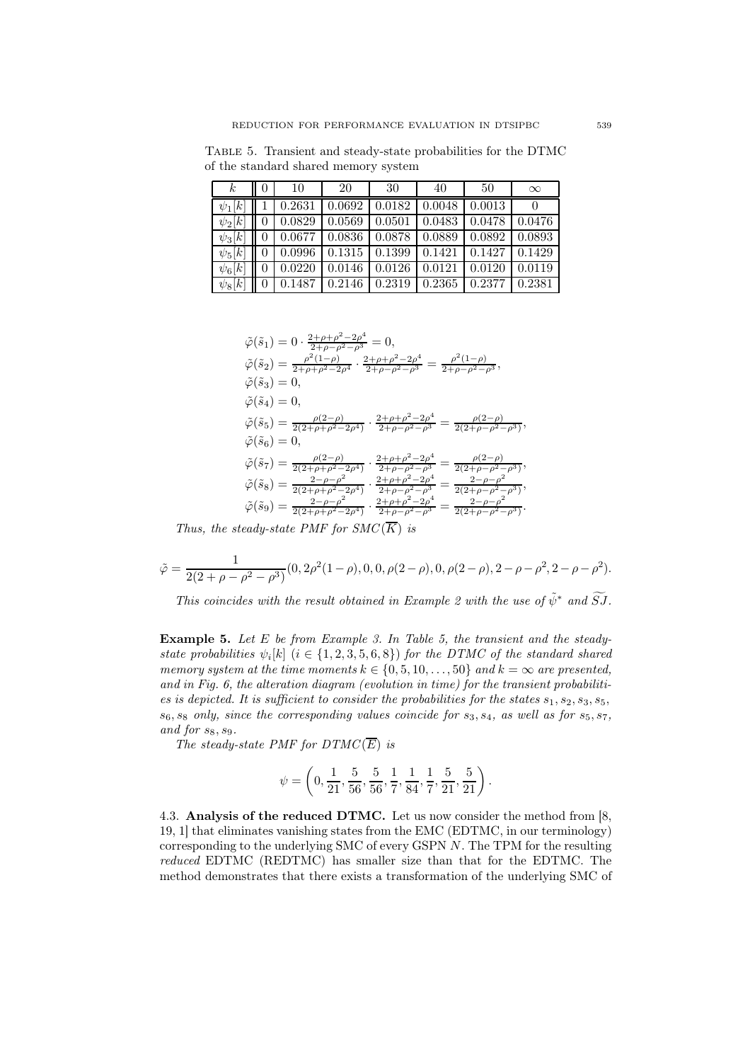Table 5. Transient and steady-state probabilities for the DTMC of the standard shared memory system

| $\kappa$    | $\theta$ | 10                                                                          | -20 | -30 | 40 | 50 | $\infty$ |
|-------------|----------|-----------------------------------------------------------------------------|-----|-----|----|----|----------|
| $\psi_1[k]$ |          | $\mid 0.2631 \mid 0.0692 \mid 0.0182 \mid 0.0048 \mid 0.0013$               |     |     |    |    |          |
| $\psi_2[k]$ |          | $\mid$ 0.0829   0.0569   0.0501   0.0483   0.0478   0.0476                  |     |     |    |    |          |
| $\psi_3[k]$ |          | $\mid 0.0677 \mid 0.0836 \mid 0.0878 \mid 0.0889 \mid 0.0892 \mid 0.0893$   |     |     |    |    |          |
| $\psi_5[k]$ |          | $\mid$ 0 0.0996 0.1315 0.1399 0.1421 0.1427 0.1429                          |     |     |    |    |          |
| $\psi_6[k]$ |          | $0 \mid 0.0220 \mid 0.0146 \mid 0.0126 \mid 0.0121 \mid 0.0120 \mid 0.0119$ |     |     |    |    |          |
| $\psi_8[k]$ |          | $\parallel$ 0 $\parallel$ 0.1487 0.2146 0.2319 0.2365 0.2377                |     |     |    |    | 0.2381   |

$$
\begin{split} \tilde{\varphi}(\tilde{s}_1) &= 0 \cdot \frac{2 + \rho + \rho^2 - 2\rho^4}{2 + \rho - \rho^2 - \rho^3} = 0, \\ \tilde{\varphi}(\tilde{s}_2) &= \frac{\rho^2 (1 - \rho)}{2 + \rho + \rho^2 - 2\rho^4} \cdot \frac{2 + \rho + \rho^2 - 2\rho^4}{2 + \rho - \rho^2 - \rho^3} = \frac{\rho^2 (1 - \rho)}{2 + \rho - \rho^2 - \rho^3}, \\ \tilde{\varphi}(\tilde{s}_3) &= 0, \\ \tilde{\varphi}(\tilde{s}_4) &= 0, \\ \tilde{\varphi}(\tilde{s}_5) &= \frac{\rho(2 - \rho)}{2(2 + \rho + \rho^2 - 2\rho^4)} \cdot \frac{2 + \rho + \rho^2 - 2\rho^4}{2 + \rho - \rho^2 - \rho^3} = \frac{\rho(2 - \rho)}{2(2 + \rho - \rho^2 - \rho^3)}, \\ \tilde{\varphi}(\tilde{s}_6) &= 0, \\ \tilde{\varphi}(\tilde{s}_7) &= \frac{\rho(2 - \rho)}{2(2 + \rho + \rho^2 - 2\rho^4)} \cdot \frac{2 + \rho + \rho^2 - 2\rho^4}{2 + \rho - \rho^2 - \rho^3} = \frac{\rho(2 - \rho)}{2(2 + \rho - \rho^2 - \rho^3)}, \\ \tilde{\varphi}(\tilde{s}_8) &= \frac{2 - \rho - \rho^2}{2(2 + \rho + \rho^2 - 2\rho^4)} \cdot \frac{2 + \rho + \rho^2 - 2\rho^4}{2 + \rho - \rho^2 - \rho^3} = \frac{2 - \rho - \rho^2}{2(2 + \rho - \rho^2 - \rho^3)}, \\ \tilde{\varphi}(\tilde{s}_9) &= \frac{2 - \rho - \rho^2}{2(2 + \rho + \rho^2 - 2\rho^4)} \cdot \frac{2 + \rho + \rho^2 - 2\rho^4}{2 + \rho - \rho^2 - \rho^3} = \frac{2 - \rho - \rho^2}{2(2 + \rho - \rho^2 - \rho^3)}. \end{split}
$$

Thus, the steady-state PMF for  $SMC(\overline{K})$  is

$$
\tilde{\varphi} = \frac{1}{2(2+\rho-\rho^2-\rho^3)}(0, 2\rho^2(1-\rho), 0, 0, \rho(2-\rho), 0, \rho(2-\rho), 2-\rho-\rho^2, 2-\rho-\rho^2).
$$

This coincides with the result obtained in Example 2 with the use of  $\tilde{\psi}^*$  and  $\widetilde{S}J$ .

**Example 5.** Let  $E$  be from Example 3. In Table 5, the transient and the steadystate probabilities  $\psi_i[k]$   $(i \in \{1, 2, 3, 5, 6, 8\})$  for the DTMC of the standard shared memory system at the time moments  $k \in \{0, 5, 10, \ldots, 50\}$  and  $k = \infty$  are presented, and in Fig. 6, the alteration diagram (evolution in time) for the transient probabilities is depicted. It is sufficient to consider the probabilities for the states  $s_1, s_2, s_3, s_5$ ,  $s_6, s_8$  only, since the corresponding values coincide for  $s_3, s_4$ , as well as for  $s_5, s_7$ , and for  $s_8$ ,  $s_9$ .

The steady-state PMF for  $DTMC(\overline{E})$  is

$$
\psi = \left(0, \frac{1}{21}, \frac{5}{56}, \frac{5}{56}, \frac{1}{7}, \frac{1}{84}, \frac{1}{7}, \frac{5}{21}, \frac{5}{21}\right).
$$

4.3. Analysis of the reduced DTMC. Let us now consider the method from [8, 19, 1] that eliminates vanishing states from the EMC (EDTMC, in our terminology) corresponding to the underlying SMC of every GSPN N. The TPM for the resulting reduced EDTMC (REDTMC) has smaller size than that for the EDTMC. The method demonstrates that there exists a transformation of the underlying SMC of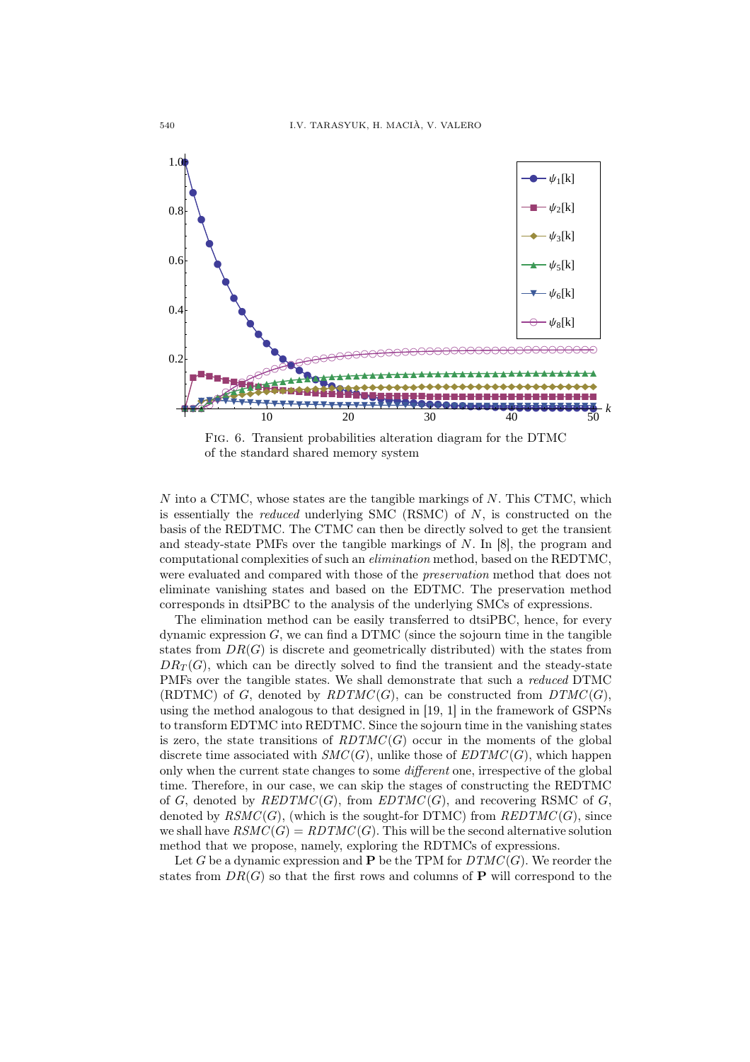

Fig. 6. Transient probabilities alteration diagram for the DTMC of the standard shared memory system

 $N$  into a CTMC, whose states are the tangible markings of  $N$ . This CTMC, which is essentially the *reduced* underlying SMC  $(RSMC)$  of  $N$ , is constructed on the basis of the REDTMC. The CTMC can then be directly solved to get the transient and steady-state PMFs over the tangible markings of N. In [8], the program and computational complexities of such an elimination method, based on the REDTMC, were evaluated and compared with those of the *preservation* method that does not eliminate vanishing states and based on the EDTMC. The preservation method corresponds in dtsiPBC to the analysis of the underlying SMCs of expressions.

The elimination method can be easily transferred to dtsiPBC, hence, for every dynamic expression  $G$ , we can find a DTMC (since the sojourn time in the tangible states from  $DR(G)$  is discrete and geometrically distributed) with the states from  $DR_T(G)$ , which can be directly solved to find the transient and the steady-state PMFs over the tangible states. We shall demonstrate that such a reduced DTMC (RDTMC) of G, denoted by  $RDTMC(G)$ , can be constructed from  $DTMC(G)$ , using the method analogous to that designed in [19, 1] in the framework of GSPNs to transform EDTMC into REDTMC. Since the sojourn time in the vanishing states is zero, the state transitions of  $RDTMC(G)$  occur in the moments of the global discrete time associated with  $SMC(G)$ , unlike those of  $EDTMC(G)$ , which happen only when the current state changes to some different one, irrespective of the global time. Therefore, in our case, we can skip the stages of constructing the REDTMC of G, denoted by  $REDTMC(G)$ , from  $EDTMC(G)$ , and recovering RSMC of G, denoted by  $\mathit{RSMC}(G)$ , (which is the sought-for DTMC) from  $\mathit{REDTMC}(G)$ , since we shall have  $\textit{RSMC}(G) = \textit{RDTMC}(G)$ . This will be the second alternative solution method that we propose, namely, exploring the RDTMCs of expressions.

Let G be a dynamic expression and P be the TPM for  $DTMC(G)$ . We reorder the states from  $DR(G)$  so that the first rows and columns of P will correspond to the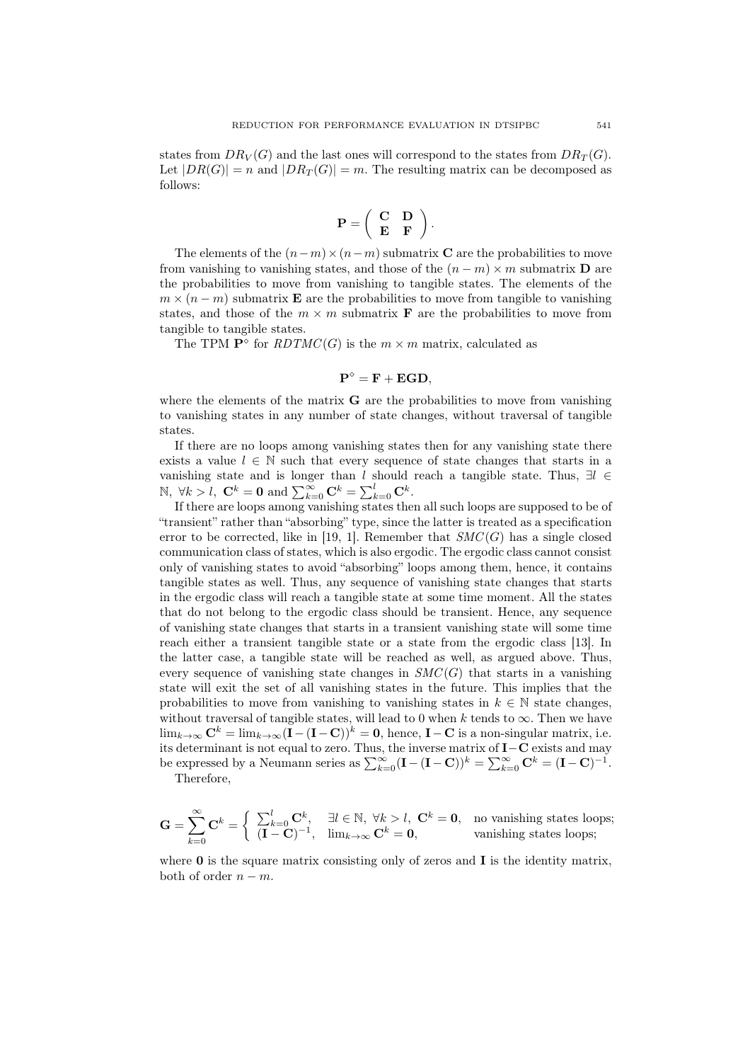states from  $DR_V(G)$  and the last ones will correspond to the states from  $DR_T(G)$ . Let  $|DR(G)| = n$  and  $|DR_T(G)| = m$ . The resulting matrix can be decomposed as follows:

$$
\mathbf{P} = \left( \begin{array}{cc} \mathbf{C} & \mathbf{D} \\ \mathbf{E} & \mathbf{F} \end{array} \right).
$$

The elements of the  $(n-m) \times (n-m)$  submatrix C are the probabilities to move from vanishing to vanishing states, and those of the  $(n - m) \times m$  submatrix **D** are the probabilities to move from vanishing to tangible states. The elements of the  $m \times (n-m)$  submatrix **E** are the probabilities to move from tangible to vanishing states, and those of the  $m \times m$  submatrix **F** are the probabilities to move from tangible to tangible states.

The TPM  $\mathbf{P}^{\diamond}$  for  $RDTMC(G)$  is the  $m \times m$  matrix, calculated as

$$
\mathbf{P}^{\diamond} = \mathbf{F} + \mathbf{EGD},
$$

where the elements of the matrix  $\bf{G}$  are the probabilities to move from vanishing to vanishing states in any number of state changes, without traversal of tangible states.

If there are no loops among vanishing states then for any vanishing state there exists a value  $l \in \mathbb{N}$  such that every sequence of state changes that starts in a vanishing state and is longer than l should reach a tangible state. Thus,  $\exists l \in$ N, ∀ $k > l$ , **C**<sup>k</sup> = **0** and  $\sum_{k=0}^{\infty}$ **C**<sup>k</sup> =  $\sum_{k=0}^{l}$ **C**<sup>k</sup>.

If there are loops among vanishing states then all such loops are supposed to be of "transient" rather than "absorbing" type, since the latter is treated as a specification error to be corrected, like in [19, 1]. Remember that  $SMC(G)$  has a single closed communication class of states, which is also ergodic. The ergodic class cannot consist only of vanishing states to avoid "absorbing" loops among them, hence, it contains tangible states as well. Thus, any sequence of vanishing state changes that starts in the ergodic class will reach a tangible state at some time moment. All the states that do not belong to the ergodic class should be transient. Hence, any sequence of vanishing state changes that starts in a transient vanishing state will some time reach either a transient tangible state or a state from the ergodic class [13]. In the latter case, a tangible state will be reached as well, as argued above. Thus, every sequence of vanishing state changes in  $SMC(G)$  that starts in a vanishing state will exit the set of all vanishing states in the future. This implies that the probabilities to move from vanishing to vanishing states in  $k \in \mathbb{N}$  state changes, without traversal of tangible states, will lead to 0 when k tends to  $\infty$ . Then we have  $\lim_{k\to\infty} \mathbf{C}^k = \lim_{k\to\infty} (\mathbf{I} - (\mathbf{I} - \mathbf{C}))^k = \mathbf{0}$ , hence,  $\mathbf{I} - \mathbf{C}$  is a non-singular matrix, i.e. its determinant is not equal to zero. Thus, the inverse matrix of I−C exists and may be expressed by a Neumann series as  $\sum_{k=0}^{\infty}(\mathbf{I}-(\mathbf{I}-\mathbf{C}))^k = \sum_{k=0}^{\infty} \mathbf{C}^k = (\mathbf{I}-\mathbf{C})^{-1}$ .

Therefore,

$$
\mathbf{G} = \sum_{k=0}^{\infty} \mathbf{C}^k = \begin{cases} \sum_{k=0}^{l} \mathbf{C}^k, & \exists l \in \mathbb{N}, \ \forall k > l, \ \mathbf{C}^k = \mathbf{0}, \quad \text{no vanishing states loops;} \\ (\mathbf{I} - \mathbf{C})^{-1}, & \lim_{k \to \infty} \mathbf{C}^k = \mathbf{0}, \end{cases} \text{vanishing states loops;}
$$

where  $0$  is the square matrix consisting only of zeros and  $I$  is the identity matrix, both of order  $n - m$ .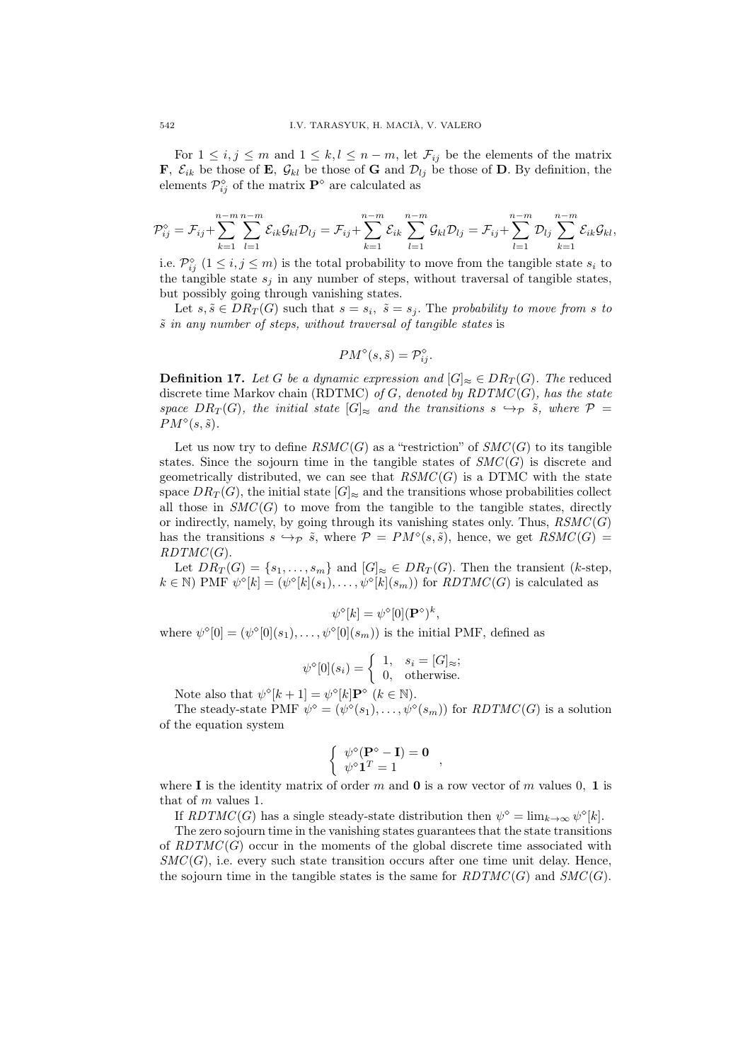For  $1 \leq i, j \leq m$  and  $1 \leq k, l \leq n-m$ , let  $\mathcal{F}_{ij}$  be the elements of the matrix **F**,  $\mathcal{E}_{ik}$  be those of **E**,  $\mathcal{G}_{kl}$  be those of **G** and  $\mathcal{D}_{lj}$  be those of **D**. By definition, the elements  $\mathcal{P}_{ij}^{\diamond}$  of the matrix  $\mathbf{P}^{\diamond}$  are calculated as

$$
\mathcal{P}_{ij}^{\diamond}=\mathcal{F}_{ij}+\sum_{k=1}^{n-m}\sum_{l=1}^{n-m}\mathcal{E}_{ik}\mathcal{G}_{kl}\mathcal{D}_{lj}=\mathcal{F}_{ij}+\sum_{k=1}^{n-m}\mathcal{E}_{ik}\sum_{l=1}^{n-m}\mathcal{G}_{kl}\mathcal{D}_{lj}=\mathcal{F}_{ij}+\sum_{l=1}^{n-m}\mathcal{D}_{lj}\sum_{k=1}^{n-m}\mathcal{E}_{ik}\mathcal{G}_{kl},
$$

i.e.  $\mathcal{P}_{ij}^{\diamond}$   $(1 \leq i, j \leq m)$  is the total probability to move from the tangible state  $s_i$  to the tangible state  $s_j$  in any number of steps, without traversal of tangible states, but possibly going through vanishing states.

Let  $s, \tilde{s} \in DR_T(G)$  such that  $s = s_i$ ,  $\tilde{s} = s_j$ . The probability to move from s to  $\tilde{s}$  in any number of steps, without traversal of tangible states is

$$
PM^{\diamond}(s,\tilde{s}) = \mathcal{P}_{ij}^{\diamond}.
$$

**Definition 17.** Let G be a dynamic expression and  $[G]_{\approx} \in DR_T(G)$ . The reduced discrete time Markov chain (RDTMC) of G, denoted by  $RDTMC(G)$ , has the state space  $DR_T(G)$ , the initial state  $[G]_{\approx}$  and the transitions  $s \hookrightarrow_{\mathcal{P}} \tilde{s}$ , where  $\mathcal{P} =$  $PM^{\diamond}(s, \tilde{s}).$ 

Let us now try to define  $\mathit{RSMC}(G)$  as a "restriction" of  $\mathit{SMC}(G)$  to its tangible states. Since the sojourn time in the tangible states of  $SMC(G)$  is discrete and geometrically distributed, we can see that  $\mathit{RSMC}(G)$  is a DTMC with the state space  $DR_T(G)$ , the initial state  $[G]_{\approx}$  and the transitions whose probabilities collect all those in  $SMC(G)$  to move from the tangible to the tangible states, directly or indirectly, namely, by going through its vanishing states only. Thus,  $\mathit{RSMC}(G)$ has the transitions  $s \hookrightarrow_{\mathcal{P}} \tilde{s}$ , where  $\mathcal{P} = PM^{\diamond}(s, \tilde{s})$ , hence, we get  $RSMC(G) =$  $RDTMC(G)$ .

Let  $DR_T(G) = \{s_1, \ldots, s_m\}$  and  $[G]_{\approx} \in DR_T(G)$ . Then the transient (k-step,  $k \in \mathbb{N}$ ) PMF  $\psi^{\diamond}[k] = (\psi^{\diamond}[k](s_1), \ldots, \psi^{\diamond}[k](s_m))$  for  $RDTMC(G)$  is calculated as

$$
\psi^{\diamond}[k] = \psi^{\diamond}[0](\mathbf{P}^{\diamond})^k,
$$

where  $\psi^{\diamond}[0] = (\psi^{\diamond}[0](s_1), \dots, \psi^{\diamond}[0](s_m))$  is the initial PMF, defined as

$$
\psi^{\diamond}[0](s_i) = \begin{cases} 1, & s_i = [G]_{\approx}; \\ 0, & \text{otherwise.} \end{cases}
$$

Note also that  $\psi^{\diamond}[k+1] = \psi^{\diamond}[k] \mathbf{P}^{\diamond}$   $(k \in \mathbb{N})$ .

The steady-state PMF  $\psi^{\diamond} = (\psi^{\diamond}(s_1), \ldots, \psi^{\diamond}(s_m))$  for  $RDTMC(G)$  is a solution of the equation system

$$
\left\{ \begin{array}{c} \psi^{\diamond}(\mathbf{P}^{\diamond}-\mathbf{I})=\mathbf{0} \\ \psi^{\diamond}\mathbf{1}^T=1 \end{array} \right.,
$$

where I is the identity matrix of order m and 0 is a row vector of m values 0, 1 is that of m values 1.

If  $RDTMC(G)$  has a single steady-state distribution then  $\psi^{\diamond} = \lim_{k \to \infty} \psi^{\diamond}[k]$ .

The zero sojourn time in the vanishing states guarantees that the state transitions of  $RDTMC(G)$  occur in the moments of the global discrete time associated with  $SMC(G)$ , i.e. every such state transition occurs after one time unit delay. Hence, the sojourn time in the tangible states is the same for  $RDTMC(G)$  and  $SMC(G)$ .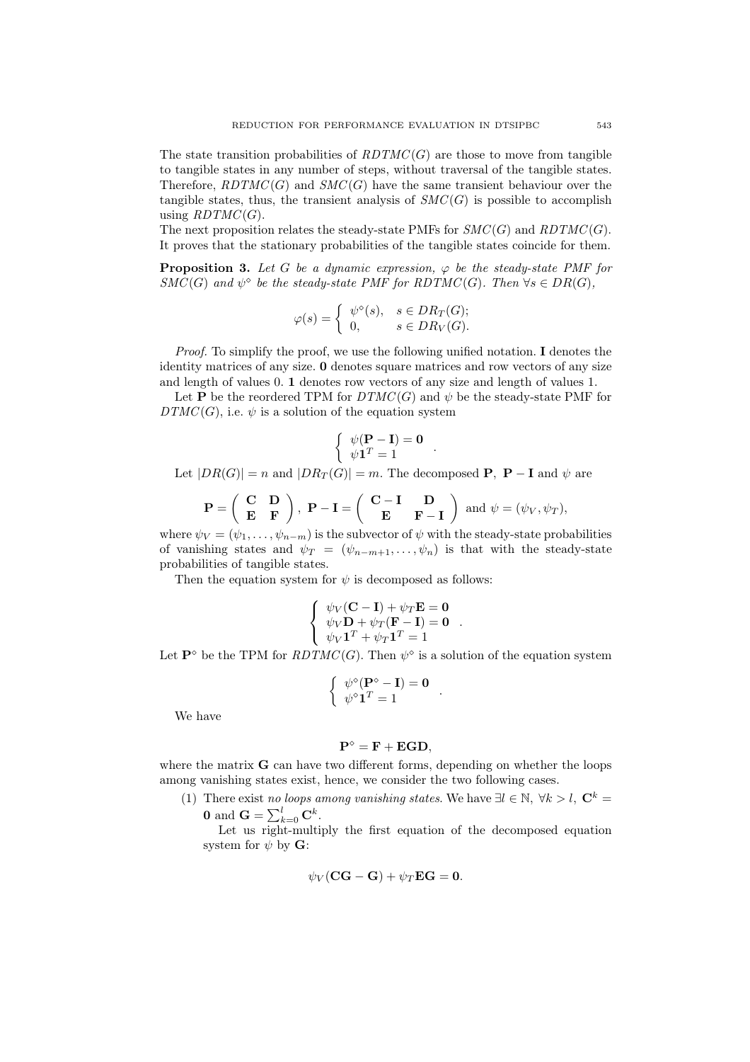The state transition probabilities of  $RDTMC(G)$  are those to move from tangible to tangible states in any number of steps, without traversal of the tangible states. Therefore,  $RDTMC(G)$  and  $SMC(G)$  have the same transient behaviour over the tangible states, thus, the transient analysis of  $SMC(G)$  is possible to accomplish using  $RDTMC(G)$ .

The next proposition relates the steady-state PMFs for  $SMC(G)$  and  $RDTMC(G)$ . It proves that the stationary probabilities of the tangible states coincide for them.

**Proposition 3.** Let G be a dynamic expression,  $\varphi$  be the steady-state PMF for  $SMC(G)$  and  $\psi^{\diamond}$  be the steady-state PMF for RDTMC(G). Then  $\forall s \in DR(G)$ ,

$$
\varphi(s) = \begin{cases} \psi^{\diamond}(s), & s \in DR_T(G); \\ 0, & s \in DR_V(G). \end{cases}
$$

Proof. To simplify the proof, we use the following unified notation. I denotes the identity matrices of any size. 0 denotes square matrices and row vectors of any size and length of values 0. 1 denotes row vectors of any size and length of values 1.

Let P be the reordered TPM for  $DTMC(G)$  and  $\psi$  be the steady-state PMF for  $DTMC(G)$ , i.e.  $\psi$  is a solution of the equation system

$$
\left\{ \begin{array}{c} \psi(\mathbf{P} - \mathbf{I}) = \mathbf{0} \\ \psi \mathbf{1}^T = 1 \end{array} \right. .
$$

Let  $|DR(G)| = n$  and  $|DR_T(G)| = m$ . The decomposed **P**, **P** – **I** and  $\psi$  are

$$
\mathbf{P} = \begin{pmatrix} \mathbf{C} & \mathbf{D} \\ \mathbf{E} & \mathbf{F} \end{pmatrix}, \ \mathbf{P} - \mathbf{I} = \begin{pmatrix} \mathbf{C} - \mathbf{I} & \mathbf{D} \\ \mathbf{E} & \mathbf{F} - \mathbf{I} \end{pmatrix} \text{ and } \psi = (\psi_V, \psi_T),
$$

where  $\psi_V = (\psi_1, \dots, \psi_{n-m})$  is the subvector of  $\psi$  with the steady-state probabilities of vanishing states and  $\psi_T = (\psi_{n-m+1}, \dots, \psi_n)$  is that with the steady-state probabilities of tangible states.

Then the equation system for  $\psi$  is decomposed as follows:

$$
\begin{cases} \psi_V(\mathbf{C} - \mathbf{I}) + \psi_T \mathbf{E} = \mathbf{0} \\ \psi_V \mathbf{D} + \psi_T (\mathbf{F} - \mathbf{I}) = \mathbf{0} \\ \psi_V \mathbf{1}^T + \psi_T \mathbf{1}^T = 1 \end{cases}.
$$

Let  $\mathbf{P}^{\diamond}$  be the TPM for  $RDTMC(G)$ . Then  $\psi^{\diamond}$  is a solution of the equation system

$$
\left\{ \begin{array}{ll} \psi^\diamond(\mathbf{P}^\diamond-\mathbf{I})=\mathbf{0}\\ \psi^\diamond\mathbf{1}^T=1 \end{array} \right..
$$

We have

$$
\mathbf{P}^\diamond = \mathbf{F} + \mathbf{EGD},
$$

where the matrix **G** can have two different forms, depending on whether the loops among vanishing states exist, hence, we consider the two following cases.

(1) There exist no loops among vanishing states. We have  $\exists l \in \mathbb{N}, \forall k > l, \mathbf{C}^k =$ **0** and  $\mathbf{G} = \sum_{k=0}^{l} \mathbf{C}^k$ .

Let us right-multiply the first equation of the decomposed equation system for  $\psi$  by **G**:

$$
\psi_V(\mathbf{CG}-\mathbf{G})+\psi_T\mathbf{EG}=\mathbf{0}.
$$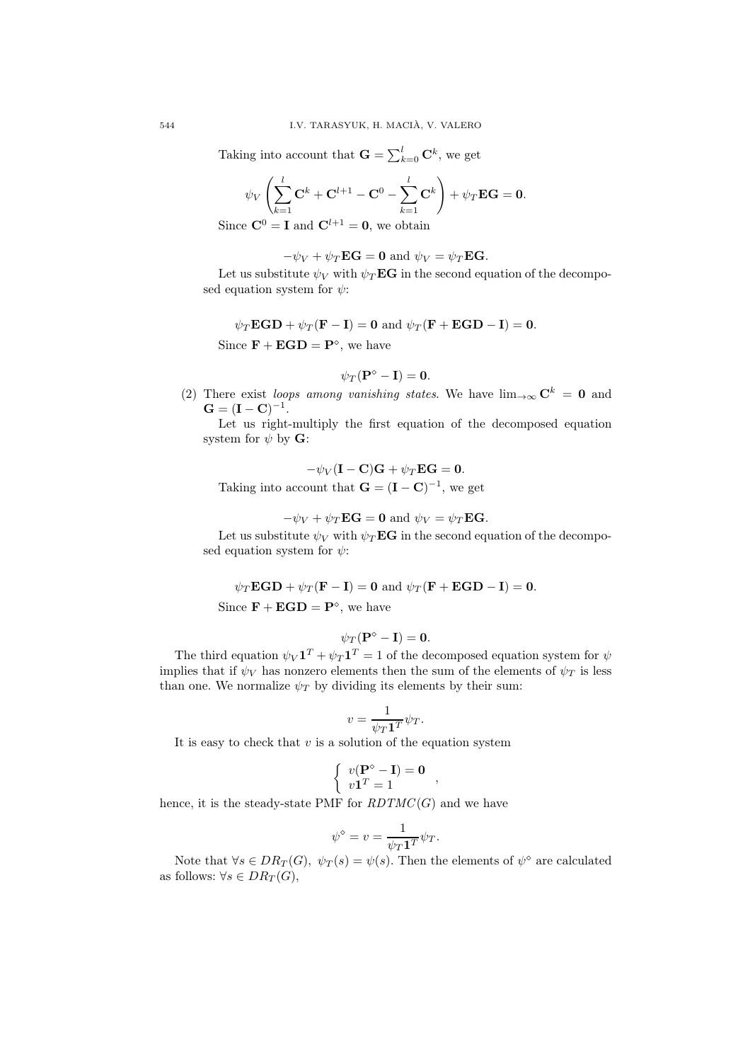Taking into account that  $\mathbf{G} = \sum_{k=0}^{l} \mathbf{C}^k$ , we get

$$
\psi_V\left(\sum_{k=1}^l \mathbf{C}^k + \mathbf{C}^{l+1} - \mathbf{C}^0 - \sum_{k=1}^l \mathbf{C}^k\right) + \psi_T \mathbf{E} \mathbf{G} = \mathbf{0}.
$$

Since  $\mathbf{C}^0 = \mathbf{I}$  and  $\mathbf{C}^{l+1} = \mathbf{0}$ , we obtain

 $-\psi_V + \psi_T \mathbf{E} \mathbf{G} = \mathbf{0}$  and  $\psi_V = \psi_T \mathbf{E} \mathbf{G}$ .

Let us substitute  $\psi_V$  with  $\psi_T \mathbf{E} \mathbf{G}$  in the second equation of the decomposed equation system for  $\psi$ :

 $\psi_T \mathbf{EGD} + \psi_T (\mathbf{F} - \mathbf{I}) = \mathbf{0}$  and  $\psi_T (\mathbf{F} + \mathbf{EGD} - \mathbf{I}) = \mathbf{0}$ . Since  $\mathbf{F} + \mathbf{EGD} = \mathbf{P}^{\diamond}$ , we have

$$
\psi_T(\mathbf{P}^\diamond-\mathbf{I})=\mathbf{0}.
$$

(2) There exist loops among vanishing states. We have  $\lim_{\to\infty} C^k = 0$  and  $G = (I - C)^{-1}.$ 

Let us right-multiply the first equation of the decomposed equation system for  $\psi$  by **G**:

$$
-\psi_V(\mathbf{I}-\mathbf{C})\mathbf{G} + \psi_T \mathbf{E}\mathbf{G} = \mathbf{0}.
$$

Taking into account that  $\mathbf{G} = (\mathbf{I} - \mathbf{C})^{-1}$ , we get

$$
-\psi_V + \psi_T \mathbf{EG} = \mathbf{0} \text{ and } \psi_V = \psi_T \mathbf{EG}.
$$

Let us substitute  $\psi_V$  with  $\psi_T \mathbf{E} \mathbf{G}$  in the second equation of the decomposed equation system for  $\psi$ :

$$
\psi_T \mathbf{EGD} + \psi_T (\mathbf{F} - \mathbf{I}) = \mathbf{0} \text{ and } \psi_T (\mathbf{F} + \mathbf{EGD} - \mathbf{I}) = \mathbf{0}.
$$

Since  $\mathbf{F} + \mathbf{EGD} = \mathbf{P}^{\diamond}$ , we have

$$
\psi_T(\mathbf{P}^\diamond-\mathbf{I})=\mathbf{0}.
$$

The third equation  $\psi_V \mathbf{1}^T + \psi_T \mathbf{1}^T = 1$  of the decomposed equation system for  $\psi$ implies that if  $\psi_V$  has nonzero elements then the sum of the elements of  $\psi_T$  is less than one. We normalize  $\psi_T$  by dividing its elements by their sum:

$$
v = \frac{1}{\psi_T \mathbf{1}^T} \psi_T.
$$

It is easy to check that  $v$  is a solution of the equation system

$$
\left\{ \begin{array}{l} v(\mathbf{P}^\diamond-\mathbf{I})=\mathbf{0}\\ v\mathbf{1}^T=1 \end{array} \right.,
$$

hence, it is the steady-state PMF for  $RDTMC(G)$  and we have

$$
\psi^{\diamond} = v = \frac{1}{\psi_T \mathbf{1}^T} \psi_T.
$$

Note that  $\forall s \in DR_T(G), \ \psi_T(s) = \psi(s)$ . Then the elements of  $\psi^{\diamond}$  are calculated as follows:  $\forall s \in DR_T(G)$ ,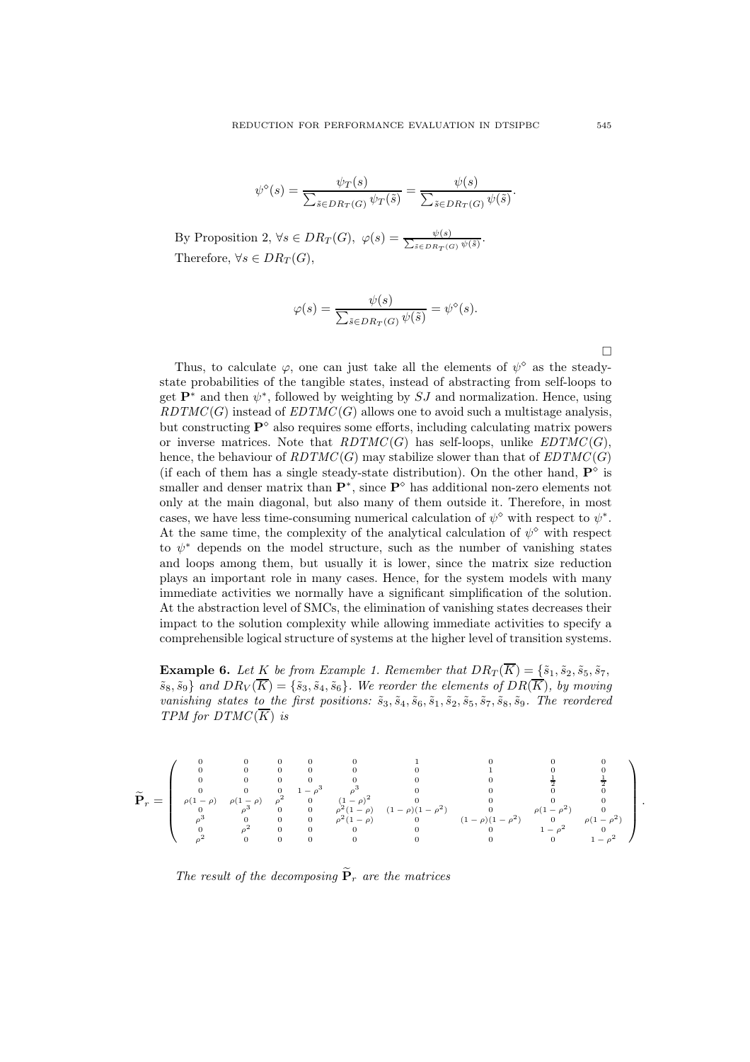$$
\psi^{\diamond}(s) = \frac{\psi_T(s)}{\sum_{\tilde{s} \in DR_T(G)} \psi_T(\tilde{s})} = \frac{\psi(s)}{\sum_{\tilde{s} \in DR_T(G)} \psi(\tilde{s})}.
$$

By Proposition 2,  $\forall s \in DR_T(G)$ ,  $\varphi(s) = \frac{\psi(s)}{\sum_{s \in \mathbb{R}^n} \psi(s)}$  $\frac{\psi(s)}{\tilde{s} \in DR_T(G)} \cdot \frac{\psi(\tilde{s})}{\psi(\tilde{s})}.$ Therefore,  $\forall s \in DR_T(G)$ ,

$$
\varphi(s) = \frac{\psi(s)}{\sum_{\tilde{s} \in DR_T(G)} \psi(\tilde{s})} = \psi^{\diamond}(s).
$$

Thus, to calculate  $\varphi$ , one can just take all the elements of  $\psi^{\diamond}$  as the steadystate probabilities of the tangible states, instead of abstracting from self-loops to get  $\mathbf{P}^*$  and then  $\psi^*$ , followed by weighting by  $SJ$  and normalization. Hence, using  $RDTMC(G)$  instead of  $EDTMC(G)$  allows one to avoid such a multistage analysis, but constructing  $\mathbf{P}^{\diamond}$  also requires some efforts, including calculating matrix powers or inverse matrices. Note that  $RDTMC(G)$  has self-loops, unlike  $EDTMC(G)$ , hence, the behaviour of  $RDTMC(G)$  may stabilize slower than that of  $EDTMC(G)$ (if each of them has a single steady-state distribution). On the other hand,  $\mathbf{P}^{\diamond}$  is smaller and denser matrix than  $\mathbf{P}^*$ , since  $\mathbf{P}^{\diamond}$  has additional non-zero elements not only at the main diagonal, but also many of them outside it. Therefore, in most cases, we have less time-consuming numerical calculation of  $\psi^{\diamond}$  with respect to  $\psi^*$ . At the same time, the complexity of the analytical calculation of  $\psi^{\diamond}$  with respect to  $\psi^*$  depends on the model structure, such as the number of vanishing states and loops among them, but usually it is lower, since the matrix size reduction plays an important role in many cases. Hence, for the system models with many immediate activities we normally have a significant simplification of the solution. At the abstraction level of SMCs, the elimination of vanishing states decreases their impact to the solution complexity while allowing immediate activities to specify a comprehensible logical structure of systems at the higher level of transition systems.

**Example 6.** Let K be from Example 1. Remember that  $DR_T(\overline{K}) = \{\tilde{s}_1, \tilde{s}_2, \tilde{s}_5, \tilde{s}_7, \}$  $\{\tilde{s}_8, \tilde{s}_9\}$  and  $DR_V(\overline{K}) = \{\tilde{s}_3, \tilde{s}_4, \tilde{s}_6\}$ . We reorder the elements of  $DR(\overline{K})$ , by moving vanishing states to the first positions:  $\tilde{s}_3$ ,  $\tilde{s}_4$ ,  $\tilde{s}_6$ ,  $\tilde{s}_1$ ,  $\tilde{s}_2$ ,  $\tilde{s}_5$ ,  $\tilde{s}_7$ ,  $\tilde{s}_8$ ,  $\tilde{s}_9$ . The reordered TPM for  $DTMC(\overline{K})$  is

$$
\widetilde{\mathbf{P}}_r=\left(\begin{array}{cccccccc} 0&0&0&0&0&0&1&0&0&0\\ 0&0&0&0&0&0&0&1&0&0\\ 0&0&0&0&0&0&0&0&\frac{1}{2}&\frac{1}{2}\\ 0&0&0&0&1-\rho^3&\rho^3&0&0&0&\frac{1}{2}&\frac{1}{2}\\ \rho(1-\rho)&\rho(1-\rho)&\rho^2&0&(1-\rho)^2&0&0&0&0\\ 0&\rho^3&0&0&\rho^2(1-\rho)&(1-\rho)(1-\rho^2)&0&\rho(1-\rho^2)&0\\ \rho^3&0&0&0&\rho^2(1-\rho)&0&0&0&\rho(1-\rho^2)&0\\ 0&\rho^2&0&0&0&0&0&0&1-\rho^2&0\\ \rho^2&0&0&0&0&0&0&0&0&0&1-\rho^2 \end{array}\right).
$$

The result of the decomposing  $\widetilde{\mathbf{P}}_r$  are the matrices

 $\Box$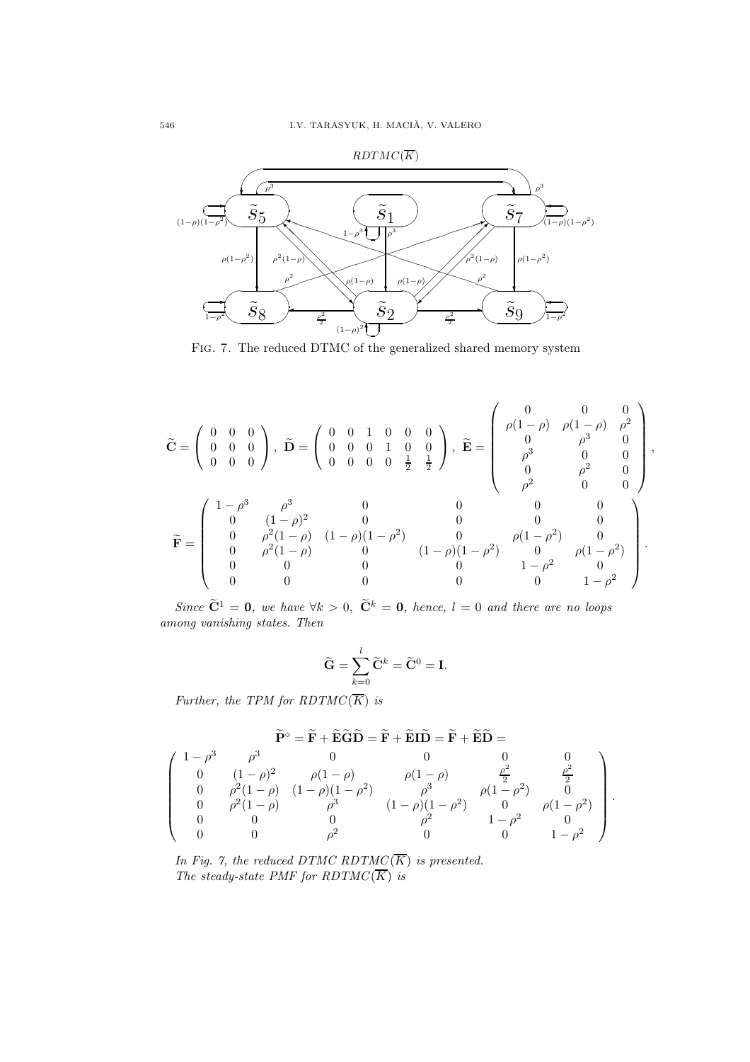

FIG. 7. The reduced DTMC of the generalized shared memory system

$$
\widetilde{\mathbf{C}} = \begin{pmatrix} 0 & 0 & 0 \\ 0 & 0 & 0 \\ 0 & 0 & 0 \end{pmatrix}, \ \widetilde{\mathbf{D}} = \begin{pmatrix} 0 & 0 & 1 & 0 & 0 & 0 \\ 0 & 0 & 0 & 1 & 0 & 0 \\ 0 & 0 & 0 & 0 & \frac{1}{2} & \frac{1}{2} \end{pmatrix}, \ \widetilde{\mathbf{E}} = \begin{pmatrix} 0 & 0 & 0 & 0 \\ \rho(1-\rho) & \rho(1-\rho) & \rho^2 \\ 0 & \rho^3 & 0 & 0 \\ \rho^3 & 0 & 0 & 0 \\ 0 & \rho^2 & 0 & 0 \end{pmatrix},
$$

$$
\widetilde{\mathbf{F}} = \begin{pmatrix} 1-\rho^3 & \rho^3 & 0 & 0 & 0 & 0 \\ 0 & (1-\rho)^2 & 0 & 0 & 0 & 0 \\ 0 & \rho^2(1-\rho) & (1-\rho)(1-\rho^2) & 0 & 0 & 0 \\ 0 & \rho^2(1-\rho) & 0 & (1-\rho)(1-\rho^2) & 0 \\ 0 & 0 & 0 & 0 & 1-\rho^2 & 0 \\ 0 & 0 & 0 & 0 & 0 & 1-\rho^2 \end{pmatrix}.
$$

Since  $\widetilde{\mathbf{C}}^1 = \mathbf{0}$ , we have  $\forall k > 0$ ,  $\widetilde{\mathbf{C}}^k = \mathbf{0}$ , hence,  $l = 0$  and there are no loops among vanishing states. Then

$$
\widetilde{\mathbf{G}} = \sum_{k=0}^{l} \widetilde{\mathbf{C}}^{k} = \widetilde{\mathbf{C}}^{0} = \mathbf{I}.
$$

Further, the TPM for RDTMC( $\overline{K}$ ) is

$$
\widetilde{\mathbf{P}}^{\diamond} = \widetilde{\mathbf{F}} + \widetilde{\mathbf{E}} \widetilde{\mathbf{G}} \widetilde{\mathbf{D}} = \widetilde{\mathbf{F}} + \widetilde{\mathbf{E}} \widetilde{\mathbf{D}} = \widetilde{\mathbf{F}} + \widetilde{\mathbf{E}} \widetilde{\mathbf{D}} = \widetilde{\mathbf{F}} + \widetilde{\mathbf{E}} \widetilde{\mathbf{D}} = \widetilde{\mathbf{F}} + \widetilde{\mathbf{E}} \widetilde{\mathbf{D}} = \begin{pmatrix}\n1 - \rho^3 & \rho^3 & 0 & 0 & 0 & 0 \\
0 & (1 - \rho)^2 & \rho(1 - \rho) & \rho(1 - \rho) & \frac{\rho^2}{2} & \frac{\rho^2}{2} \\
0 & \rho^2(1 - \rho) & (1 - \rho)(1 - \rho^2) & \rho^3 & \rho(1 - \rho^2) & 0 \\
0 & \rho^2(1 - \rho) & \rho^3 & (1 - \rho)(1 - \rho^2) & 0 & \rho(1 - \rho^2) \\
0 & 0 & 0 & \rho^2 & 1 - \rho^2 & 0 \\
0 & 0 & \rho^2 & 0 & 0 & 1 - \rho^2\n\end{pmatrix}.
$$

In Fig. 7, the reduced DTMC RDTMC( $\overline{K}$ ) is presented. The steady-state PMF for RDTMC( $\overline{K}$ ) is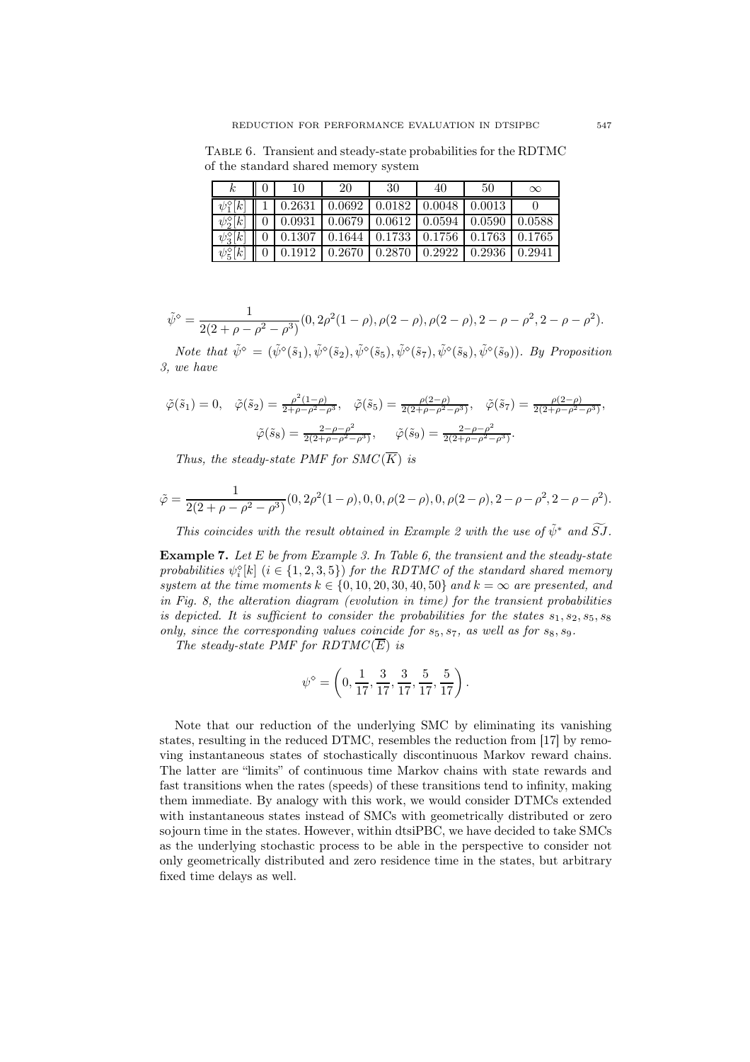Table 6. Transient and steady-state probabilities for the RDTMC of the standard shared memory system

| k.                     | 10                                    | 20 | -30 | 40                                                                                                                      | 50     | $\infty$ |
|------------------------|---------------------------------------|----|-----|-------------------------------------------------------------------------------------------------------------------------|--------|----------|
| $\psi_1^{\diamond}[k]$ |                                       |    |     | $1   0.2631   0.0692   0.0182   0.0048   0.0013$                                                                        |        |          |
|                        |                                       |    |     | $\psi_2^{\diamond}[k] \parallel 0 \parallel 0.0931 \parallel 0.0679 \parallel 0.0612 \parallel 0.0594 \parallel 0.0590$ |        | 0.0588   |
|                        |                                       |    |     | $\psi_3^{\diamond}[k]$   0   0.1307   0.1644   0.1733   0.1756   0.1763   0.1765                                        |        |          |
| $\psi_5^{\circ}[k]$    | 0   0.1912   0.2670   0.2870   0.2922 |    |     |                                                                                                                         | 0.2936 | 0.2941   |

$$
\tilde{\psi}^{\diamond} = \frac{1}{2(2+\rho-\rho^2-\rho^3)}(0, 2\rho^2(1-\rho), \rho(2-\rho), \rho(2-\rho), 2-\rho-\rho^2, 2-\rho-\rho^2).
$$

Note that  $\tilde{\psi}^{\diamond} = (\tilde{\psi}^{\diamond}(\tilde{s}_1), \tilde{\psi}^{\diamond}(\tilde{s}_2), \tilde{\psi}^{\diamond}(\tilde{s}_5), \tilde{\psi}^{\diamond}(\tilde{s}_7), \tilde{\psi}^{\diamond}(\tilde{s}_8), \tilde{\psi}^{\diamond}(\tilde{s}_9)).$  By Proposition 3, we have

$$
\tilde{\varphi}(\tilde{s}_1) = 0, \quad \tilde{\varphi}(\tilde{s}_2) = \frac{\rho^2 (1 - \rho)}{2 + \rho - \rho^2 - \rho^3}, \quad \tilde{\varphi}(\tilde{s}_5) = \frac{\rho(2 - \rho)}{2(2 + \rho - \rho^2 - \rho^3)}, \quad \tilde{\varphi}(\tilde{s}_7) = \frac{\rho(2 - \rho)}{2(2 + \rho - \rho^2 - \rho^3)},
$$

$$
\tilde{\varphi}(\tilde{s}_8) = \frac{2 - \rho - \rho^2}{2(2 + \rho - \rho^2 - \rho^3)}, \quad \tilde{\varphi}(\tilde{s}_9) = \frac{2 - \rho - \rho^2}{2(2 + \rho - \rho^2 - \rho^3)}.
$$

Thus, the steady-state PMF for  $SMC(\overline{K})$  is

$$
\tilde{\varphi} = \frac{1}{2(2+\rho-\rho^2-\rho^3)}(0, 2\rho^2(1-\rho), 0, 0, \rho(2-\rho), 0, \rho(2-\rho), 2-\rho-\rho^2, 2-\rho-\rho^2).
$$

This coincides with the result obtained in Example 2 with the use of  $\tilde{\psi}^*$  and  $\widetilde{S}J$ .

**Example 7.** Let E be from Example 3. In Table 6, the transient and the steady-state probabilities  $\psi_i^{\diamond}[k]$  ( $i \in \{1, 2, 3, 5\}$ ) for the RDTMC of the standard shared memory system at the time moments  $k \in \{0, 10, 20, 30, 40, 50\}$  and  $k = \infty$  are presented, and in Fig. 8, the alteration diagram (evolution in time) for the transient probabilities is depicted. It is sufficient to consider the probabilities for the states  $s_1, s_2, s_5, s_8$ only, since the corresponding values coincide for  $s_5$ ,  $s_7$ , as well as for  $s_8$ ,  $s_9$ .

The steady-state PMF for RDTMC( $\overline{E}$ ) is

$$
\psi^\diamond=\left(0,\frac{1}{17},\frac{3}{17},\frac{3}{17},\frac{5}{17},\frac{5}{17}\right).
$$

Note that our reduction of the underlying SMC by eliminating its vanishing states, resulting in the reduced DTMC, resembles the reduction from [17] by removing instantaneous states of stochastically discontinuous Markov reward chains. The latter are "limits" of continuous time Markov chains with state rewards and fast transitions when the rates (speeds) of these transitions tend to infinity, making them immediate. By analogy with this work, we would consider DTMCs extended with instantaneous states instead of SMCs with geometrically distributed or zero sojourn time in the states. However, within dtsiPBC, we have decided to take SMCs as the underlying stochastic process to be able in the perspective to consider not only geometrically distributed and zero residence time in the states, but arbitrary fixed time delays as well.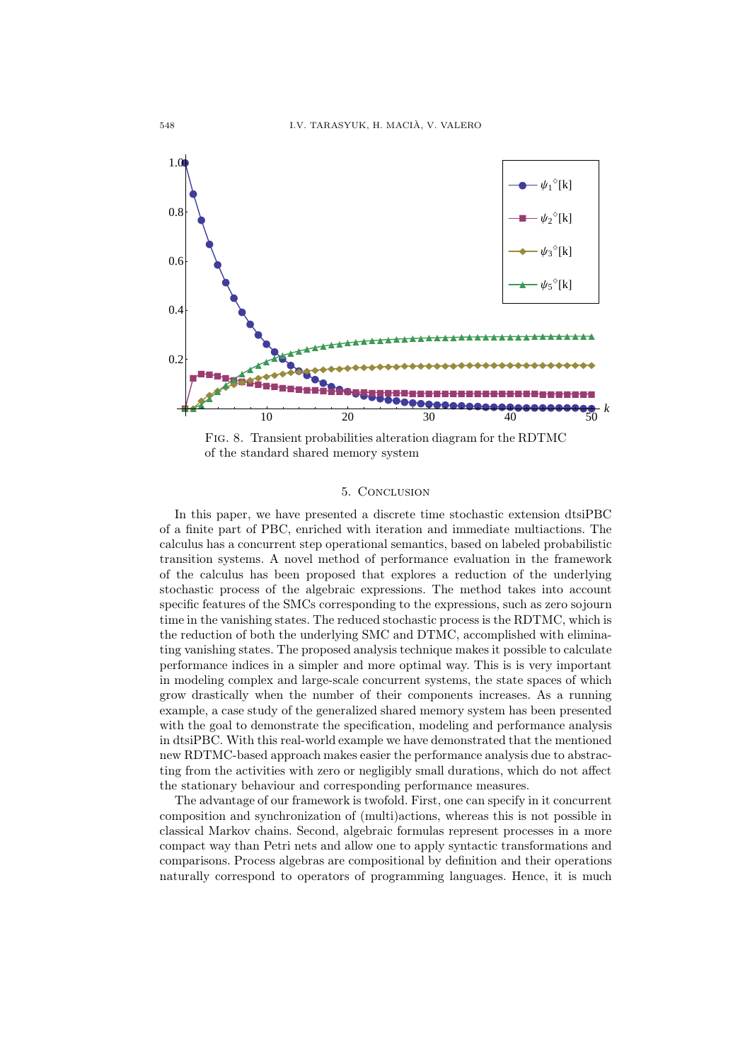

Fig. 8. Transient probabilities alteration diagram for the RDTMC of the standard shared memory system

#### 5. Conclusion

In this paper, we have presented a discrete time stochastic extension dtsiPBC of a finite part of PBC, enriched with iteration and immediate multiactions. The calculus has a concurrent step operational semantics, based on labeled probabilistic transition systems. A novel method of performance evaluation in the framework of the calculus has been proposed that explores a reduction of the underlying stochastic process of the algebraic expressions. The method takes into account specific features of the SMCs corresponding to the expressions, such as zero sojourn time in the vanishing states. The reduced stochastic process is the RDTMC, which is the reduction of both the underlying SMC and DTMC, accomplished with eliminating vanishing states. The proposed analysis technique makes it possible to calculate performance indices in a simpler and more optimal way. This is is very important in modeling complex and large-scale concurrent systems, the state spaces of which grow drastically when the number of their components increases. As a running example, a case study of the generalized shared memory system has been presented with the goal to demonstrate the specification, modeling and performance analysis in dtsiPBC. With this real-world example we have demonstrated that the mentioned new RDTMC-based approach makes easier the performance analysis due to abstracting from the activities with zero or negligibly small durations, which do not affect the stationary behaviour and corresponding performance measures.

The advantage of our framework is twofold. First, one can specify in it concurrent composition and synchronization of (multi)actions, whereas this is not possible in classical Markov chains. Second, algebraic formulas represent processes in a more compact way than Petri nets and allow one to apply syntactic transformations and comparisons. Process algebras are compositional by definition and their operations naturally correspond to operators of programming languages. Hence, it is much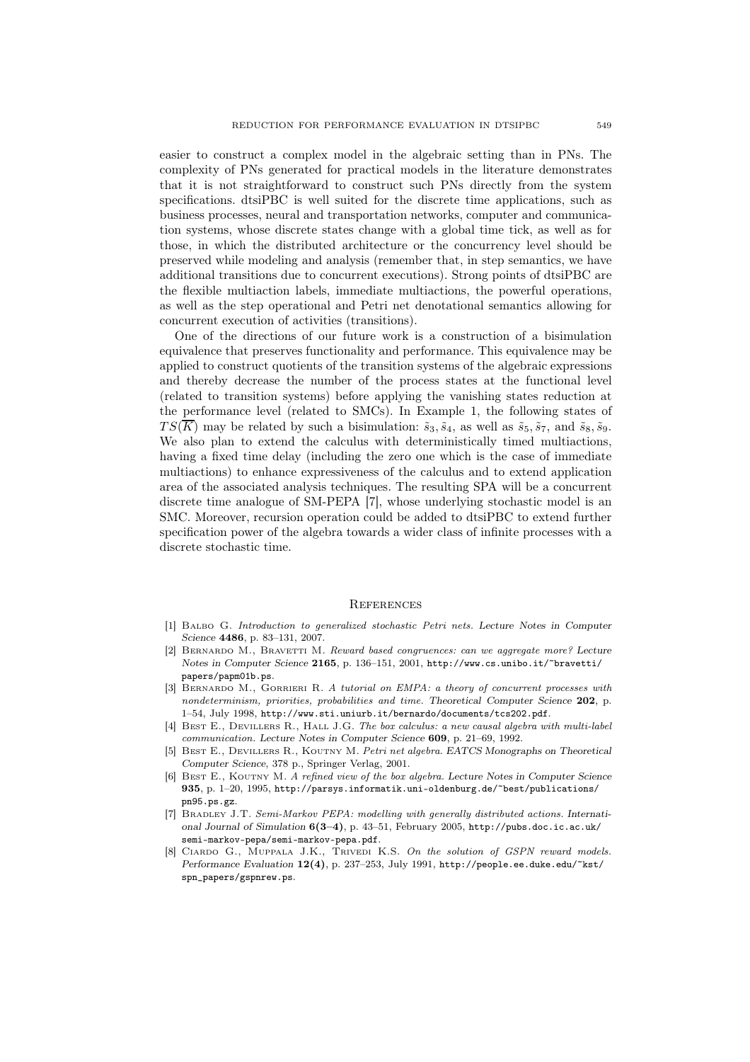easier to construct a complex model in the algebraic setting than in PNs. The complexity of PNs generated for practical models in the literature demonstrates that it is not straightforward to construct such PNs directly from the system specifications. dtsiPBC is well suited for the discrete time applications, such as business processes, neural and transportation networks, computer and communication systems, whose discrete states change with a global time tick, as well as for those, in which the distributed architecture or the concurrency level should be preserved while modeling and analysis (remember that, in step semantics, we have additional transitions due to concurrent executions). Strong points of dtsiPBC are the flexible multiaction labels, immediate multiactions, the powerful operations, as well as the step operational and Petri net denotational semantics allowing for concurrent execution of activities (transitions).

One of the directions of our future work is a construction of a bisimulation equivalence that preserves functionality and performance. This equivalence may be applied to construct quotients of the transition systems of the algebraic expressions and thereby decrease the number of the process states at the functional level (related to transition systems) before applying the vanishing states reduction at the performance level (related to SMCs). In Example 1, the following states of  $TS(\overline{K})$  may be related by such a bisimulation:  $\tilde{s}_3$ ,  $\tilde{s}_4$ , as well as  $\tilde{s}_5$ ,  $\tilde{s}_7$ , and  $\tilde{s}_8$ ,  $\tilde{s}_9$ . We also plan to extend the calculus with deterministically timed multiactions, having a fixed time delay (including the zero one which is the case of immediate multiactions) to enhance expressiveness of the calculus and to extend application area of the associated analysis techniques. The resulting SPA will be a concurrent discrete time analogue of SM-PEPA [7], whose underlying stochastic model is an SMC. Moreover, recursion operation could be added to dtsiPBC to extend further specification power of the algebra towards a wider class of infinite processes with a discrete stochastic time.

#### **REFERENCES**

- [1] Balbo G. *Introduction to generalized stochastic Petri nets.* Lecture Notes in Computer Science 4486, p. 83–131, 2007.
- [2] Bernardo M., Bravetti M. *Reward based congruences: can we aggregate more?* Lecture Notes in Computer Science 2165, p. 136–151, 2001, http://www.cs.unibo.it/~bravetti/ papers/papm01b.ps.
- [3] Bernardo M., Gorrieri R. *A tutorial on EMPA: a theory of concurrent processes with nondeterminism, priorities, probabilities and time.* Theoretical Computer Science 202, p. 1–54, July 1998, http://www.sti.uniurb.it/bernardo/documents/tcs202.pdf.
- [4] Best E., Devillers R., Hall J.G. *The box calculus: a new causal algebra with multi-label communication.* Lecture Notes in Computer Science 609, p. 21–69, 1992.
- [5] Best E., Devillers R., Koutny M. *Petri net algebra.* EATCS Monographs on Theoretical Computer Science, 378 p., Springer Verlag, 2001.
- [6] Best E., Koutny M. *A refined view of the box algebra.* Lecture Notes in Computer Science 935, p. 1–20, 1995, http://parsys.informatik.uni-oldenburg.de/~best/publications/ pn95.ps.gz.
- [7] Bradley J.T. *Semi-Markov PEPA: modelling with generally distributed actions.* International Journal of Simulation 6(3–4), p. 43–51, February 2005, http://pubs.doc.ic.ac.uk/ semi-markov-pepa/semi-markov-pepa.pdf.
- [8] Ciardo G., Muppala J.K., Trivedi K.S. *On the solution of GSPN reward models.* Performance Evaluation 12(4), p. 237-253, July 1991, http://people.ee.duke.edu/~kst/ spn\_papers/gspnrew.ps.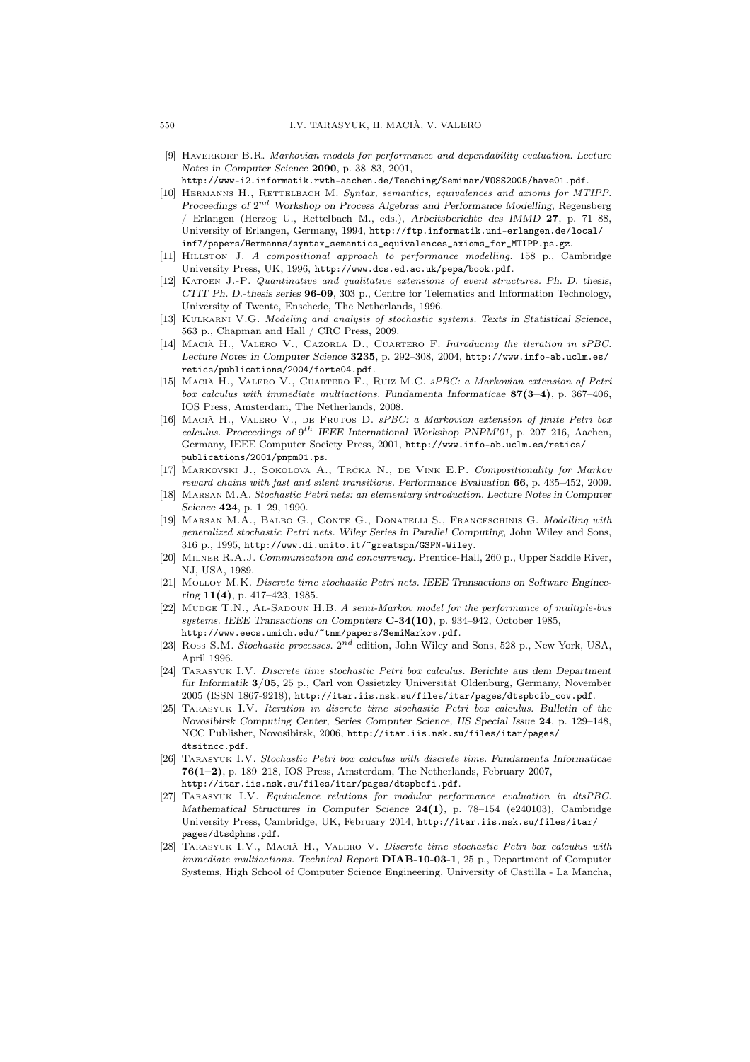- [9] Haverkort B.R. *Markovian models for performance and dependability evaluation.* Lecture Notes in Computer Science 2090, p. 38–83, 2001,
- http://www-i2.informatik.rwth-aachen.de/Teaching/Seminar/VOSS2005/have01.pdf.
- [10] Hermanns H., Rettelbach M. *Syntax, semantics, equivalences and axioms for MTIPP.* Proceedings of 2<sup>nd</sup> Workshop on Process Algebras and Performance Modelling, Regensberg / Erlangen (Herzog U., Rettelbach M., eds.), Arbeitsberichte des IMMD 27, p. 71–88, University of Erlangen, Germany, 1994, http://ftp.informatik.uni-erlangen.de/local/ inf7/papers/Hermanns/syntax\_semantics\_equivalences\_axioms\_for\_MTIPP.ps.gz.
- [11] Hillston J. *A compositional approach to performance modelling.* 158 p., Cambridge University Press, UK, 1996, http://www.dcs.ed.ac.uk/pepa/book.pdf.
- [12] Katoen J.-P. *Quantinative and qualitative extensions of event structures.* Ph. D. thesis, CTIT Ph. D.-thesis series 96-09, 303 p., Centre for Telematics and Information Technology, University of Twente, Enschede, The Netherlands, 1996.
- [13] Kulkarni V.G. *Modeling and analysis of stochastic systems.* Texts in Statistical Science, 563 p., Chapman and Hall / CRC Press, 2009.
- [14] Macia H., Valero V., Cazorla D., Cuartero F. *Introducing the iteration in sPBC.* Lecture Notes in Computer Science 3235, p. 292–308, 2004, http://www.info-ab.uclm.es/ retics/publications/2004/forte04.pdf.
- [15] Macia H., Valero V., Cuartero F., Ruiz M.C. ` *sPBC: a Markovian extension of Petri box calculus with immediate multiactions.* Fundamenta Informaticae 87(3–4), p. 367–406, IOS Press, Amsterdam, The Netherlands, 2008.
- [16] MACIÀ H., VALERO V., DE FRUTOS D.  $sPBC: a$  Markovian extension of finite Petri box *calculus.* Proceedings of  $9^{th}$  IEEE International Workshop PNPM'01, p. 207-216, Aachen, Germany, IEEE Computer Society Press, 2001, http://www.info-ab.uclm.es/retics/ publications/2001/pnpm01.ps.
- [17] MARKOVSKI J., SOKOLOVA A., TRČKA N., DE VINK E.P. *Compositionality for Markov reward chains with fast and silent transitions.* Performance Evaluation 66, p. 435–452, 2009.
- [18] Marsan M.A. *Stochastic Petri nets: an elementary introduction.* Lecture Notes in Computer Science 424, p. 1–29, 1990.
- [19] Marsan M.A., Balbo G., Conte G., Donatelli S., Franceschinis G. *Modelling with generalized stochastic Petri nets.* Wiley Series in Parallel Computing, John Wiley and Sons, 316 p., 1995, http://www.di.unito.it/~greatspn/GSPN-Wiley.
- [20] Milner R.A.J. *Communication and concurrency.* Prentice-Hall, 260 p., Upper Saddle River, NJ, USA, 1989.
- [21] Molloy M.K. *Discrete time stochastic Petri nets.* IEEE Transactions on Software Engineering 11(4), p. 417–423, 1985.
- [22] Mudge T.N., Al-Sadoun H.B. *A semi-Markov model for the performance of multiple-bus systems.* IEEE Transactions on Computers C-34(10), p. 934–942, October 1985, http://www.eecs.umich.edu/~tnm/papers/SemiMarkov.pdf.
- [23] Ross S.M. *Stochastic processes*.  $2^{nd}$  edition, John Wiley and Sons, 528 p., New York, USA, April 1996.
- [24] Tarasyuk I.V. *Discrete time stochastic Petri box calculus.* Berichte aus dem Department für Informatik 3/05, 25 p., Carl von Ossietzky Universität Oldenburg, Germany, November 2005 (ISSN 1867-9218), http://itar.iis.nsk.su/files/itar/pages/dtspbcib\_cov.pdf.
- [25] Tarasyuk I.V. *Iteration in discrete time stochastic Petri box calculus.* Bulletin of the Novosibirsk Computing Center, Series Computer Science, IIS Special Issue 24, p. 129–148, NCC Publisher, Novosibirsk, 2006, http://itar.iis.nsk.su/files/itar/pages/ dtsitncc.pdf.
- [26] Tarasyuk I.V. *Stochastic Petri box calculus with discrete time.* Fundamenta Informaticae 76(1–2), p. 189–218, IOS Press, Amsterdam, The Netherlands, February 2007, http://itar.iis.nsk.su/files/itar/pages/dtspbcfi.pdf.
- [27] Tarasyuk I.V. *Equivalence relations for modular performance evaluation in dtsPBC.* Mathematical Structures in Computer Science  $24(1)$ , p. 78–154 (e240103), Cambridge University Press, Cambridge, UK, February 2014, http://itar.iis.nsk.su/files/itar/ pages/dtsdphms.pdf.
- [28] TARASYUK I.V., MACIA H., VALERO V. *Discrete time stochastic Petri box calculus with immediate multiactions.* Technical Report DIAB-10-03-1, 25 p., Department of Computer Systems, High School of Computer Science Engineering, University of Castilla - La Mancha,